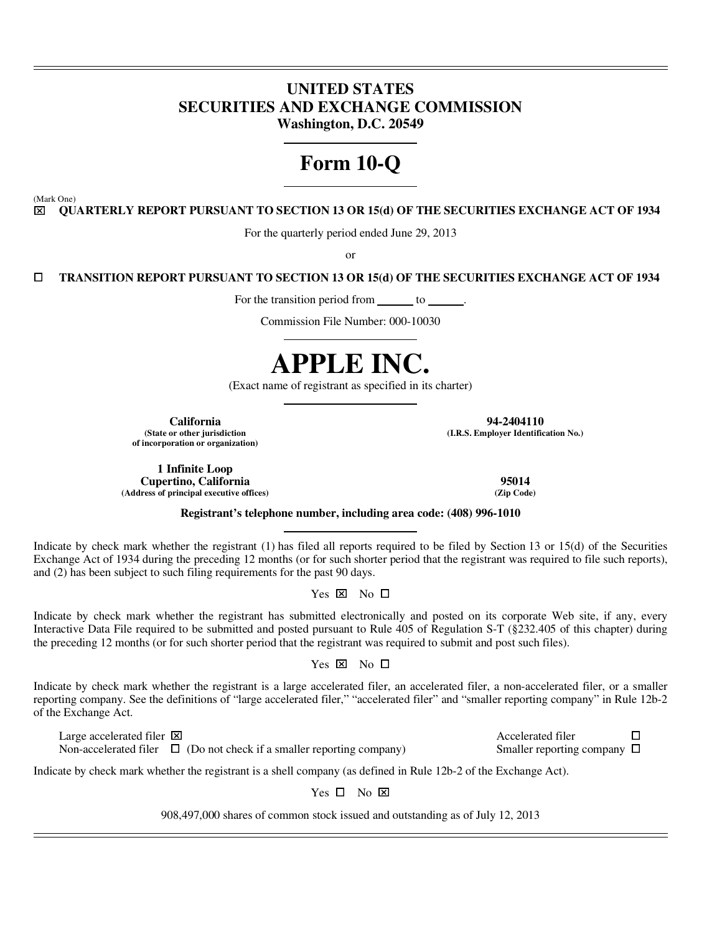### **UNITED STATES SECURITIES AND EXCHANGE COMMISSION Washington, D.C. 20549**

## **Form 10-Q**

(Mark One)

 $\overline{a}$ 

#### ⌧ **QUARTERLY REPORT PURSUANT TO SECTION 13 OR 15(d) OF THE SECURITIES EXCHANGE ACT OF 1934**

For the quarterly period ended June 29, 2013

or

#### **TRANSITION REPORT PURSUANT TO SECTION 13 OR 15(d) OF THE SECURITIES EXCHANGE ACT OF 1934**

For the transition period from  $\_\_\_\_$  to  $\_\_\_\_$ .

Commission File Number: 000-10030

# **APPLE INC.**

(Exact name of registrant as specified in its charter)

**California 94-2404110 (State or other jurisdiction of incorporation or organization)**

**1 Infinite Loop Cupertino, California 95014** (Address of principal executive offices)

**(I.R.S. Employer Identification No.)**

#### **Registrant's telephone number, including area code: (408) 996-1010**

Indicate by check mark whether the registrant (1) has filed all reports required to be filed by Section 13 or 15(d) of the Securities Exchange Act of 1934 during the preceding 12 months (or for such shorter period that the registrant was required to file such reports), and (2) has been subject to such filing requirements for the past 90 days.

Yes  $\boxtimes$  No  $\Box$ 

Indicate by check mark whether the registrant has submitted electronically and posted on its corporate Web site, if any, every Interactive Data File required to be submitted and posted pursuant to Rule 405 of Regulation S-T (§232.405 of this chapter) during the preceding 12 months (or for such shorter period that the registrant was required to submit and post such files).

## Yes  $\boxtimes$  No  $\Box$

Indicate by check mark whether the registrant is a large accelerated filer, an accelerated filer, a non-accelerated filer, or a smaller reporting company. See the definitions of "large accelerated filer," "accelerated filer" and "smaller reporting company" in Rule 12b-2 of the Exchange Act.

Large accelerated filer 図<br>Non-accelerated filer ロ (Do not check if a smaller reporting company) Accelerated filer ロ コ Non-accelerated filer  $\Box$  (Do not check if a smaller reporting company) Smaller reporting company  $\Box$ 

Indicate by check mark whether the registrant is a shell company (as defined in Rule 12b-2 of the Exchange Act).

 $Yes \Box No \boxtimes$ 

908,497,000 shares of common stock issued and outstanding as of July 12, 2013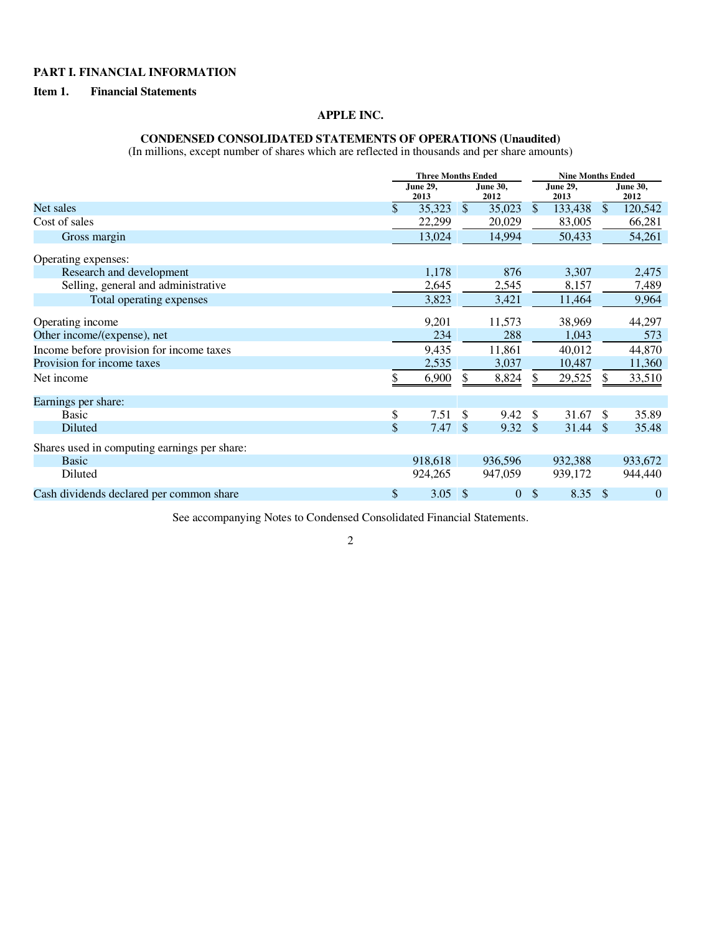#### **PART I. FINANCIAL INFORMATION**

#### Item 1. **Financial Statements**

#### **APPLE INC.**

#### **CONDENSED CONSOLIDATED STATEMENTS OF OPERATIONS (Unaudited)**

(In millions, except number of shares which are reflected in thousands and per share amounts)

|                                              |               | <b>Three Months Ended</b> |              |                         |               | <b>Nine Months Ended</b> |               |                  |  |
|----------------------------------------------|---------------|---------------------------|--------------|-------------------------|---------------|--------------------------|---------------|------------------|--|
|                                              |               | June 29,<br>2013          |              | <b>June 30,</b><br>2012 |               | June 29,<br>2013         |               | June 30,<br>2012 |  |
| Net sales                                    | \$            | 35,323                    | $\mathbb{S}$ | 35,023                  | $\mathcal{S}$ | 133,438                  | $\mathcal{S}$ | 120,542          |  |
| Cost of sales                                |               | 22,299                    |              | 20,029                  |               | 83,005                   |               | 66,281           |  |
| Gross margin                                 |               | 13,024                    |              | 14,994                  |               | 50,433                   |               | 54,261           |  |
| Operating expenses:                          |               |                           |              |                         |               |                          |               |                  |  |
| Research and development                     |               | 1,178                     |              | 876                     |               | 3,307                    |               | 2,475            |  |
| Selling, general and administrative          |               | 2,645                     |              | 2,545                   |               | 8,157                    |               | 7,489            |  |
| Total operating expenses                     |               | 3,823                     |              | 3,421                   |               | 11,464                   |               | 9,964            |  |
| Operating income                             |               | 9,201                     |              | 11,573                  |               | 38,969                   |               | 44,297           |  |
| Other income/(expense), net                  |               | 234                       |              | 288                     |               | 1,043                    |               | 573              |  |
| Income before provision for income taxes     |               | 9,435                     |              | 11,861                  |               | 40,012                   |               | 44,870           |  |
| Provision for income taxes                   |               | 2,535                     |              | 3,037                   |               | 10,487                   |               | 11,360           |  |
| Net income                                   |               | 6,900                     | \$           | 8,824                   | \$            | 29,525                   | \$            | 33,510           |  |
| Earnings per share:                          |               |                           |              |                         |               |                          |               |                  |  |
| Basic                                        | \$            | 7.51                      | \$           | 9.42                    | \$.           | 31.67                    | \$.           | 35.89            |  |
| Diluted                                      | $\mathsf{\$}$ | 7.47                      | \$           | 9.32                    | <sup>\$</sup> | 31.44                    | <sup>\$</sup> | 35.48            |  |
| Shares used in computing earnings per share: |               |                           |              |                         |               |                          |               |                  |  |
| <b>Basic</b>                                 |               | 918,618                   |              | 936,596                 |               | 932,388                  |               | 933,672          |  |
| Diluted                                      |               | 924,265                   |              | 947,059                 |               | 939,172                  |               | 944,440          |  |
| Cash dividends declared per common share     | \$            | 3.05                      | $\mathbb{S}$ | $\boldsymbol{0}$        | \$            | 8.35                     | <sup>\$</sup> | $\boldsymbol{0}$ |  |

See accompanying Notes to Condensed Consolidated Financial Statements.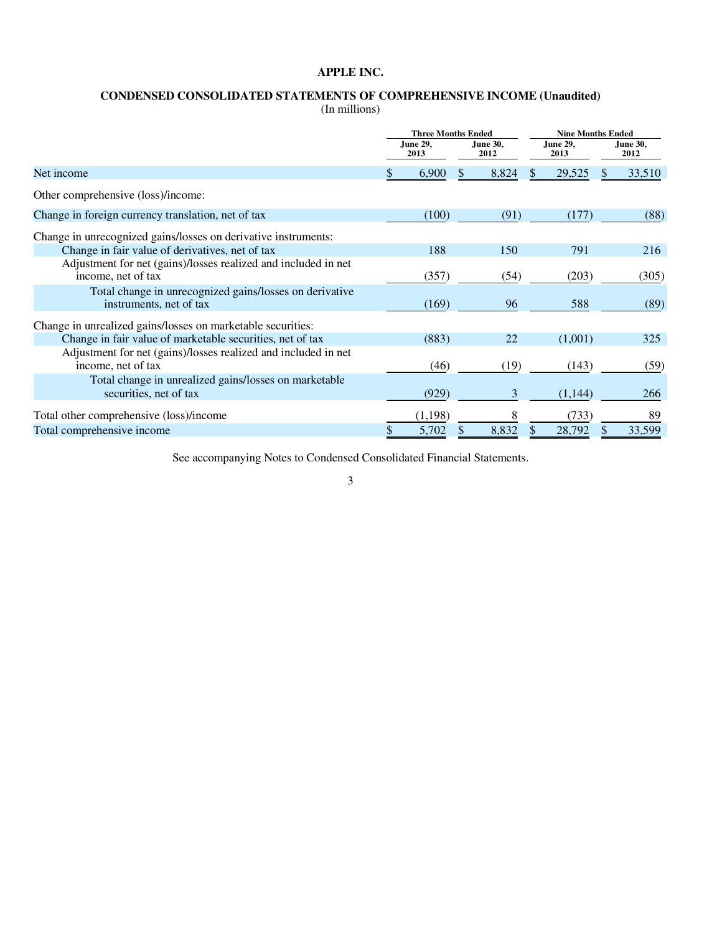#### **APPLE INC.**

### **CONDENSED CONSOLIDATED STATEMENTS OF COMPREHENSIVE INCOME (Unaudited)**

(In millions)

|                                                                                      | <b>Three Months Ended</b> |                  |          |                         | <b>Nine Months Ended</b> |                  |  |                  |  |
|--------------------------------------------------------------------------------------|---------------------------|------------------|----------|-------------------------|--------------------------|------------------|--|------------------|--|
|                                                                                      |                           | June 29,<br>2013 |          | <b>June 30,</b><br>2012 |                          | June 29,<br>2013 |  | June 30,<br>2012 |  |
| Net income                                                                           |                           | 6,900            | <b>S</b> | 8,824                   |                          | 29,525           |  | 33,510           |  |
| Other comprehensive (loss)/income:                                                   |                           |                  |          |                         |                          |                  |  |                  |  |
| Change in foreign currency translation, net of tax                                   |                           | (100)            |          | (91)                    |                          | (177)            |  | (88)             |  |
| Change in unrecognized gains/losses on derivative instruments:                       |                           |                  |          |                         |                          |                  |  |                  |  |
| Change in fair value of derivatives, net of tax                                      |                           | 188              |          | 150                     |                          | 791              |  | 216              |  |
| Adjustment for net (gains)/losses realized and included in net<br>income, net of tax |                           | (357)            |          | (54)                    |                          | (203)            |  | (305)            |  |
| Total change in unrecognized gains/losses on derivative<br>instruments, net of tax   |                           | (169)            |          | 96                      |                          | 588              |  | (89)             |  |
| Change in unrealized gains/losses on marketable securities:                          |                           |                  |          |                         |                          |                  |  |                  |  |
| Change in fair value of marketable securities, net of tax                            |                           | (883)            |          | 22                      |                          | (1,001)          |  | 325              |  |
| Adjustment for net (gains)/losses realized and included in net<br>income, net of tax |                           | (46)             |          | (19)                    |                          | (143)            |  | (59)             |  |
| Total change in unrealized gains/losses on marketable<br>securities, net of tax      |                           | (929)            |          | 3                       |                          | (1,144)          |  | 266              |  |
| Total other comprehensive (loss)/income                                              |                           | (1,198)          |          | 8                       |                          | (733)            |  | 89               |  |
| Total comprehensive income                                                           |                           | 5,702            |          | 8,832                   |                          | 28,792           |  | 33,599           |  |

See accompanying Notes to Condensed Consolidated Financial Statements.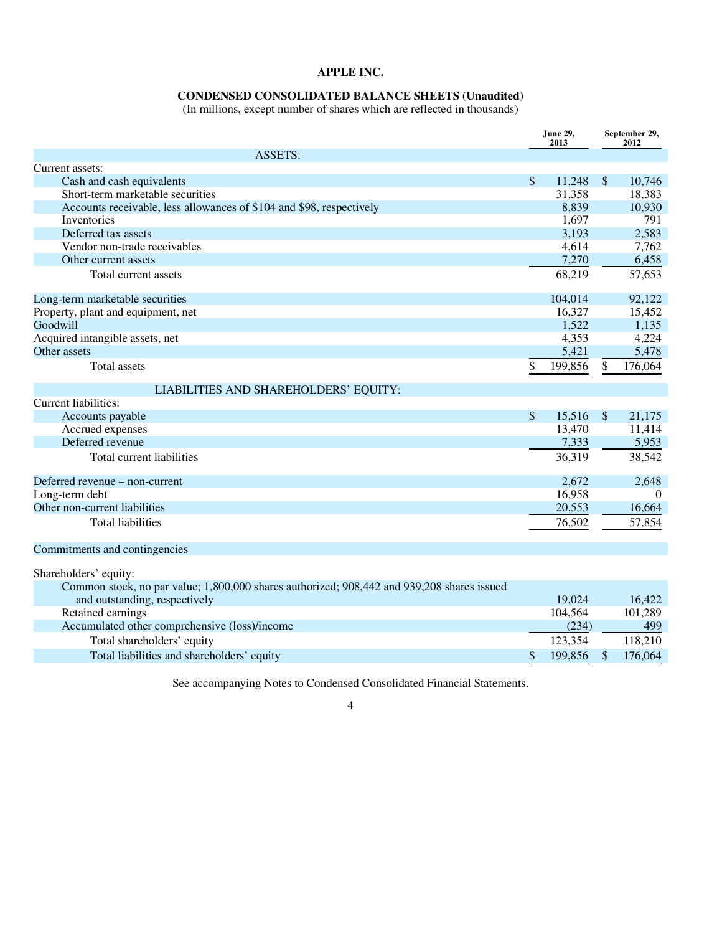#### **APPLE INC.**

#### **CONDENSED CONSOLIDATED BALANCE SHEETS (Unaudited)**

(In millions, except number of shares which are reflected in thousands)

|                                                                                            |              | June 29,<br>2013 |               | September 29,<br>2012 |
|--------------------------------------------------------------------------------------------|--------------|------------------|---------------|-----------------------|
| <b>ASSETS:</b>                                                                             |              |                  |               |                       |
| Current assets:                                                                            |              |                  |               |                       |
| Cash and cash equivalents                                                                  | $\mathbb{S}$ | 11,248           | $\mathcal{S}$ | 10,746                |
| Short-term marketable securities                                                           |              | 31,358           |               | 18,383                |
| Accounts receivable, less allowances of \$104 and \$98, respectively                       |              | 8,839            |               | 10,930                |
| Inventories                                                                                |              | 1,697            |               | 791                   |
| Deferred tax assets                                                                        |              | 3,193            |               | 2,583                 |
| Vendor non-trade receivables                                                               |              | 4,614            |               | 7,762                 |
| Other current assets                                                                       |              | 7,270            |               | 6,458                 |
| Total current assets                                                                       |              | 68,219           |               | 57,653                |
| Long-term marketable securities                                                            |              | 104,014          |               | 92,122                |
| Property, plant and equipment, net                                                         |              | 16,327           |               | 15,452                |
| Goodwill                                                                                   |              | 1,522            |               | 1,135                 |
| Acquired intangible assets, net                                                            |              | 4,353            |               | 4,224                 |
| Other assets                                                                               |              | 5,421            |               | 5,478                 |
| <b>Total assets</b>                                                                        | \$           | 199,856          | \$            | 176,064               |
| LIABILITIES AND SHAREHOLDERS' EQUITY:                                                      |              |                  |               |                       |
| Current liabilities:                                                                       |              |                  |               |                       |
| Accounts payable                                                                           | \$           | 15,516           | $\sqrt$       | 21,175                |
| Accrued expenses                                                                           |              | 13,470           |               | 11,414                |
| Deferred revenue                                                                           |              | 7,333            |               | 5,953                 |
| Total current liabilities                                                                  |              | 36,319           |               | 38,542                |
| Deferred revenue - non-current                                                             |              | 2,672            |               | 2,648                 |
| Long-term debt                                                                             |              | 16,958           |               | $\Omega$              |
| Other non-current liabilities                                                              |              | 20,553           |               | 16,664                |
| <b>Total liabilities</b>                                                                   |              | 76,502           |               | 57,854                |
|                                                                                            |              |                  |               |                       |
| Commitments and contingencies                                                              |              |                  |               |                       |
| Shareholders' equity:                                                                      |              |                  |               |                       |
| Common stock, no par value; 1,800,000 shares authorized; 908,442 and 939,208 shares issued |              |                  |               |                       |
| and outstanding, respectively                                                              |              | 19,024           |               | 16,422                |
| Retained earnings                                                                          |              | 104,564          |               | 101,289               |
| Accumulated other comprehensive (loss)/income                                              |              | (234)            |               | 499                   |
| Total shareholders' equity                                                                 |              | 123,354          |               | 118,210               |
| Total liabilities and shareholders' equity                                                 | \$           | 199,856          | \$            | 176,064               |

See accompanying Notes to Condensed Consolidated Financial Statements.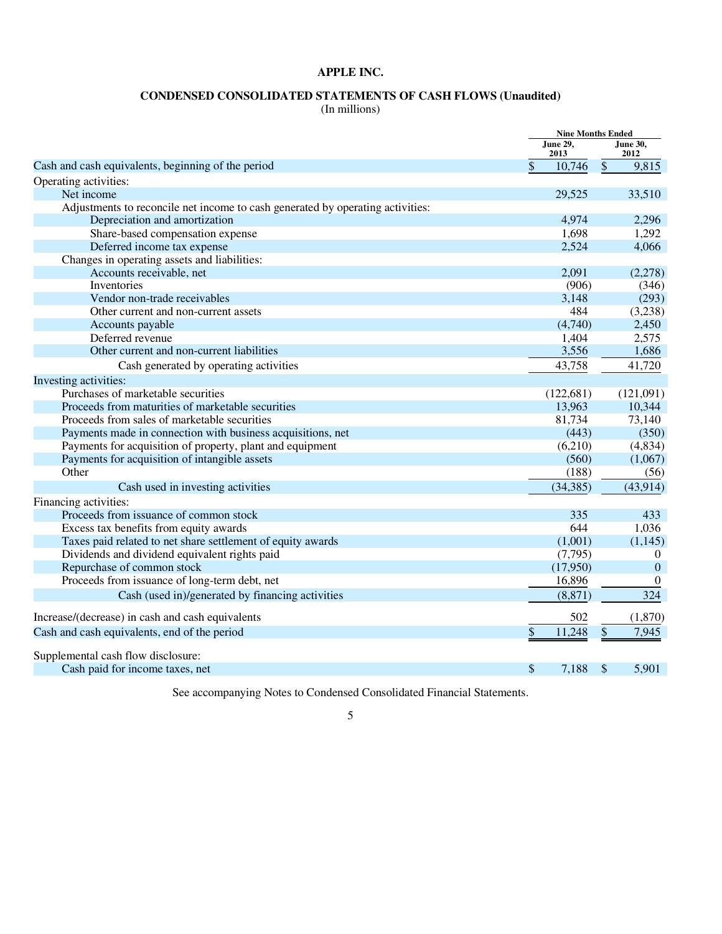#### **APPLE INC.**

### **CONDENSED CONSOLIDATED STATEMENTS OF CASH FLOWS (Unaudited)**

(In millions)

|                                                                                | <b>Nine Months Ended</b> |                           |                  |
|--------------------------------------------------------------------------------|--------------------------|---------------------------|------------------|
|                                                                                | June 29,<br>2013         |                           | June 30,<br>2012 |
| Cash and cash equivalents, beginning of the period                             | \$<br>10,746             | $\sqrt$                   | 9,815            |
| Operating activities:                                                          |                          |                           |                  |
| Net income                                                                     | 29,525                   |                           | 33,510           |
| Adjustments to reconcile net income to cash generated by operating activities: |                          |                           |                  |
| Depreciation and amortization                                                  | 4.974                    |                           | 2,296            |
| Share-based compensation expense                                               | 1,698                    |                           | 1,292            |
| Deferred income tax expense                                                    | 2,524                    |                           | 4,066            |
| Changes in operating assets and liabilities:                                   |                          |                           |                  |
| Accounts receivable, net                                                       | 2,091                    |                           | (2,278)          |
| Inventories                                                                    | (906)                    |                           | (346)            |
| Vendor non-trade receivables                                                   | 3,148                    |                           | (293)            |
| Other current and non-current assets                                           | 484                      |                           | (3,238)          |
| Accounts payable                                                               | (4,740)                  |                           | 2,450            |
| Deferred revenue                                                               | 1,404                    |                           | 2,575            |
| Other current and non-current liabilities                                      | 3,556                    |                           | 1,686            |
| Cash generated by operating activities                                         | 43,758                   |                           | 41,720           |
| Investing activities:                                                          |                          |                           |                  |
| Purchases of marketable securities                                             | (122, 681)               |                           | (121,091)        |
| Proceeds from maturities of marketable securities                              | 13,963                   |                           | 10,344           |
| Proceeds from sales of marketable securities                                   | 81,734                   |                           | 73,140           |
| Payments made in connection with business acquisitions, net                    | (443)                    |                           | (350)            |
| Payments for acquisition of property, plant and equipment                      | (6,210)                  |                           | (4,834)          |
| Payments for acquisition of intangible assets                                  | (560)                    |                           | (1,067)          |
| Other                                                                          | (188)                    |                           | (56)             |
| Cash used in investing activities                                              | (34, 385)                |                           | (43, 914)        |
| Financing activities:                                                          |                          |                           |                  |
| Proceeds from issuance of common stock                                         | 335                      |                           | 433              |
| Excess tax benefits from equity awards                                         | 644                      |                           | 1,036            |
| Taxes paid related to net share settlement of equity awards                    | (1,001)                  |                           | (1,145)          |
| Dividends and dividend equivalent rights paid                                  | (7,795)                  |                           | $\theta$         |
| Repurchase of common stock                                                     | (17,950)                 |                           | $\overline{0}$   |
| Proceeds from issuance of long-term debt, net                                  | 16,896                   |                           | $\mathbf{0}$     |
| Cash (used in)/generated by financing activities                               |                          |                           | 324              |
|                                                                                | (8, 871)                 |                           |                  |
| Increase/(decrease) in cash and cash equivalents                               | 502                      |                           | (1,870)          |
| Cash and cash equivalents, end of the period                                   | \$<br>11,248             | $\boldsymbol{\mathsf{S}}$ | 7,945            |
| Supplemental cash flow disclosure:                                             |                          |                           |                  |
| Cash paid for income taxes, net                                                | \$<br>7,188              | \$                        | 5,901            |

See accompanying Notes to Condensed Consolidated Financial Statements.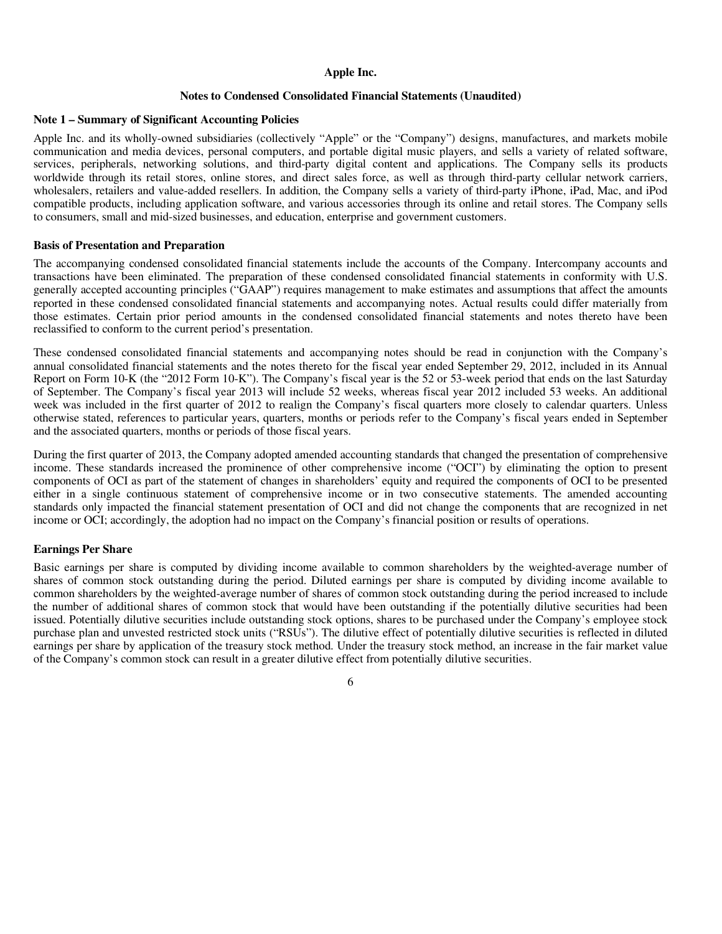#### **Apple Inc.**

#### **Notes to Condensed Consolidated Financial Statements (Unaudited)**

#### **Note 1 – Summary of Significant Accounting Policies**

Apple Inc. and its wholly-owned subsidiaries (collectively "Apple" or the "Company") designs, manufactures, and markets mobile communication and media devices, personal computers, and portable digital music players, and sells a variety of related software, services, peripherals, networking solutions, and third-party digital content and applications. The Company sells its products worldwide through its retail stores, online stores, and direct sales force, as well as through third-party cellular network carriers, wholesalers, retailers and value-added resellers. In addition, the Company sells a variety of third-party iPhone, iPad, Mac, and iPod compatible products, including application software, and various accessories through its online and retail stores. The Company sells to consumers, small and mid-sized businesses, and education, enterprise and government customers.

#### **Basis of Presentation and Preparation**

The accompanying condensed consolidated financial statements include the accounts of the Company. Intercompany accounts and transactions have been eliminated. The preparation of these condensed consolidated financial statements in conformity with U.S. generally accepted accounting principles ("GAAP") requires management to make estimates and assumptions that affect the amounts reported in these condensed consolidated financial statements and accompanying notes. Actual results could differ materially from those estimates. Certain prior period amounts in the condensed consolidated financial statements and notes thereto have been reclassified to conform to the current period's presentation.

These condensed consolidated financial statements and accompanying notes should be read in conjunction with the Company's annual consolidated financial statements and the notes thereto for the fiscal year ended September 29, 2012, included in its Annual Report on Form 10-K (the "2012 Form 10-K"). The Company's fiscal year is the 52 or 53-week period that ends on the last Saturday of September. The Company's fiscal year 2013 will include 52 weeks, whereas fiscal year 2012 included 53 weeks. An additional week was included in the first quarter of 2012 to realign the Company's fiscal quarters more closely to calendar quarters. Unless otherwise stated, references to particular years, quarters, months or periods refer to the Company's fiscal years ended in September and the associated quarters, months or periods of those fiscal years.

During the first quarter of 2013, the Company adopted amended accounting standards that changed the presentation of comprehensive income. These standards increased the prominence of other comprehensive income ("OCI") by eliminating the option to present components of OCI as part of the statement of changes in shareholders' equity and required the components of OCI to be presented either in a single continuous statement of comprehensive income or in two consecutive statements. The amended accounting standards only impacted the financial statement presentation of OCI and did not change the components that are recognized in net income or OCI; accordingly, the adoption had no impact on the Company's financial position or results of operations.

#### **Earnings Per Share**

Basic earnings per share is computed by dividing income available to common shareholders by the weighted-average number of shares of common stock outstanding during the period. Diluted earnings per share is computed by dividing income available to common shareholders by the weighted-average number of shares of common stock outstanding during the period increased to include the number of additional shares of common stock that would have been outstanding if the potentially dilutive securities had been issued. Potentially dilutive securities include outstanding stock options, shares to be purchased under the Company's employee stock purchase plan and unvested restricted stock units ("RSUs"). The dilutive effect of potentially dilutive securities is reflected in diluted earnings per share by application of the treasury stock method. Under the treasury stock method, an increase in the fair market value of the Company's common stock can result in a greater dilutive effect from potentially dilutive securities.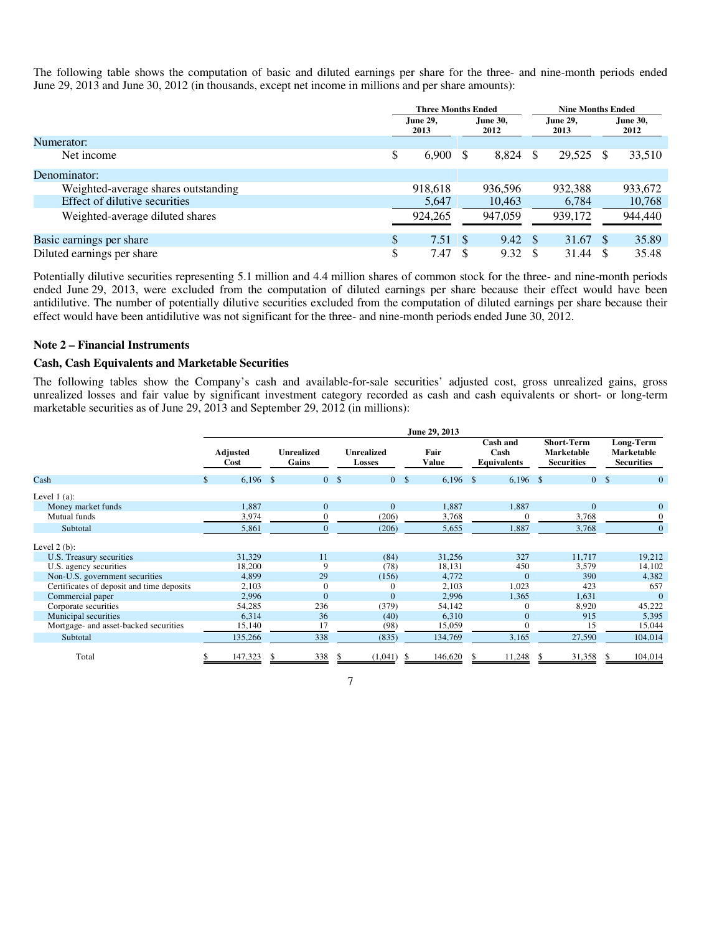The following table shows the computation of basic and diluted earnings per share for the three- and nine-month periods ended June 29, 2013 and June 30, 2012 (in thousands, except net income in millions and per share amounts):

|                                     | <b>Three Months Ended</b> |                  |            |                  |          |                  | <b>Nine Months Ended</b> |                  |  |
|-------------------------------------|---------------------------|------------------|------------|------------------|----------|------------------|--------------------------|------------------|--|
|                                     |                           | June 29,<br>2013 |            | June 30,<br>2012 |          | June 29,<br>2013 |                          | June 30,<br>2012 |  |
| Numerator:                          |                           |                  |            |                  |          |                  |                          |                  |  |
| Net income                          | \$                        | 6.900            |            | 8.824            | \$.      | 29.525           | <b>S</b>                 | 33,510           |  |
| Denominator:                        |                           |                  |            |                  |          |                  |                          |                  |  |
| Weighted-average shares outstanding |                           | 918,618          |            | 936,596          |          | 932,388          |                          | 933,672          |  |
| Effect of dilutive securities       |                           | 5.647            |            | 10,463           |          | 6.784            |                          | 10,768           |  |
| Weighted-average diluted shares     |                           | 924,265          |            | 947,059          |          | 939,172          |                          | 944,440          |  |
| Basic earnings per share            | \$.                       | 7.51             | $\sqrt{s}$ | 9.42             | - \$     | 31.67            | -S                       | 35.89            |  |
| Diluted earnings per share          | \$                        | 7.47             |            | 9.32             | <b>S</b> | 31.44            |                          | 35.48            |  |

Potentially dilutive securities representing 5.1 million and 4.4 million shares of common stock for the three- and nine-month periods ended June 29, 2013, were excluded from the computation of diluted earnings per share because their effect would have been antidilutive. The number of potentially dilutive securities excluded from the computation of diluted earnings per share because their effect would have been antidilutive was not significant for the three- and nine-month periods ended June 30, 2012.

#### **Note 2 – Financial Instruments**

#### **Cash, Cash Equivalents and Marketable Securities**

The following tables show the Company's cash and available-for-sale securities' adjusted cost, gross unrealized gains, gross unrealized losses and fair value by significant investment category recorded as cash and cash equivalents or short- or long-term marketable securities as of June 29, 2013 and September 29, 2012 (in millions):

|                                           |                  |                            |                                    | June 29, 2013 |                                        |                                                      |                                              |
|-------------------------------------------|------------------|----------------------------|------------------------------------|---------------|----------------------------------------|------------------------------------------------------|----------------------------------------------|
|                                           | Adjusted<br>Cost | <b>Unrealized</b><br>Gains | <b>Unrealized</b><br><b>Losses</b> | Fair<br>Value | Cash and<br>Cash<br><b>Equivalents</b> | <b>Short-Term</b><br>Marketable<br><b>Securities</b> | Long-Term<br>Marketable<br><b>Securities</b> |
| Cash                                      | $6,196$ \$<br>\$ |                            | 0 <sup>5</sup><br>0 <sup>5</sup>   | $6,196$ \$    | $6,196$ \$                             |                                                      | 0 <sup>5</sup><br>$\overline{0}$             |
| Level $1$ (a):                            |                  |                            |                                    |               |                                        |                                                      |                                              |
| Money market funds                        | 1,887            | $\overline{0}$             | $\overline{0}$                     | 1,887         | 1,887                                  | $\mathbf{0}$                                         | $\mathbf{0}$                                 |
| Mutual funds                              | 3,974            | $\theta$                   | (206)                              | 3,768         | $\theta$                               | 3,768                                                | $\bf{0}$                                     |
| Subtotal                                  | 5,861            | $\Omega$                   | (206)                              | 5,655         | 1,887                                  | 3,768                                                | $\theta$                                     |
| Level $2(b)$ :                            |                  |                            |                                    |               |                                        |                                                      |                                              |
| U.S. Treasury securities                  | 31,329           | 11                         | (84)                               | 31,256        | 327                                    | 11,717                                               | 19,212                                       |
| U.S. agency securities                    | 18,200           | 9                          | (78)                               | 18,131        | 450                                    | 3,579                                                | 14,102                                       |
| Non-U.S. government securities            | 4.899            | 29                         | (156)                              | 4,772         | $\mathbf{0}$                           | 390                                                  | 4,382                                        |
| Certificates of deposit and time deposits | 2,103            | $\theta$                   | 0                                  | 2,103         | 1,023                                  | 423                                                  | 657                                          |
| Commercial paper                          | 2,996            | $\Omega$                   | $\Omega$                           | 2,996         | 1,365                                  | 1,631                                                | $\Omega$                                     |
| Corporate securities                      | 54,285           | 236                        | (379)                              | 54,142        | $\theta$                               | 8,920                                                | 45,222                                       |
| Municipal securities                      | 6,314            | 36                         | (40)                               | 6,310         | $\mathbf{0}$                           | 915                                                  | 5,395                                        |
| Mortgage- and asset-backed securities     | 15,140           | 17                         | (98)                               | 15,059        | $\Omega$                               | 15                                                   | 15,044                                       |
| Subtotal                                  | 135,266          | 338                        | (835)                              | 134,769       | 3,165                                  | 27,590                                               | 104,014                                      |
| Total                                     | 147,323          | 338                        | $(1,041)$ \$<br>-S                 | 146,620       | 11,248                                 | 31,358                                               | 104,014                                      |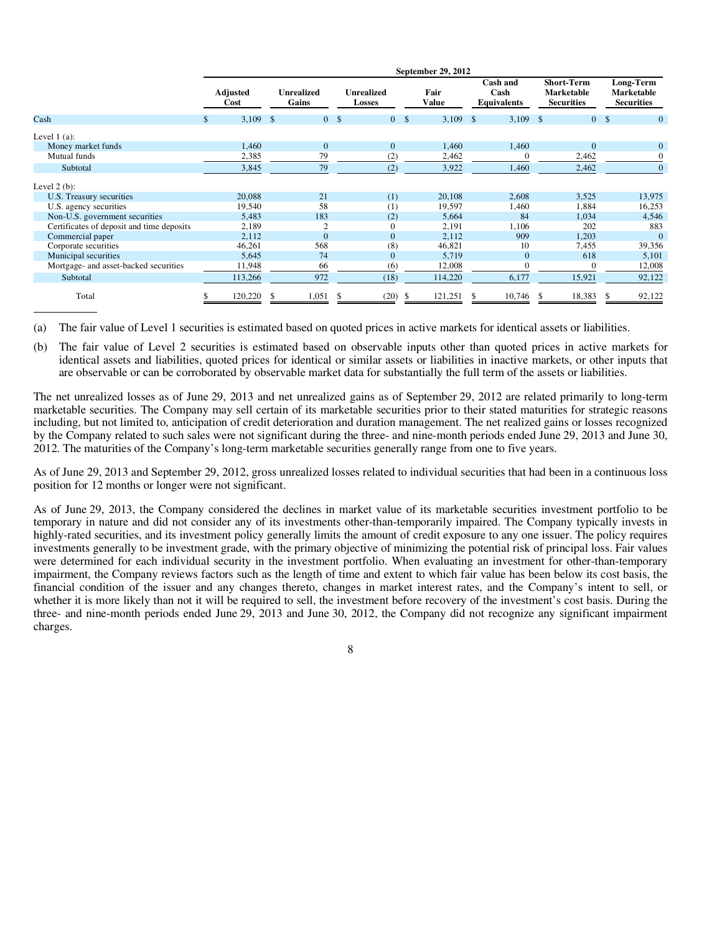|                                           |                         |    |                            |   |                                    |     | September 29, 2012 |                                        |                                                      |                                                     |
|-------------------------------------------|-------------------------|----|----------------------------|---|------------------------------------|-----|--------------------|----------------------------------------|------------------------------------------------------|-----------------------------------------------------|
|                                           | <b>Adjusted</b><br>Cost |    | <b>Unrealized</b><br>Gains |   | <b>Unrealized</b><br><b>Losses</b> |     | Fair<br>Value      | Cash and<br>Cash<br><b>Equivalents</b> | <b>Short-Term</b><br>Marketable<br><b>Securities</b> | Long-Term<br><b>Marketable</b><br><b>Securities</b> |
| Cash                                      | $3,109$ \$<br>\$        |    | 0 <sup>5</sup>             |   | $\overline{0}$                     | -\$ | $3,109$ \$         | $3,109$ \$                             | 0 <sup>5</sup>                                       | $\overline{0}$                                      |
| Level $1$ (a):                            |                         |    |                            |   |                                    |     |                    |                                        |                                                      |                                                     |
| Money market funds                        | 1,460                   |    | $\mathbf{0}$               |   | $\mathbf{0}$                       |     | 1,460              | 1,460                                  | $\mathbf{0}$                                         | $\mathbf{0}$                                        |
| Mutual funds                              | 2,385                   |    | 79                         |   | (2)                                |     | 2,462              | 0                                      | 2,462                                                | $\boldsymbol{0}$                                    |
| Subtotal                                  | 3,845                   |    | 79                         |   | (2)                                |     | 3,922              | 1,460                                  | 2,462                                                | $\Omega$                                            |
| Level $2(b)$ :                            |                         |    |                            |   |                                    |     |                    |                                        |                                                      |                                                     |
| U.S. Treasury securities                  | 20,088                  |    | 21                         |   | (1)                                |     | 20,108             | 2,608                                  | 3,525                                                | 13,975                                              |
| U.S. agency securities                    | 19,540                  |    | 58                         |   | (1)                                |     | 19,597             | 1,460                                  | 1,884                                                | 16,253                                              |
| Non-U.S. government securities            | 5,483                   |    | 183                        |   | (2)                                |     | 5,664              | 84                                     | 1,034                                                | 4,546                                               |
| Certificates of deposit and time deposits | 2,189                   |    | $\overline{2}$             |   | $\theta$                           |     | 2,191              | 1,106                                  | 202                                                  | 883                                                 |
| Commercial paper                          | 2,112                   |    | $\overline{0}$             |   | $\mathbf{0}$                       |     | 2,112              | 909                                    | 1,203                                                | $\theta$                                            |
| Corporate securities                      | 46,261                  |    | 568                        |   | (8)                                |     | 46,821             | 10                                     | 7,455                                                | 39,356                                              |
| Municipal securities                      | 5,645                   |    | 74                         |   | $\mathbf{0}$                       |     | 5,719              | $\mathbf{0}$                           | 618                                                  | 5,101                                               |
| Mortgage- and asset-backed securities     | 11,948                  |    | 66                         |   | (6)                                |     | 12,008             | $\Omega$                               | $\Omega$                                             | 12,008                                              |
| Subtotal                                  | 113,266                 |    | 972                        |   | (18)                               |     | 114,220            | 6,177                                  | 15,921                                               | 92,122                                              |
| Total                                     | 120,220<br>S            | Ъ, | 1,051                      | S | (20)                               | S   | 121,251            | 10,746                                 | 18,383                                               | 92,122                                              |

(a) The fair value of Level 1 securities is estimated based on quoted prices in active markets for identical assets or liabilities.

 (b) The fair value of Level 2 securities is estimated based on observable inputs other than quoted prices in active markets for identical assets and liabilities, quoted prices for identical or similar assets or liabilities in inactive markets, or other inputs that are observable or can be corroborated by observable market data for substantially the full term of the assets or liabilities.

The net unrealized losses as of June 29, 2013 and net unrealized gains as of September 29, 2012 are related primarily to long-term marketable securities. The Company may sell certain of its marketable securities prior to their stated maturities for strategic reasons including, but not limited to, anticipation of credit deterioration and duration management. The net realized gains or losses recognized by the Company related to such sales were not significant during the three- and nine-month periods ended June 29, 2013 and June 30, 2012. The maturities of the Company's long-term marketable securities generally range from one to five years.

As of June 29, 2013 and September 29, 2012, gross unrealized losses related to individual securities that had been in a continuous loss position for 12 months or longer were not significant.

As of June 29, 2013, the Company considered the declines in market value of its marketable securities investment portfolio to be temporary in nature and did not consider any of its investments other-than-temporarily impaired. The Company typically invests in highly-rated securities, and its investment policy generally limits the amount of credit exposure to any one issuer. The policy requires investments generally to be investment grade, with the primary objective of minimizing the potential risk of principal loss. Fair values were determined for each individual security in the investment portfolio. When evaluating an investment for other-than-temporary impairment, the Company reviews factors such as the length of time and extent to which fair value has been below its cost basis, the financial condition of the issuer and any changes thereto, changes in market interest rates, and the Company's intent to sell, or whether it is more likely than not it will be required to sell, the investment before recovery of the investment's cost basis. During the three- and nine-month periods ended June 29, 2013 and June 30, 2012, the Company did not recognize any significant impairment charges.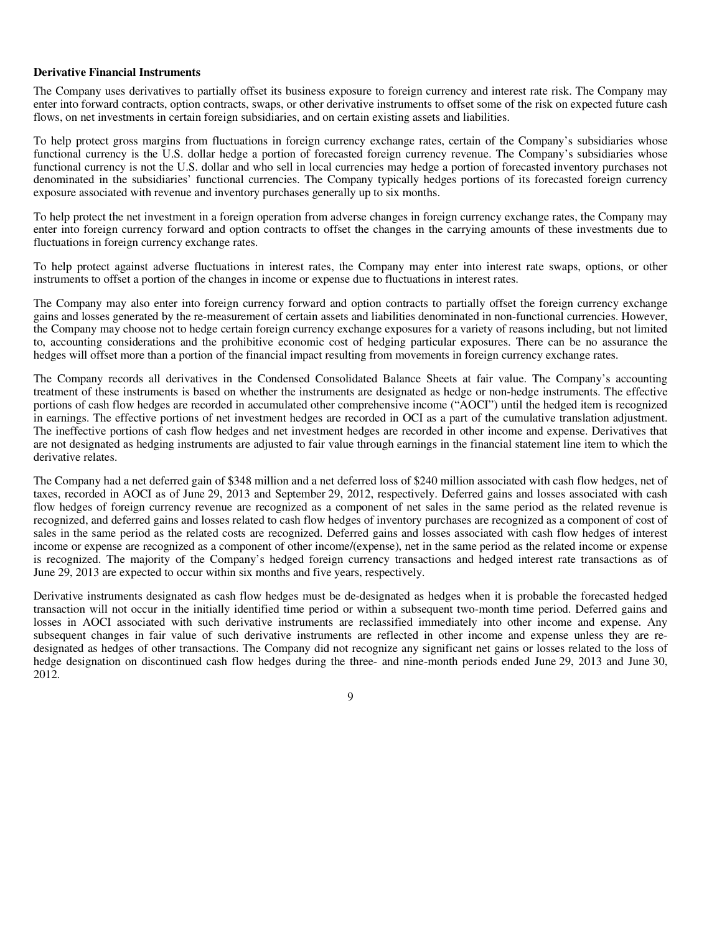#### **Derivative Financial Instruments**

The Company uses derivatives to partially offset its business exposure to foreign currency and interest rate risk. The Company may enter into forward contracts, option contracts, swaps, or other derivative instruments to offset some of the risk on expected future cash flows, on net investments in certain foreign subsidiaries, and on certain existing assets and liabilities.

To help protect gross margins from fluctuations in foreign currency exchange rates, certain of the Company's subsidiaries whose functional currency is the U.S. dollar hedge a portion of forecasted foreign currency revenue. The Company's subsidiaries whose functional currency is not the U.S. dollar and who sell in local currencies may hedge a portion of forecasted inventory purchases not denominated in the subsidiaries' functional currencies. The Company typically hedges portions of its forecasted foreign currency exposure associated with revenue and inventory purchases generally up to six months.

To help protect the net investment in a foreign operation from adverse changes in foreign currency exchange rates, the Company may enter into foreign currency forward and option contracts to offset the changes in the carrying amounts of these investments due to fluctuations in foreign currency exchange rates.

To help protect against adverse fluctuations in interest rates, the Company may enter into interest rate swaps, options, or other instruments to offset a portion of the changes in income or expense due to fluctuations in interest rates.

The Company may also enter into foreign currency forward and option contracts to partially offset the foreign currency exchange gains and losses generated by the re-measurement of certain assets and liabilities denominated in non-functional currencies. However, the Company may choose not to hedge certain foreign currency exchange exposures for a variety of reasons including, but not limited to, accounting considerations and the prohibitive economic cost of hedging particular exposures. There can be no assurance the hedges will offset more than a portion of the financial impact resulting from movements in foreign currency exchange rates.

The Company records all derivatives in the Condensed Consolidated Balance Sheets at fair value. The Company's accounting treatment of these instruments is based on whether the instruments are designated as hedge or non-hedge instruments. The effective portions of cash flow hedges are recorded in accumulated other comprehensive income ("AOCI") until the hedged item is recognized in earnings. The effective portions of net investment hedges are recorded in OCI as a part of the cumulative translation adjustment. The ineffective portions of cash flow hedges and net investment hedges are recorded in other income and expense. Derivatives that are not designated as hedging instruments are adjusted to fair value through earnings in the financial statement line item to which the derivative relates.

The Company had a net deferred gain of \$348 million and a net deferred loss of \$240 million associated with cash flow hedges, net of taxes, recorded in AOCI as of June 29, 2013 and September 29, 2012, respectively. Deferred gains and losses associated with cash flow hedges of foreign currency revenue are recognized as a component of net sales in the same period as the related revenue is recognized, and deferred gains and losses related to cash flow hedges of inventory purchases are recognized as a component of cost of sales in the same period as the related costs are recognized. Deferred gains and losses associated with cash flow hedges of interest income or expense are recognized as a component of other income/(expense), net in the same period as the related income or expense is recognized. The majority of the Company's hedged foreign currency transactions and hedged interest rate transactions as of June 29, 2013 are expected to occur within six months and five years, respectively.

Derivative instruments designated as cash flow hedges must be de-designated as hedges when it is probable the forecasted hedged transaction will not occur in the initially identified time period or within a subsequent two-month time period. Deferred gains and losses in AOCI associated with such derivative instruments are reclassified immediately into other income and expense. Any subsequent changes in fair value of such derivative instruments are reflected in other income and expense unless they are redesignated as hedges of other transactions. The Company did not recognize any significant net gains or losses related to the loss of hedge designation on discontinued cash flow hedges during the three- and nine-month periods ended June 29, 2013 and June 30, 2012.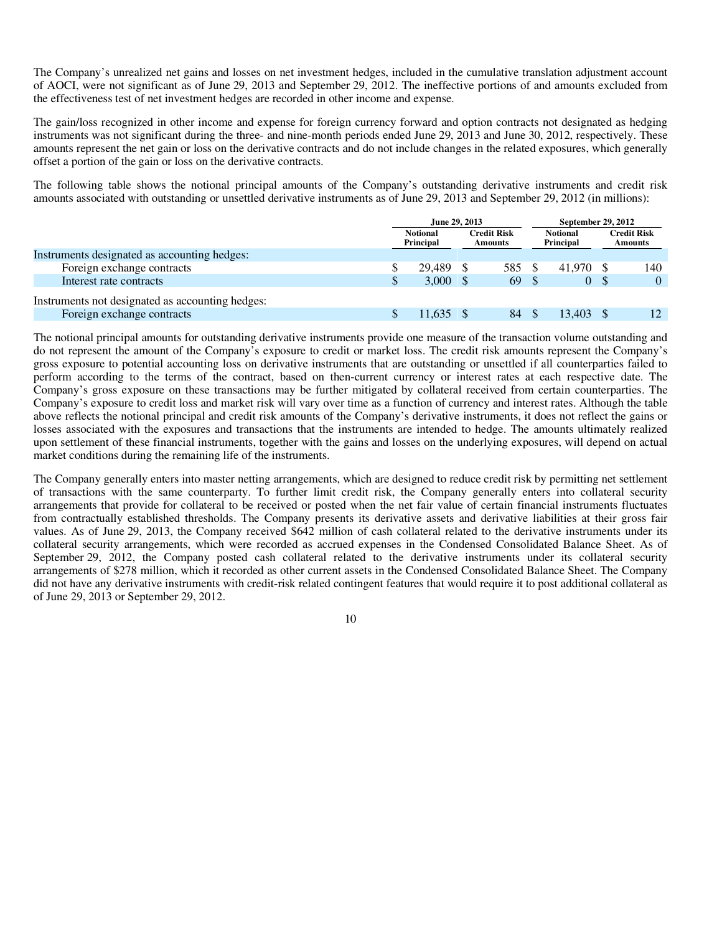The Company's unrealized net gains and losses on net investment hedges, included in the cumulative translation adjustment account of AOCI, were not significant as of June 29, 2013 and September 29, 2012. The ineffective portions of and amounts excluded from the effectiveness test of net investment hedges are recorded in other income and expense.

The gain/loss recognized in other income and expense for foreign currency forward and option contracts not designated as hedging instruments was not significant during the three- and nine-month periods ended June 29, 2013 and June 30, 2012, respectively. These amounts represent the net gain or loss on the derivative contracts and do not include changes in the related exposures, which generally offset a portion of the gain or loss on the derivative contracts.

The following table shows the notional principal amounts of the Company's outstanding derivative instruments and credit risk amounts associated with outstanding or unsettled derivative instruments as of June 29, 2013 and September 29, 2012 (in millions):

|                                                  | June 29, 2013                |  |                               |                              | September 29, 2012 |                               |
|--------------------------------------------------|------------------------------|--|-------------------------------|------------------------------|--------------------|-------------------------------|
|                                                  | <b>Notional</b><br>Principal |  | <b>Credit Risk</b><br>Amounts | <b>Notional</b><br>Principal |                    | <b>Credit Risk</b><br>Amounts |
| Instruments designated as accounting hedges:     |                              |  |                               |                              |                    |                               |
| Foreign exchange contracts                       | 29.489                       |  | 585 \$                        | 41.970 \$                    |                    | 140                           |
| Interest rate contracts                          | 3,000                        |  | 69                            | $\overline{0}$               |                    | $\theta$                      |
| Instruments not designated as accounting hedges: |                              |  |                               |                              |                    |                               |
| Foreign exchange contracts                       | 11.635                       |  | 84                            | 13.403                       |                    | 12                            |

The notional principal amounts for outstanding derivative instruments provide one measure of the transaction volume outstanding and do not represent the amount of the Company's exposure to credit or market loss. The credit risk amounts represent the Company's gross exposure to potential accounting loss on derivative instruments that are outstanding or unsettled if all counterparties failed to perform according to the terms of the contract, based on then-current currency or interest rates at each respective date. The Company's gross exposure on these transactions may be further mitigated by collateral received from certain counterparties. The Company's exposure to credit loss and market risk will vary over time as a function of currency and interest rates. Although the table above reflects the notional principal and credit risk amounts of the Company's derivative instruments, it does not reflect the gains or losses associated with the exposures and transactions that the instruments are intended to hedge. The amounts ultimately realized upon settlement of these financial instruments, together with the gains and losses on the underlying exposures, will depend on actual market conditions during the remaining life of the instruments.

The Company generally enters into master netting arrangements, which are designed to reduce credit risk by permitting net settlement of transactions with the same counterparty. To further limit credit risk, the Company generally enters into collateral security arrangements that provide for collateral to be received or posted when the net fair value of certain financial instruments fluctuates from contractually established thresholds. The Company presents its derivative assets and derivative liabilities at their gross fair values. As of June 29, 2013, the Company received \$642 million of cash collateral related to the derivative instruments under its collateral security arrangements, which were recorded as accrued expenses in the Condensed Consolidated Balance Sheet. As of September 29, 2012, the Company posted cash collateral related to the derivative instruments under its collateral security arrangements of \$278 million, which it recorded as other current assets in the Condensed Consolidated Balance Sheet. The Company did not have any derivative instruments with credit-risk related contingent features that would require it to post additional collateral as of June 29, 2013 or September 29, 2012.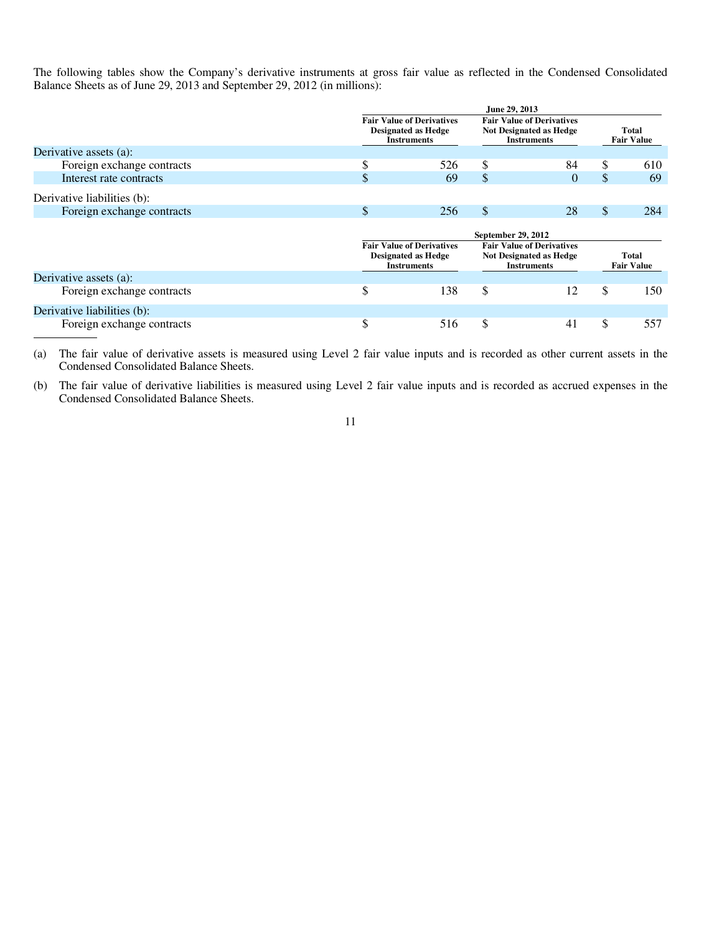The following tables show the Company's derivative instruments at gross fair value as reflected in the Condensed Consolidated Balance Sheets as of June 29, 2013 and September 29, 2012 (in millions):

|                             |    |                                                                                      | June 29, 2013 |                                                                                          |               |                                   |  |
|-----------------------------|----|--------------------------------------------------------------------------------------|---------------|------------------------------------------------------------------------------------------|---------------|-----------------------------------|--|
|                             |    | <b>Fair Value of Derivatives</b><br><b>Designated as Hedge</b><br><b>Instruments</b> |               | <b>Fair Value of Derivatives</b><br><b>Not Designated as Hedge</b><br><b>Instruments</b> |               | <b>Total</b><br><b>Fair Value</b> |  |
| Derivative assets (a):      |    |                                                                                      |               |                                                                                          |               |                                   |  |
| Foreign exchange contracts  | \$ | 526                                                                                  | \$            | 84                                                                                       | \$            | 610                               |  |
| Interest rate contracts     | Ф  | 69                                                                                   | \$            | 0                                                                                        | \$            | 69                                |  |
| Derivative liabilities (b): |    |                                                                                      |               |                                                                                          |               |                                   |  |
| Foreign exchange contracts  | \$ | 256                                                                                  | \$            | 28                                                                                       | $\mathcal{S}$ | 284                               |  |
|                             |    | September 29, 2012                                                                   |               |                                                                                          |               |                                   |  |
|                             |    | <b>Fair Value of Derivatives</b><br><b>Designated as Hedge</b><br><b>Instruments</b> |               | <b>Fair Value of Derivatives</b><br><b>Not Designated as Hedge</b><br><b>Instruments</b> |               | Total<br><b>Fair Value</b>        |  |
| Derivative assets (a):      |    |                                                                                      |               |                                                                                          |               |                                   |  |
| Foreign exchange contracts  | \$ | 138                                                                                  | \$            | 12                                                                                       | \$            | 150                               |  |
| Derivative liabilities (b): |    |                                                                                      |               |                                                                                          |               |                                   |  |
| Foreign exchange contracts  | \$ | 516                                                                                  | \$            | 41                                                                                       | \$            | 557                               |  |

 (a) The fair value of derivative assets is measured using Level 2 fair value inputs and is recorded as other current assets in the Condensed Consolidated Balance Sheets.

 (b) The fair value of derivative liabilities is measured using Level 2 fair value inputs and is recorded as accrued expenses in the Condensed Consolidated Balance Sheets.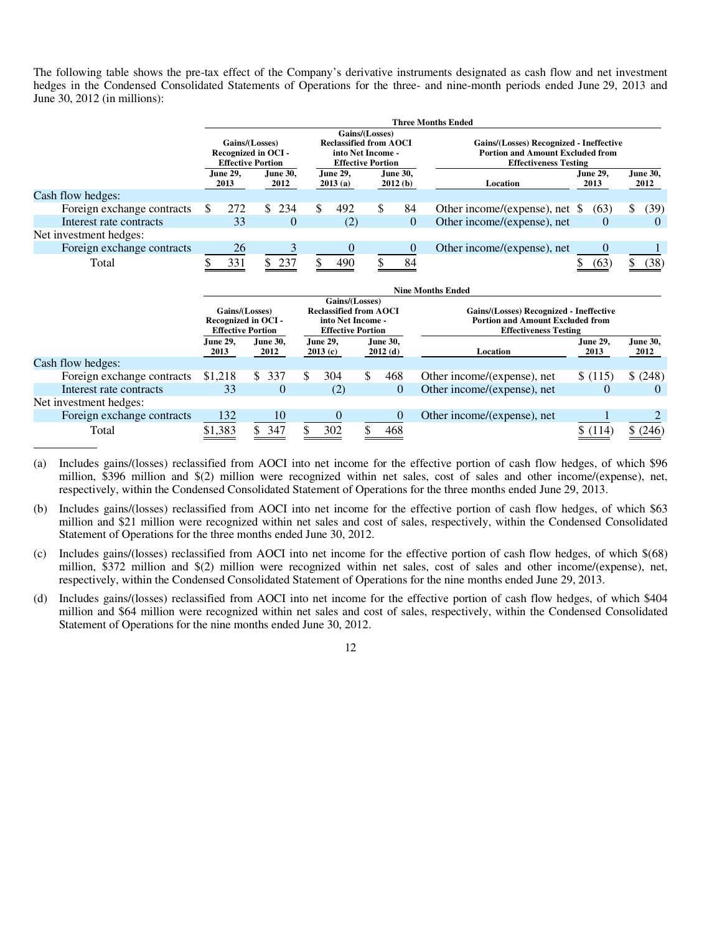The following table shows the pre-tax effect of the Company's derivative instruments designated as cash flow and net investment hedges in the Condensed Consolidated Statements of Operations for the three- and nine-month periods ended June 29, 2013 and June 30, 2012 (in millions):

|                            |                          |    |                 |                                                          |                |                 | <b>Three Months Ended</b>               |  |                 |   |                 |  |  |
|----------------------------|--------------------------|----|-----------------|----------------------------------------------------------|----------------|-----------------|-----------------------------------------|--|-----------------|---|-----------------|--|--|
|                            |                          |    |                 |                                                          | Gains/(Losses) |                 |                                         |  |                 |   |                 |  |  |
|                            | Gains/(Losses)           |    |                 | <b>Reclassified from AOCI</b>                            |                |                 | Gains/(Losses) Recognized - Ineffective |  |                 |   |                 |  |  |
|                            | Recognized in OCI -      |    |                 | into Net Income -                                        |                |                 | <b>Portion and Amount Excluded from</b> |  |                 |   |                 |  |  |
|                            | <b>Effective Portion</b> |    |                 | <b>Effective Portion</b><br><b>Effectiveness Testing</b> |                |                 |                                         |  |                 |   |                 |  |  |
|                            | <b>June 29.</b>          |    | <b>June 30.</b> | <b>June 29.</b>                                          |                | <b>June 30.</b> |                                         |  | <b>June 29.</b> |   | <b>June 30,</b> |  |  |
|                            | 2013                     |    | 2012            | 2013(a)                                                  |                | 2012(b)         | Location                                |  | 2013            |   | 2012            |  |  |
| Cash flow hedges:          |                          |    |                 |                                                          |                |                 |                                         |  |                 |   |                 |  |  |
| Foreign exchange contracts | 272                      | S. | 234             | 492                                                      | \$             | 84              | Other income/(expense), net \$          |  | (63)            | S | (39)            |  |  |
| Interest rate contracts    | 33                       |    | $\theta$        | (2)                                                      |                | $\Omega$        | Other income/(expense), net             |  | $\theta$        |   | $\theta$        |  |  |
| Net investment hedges:     |                          |    |                 |                                                          |                |                 |                                         |  |                 |   |                 |  |  |
| Foreign exchange contracts | 26                       |    |                 |                                                          |                |                 | Other income/(expense), net             |  | $\Omega$        |   |                 |  |  |
| Total                      | 331                      |    | 237             | 490                                                      |                | 84              |                                         |  | (63)            |   | (38)            |  |  |

|                            |                         |                          |                               |                            | <b>Nine Months Ended</b>                |                                         |                  |  |  |  |  |
|----------------------------|-------------------------|--------------------------|-------------------------------|----------------------------|-----------------------------------------|-----------------------------------------|------------------|--|--|--|--|
|                            |                         |                          | Gains/(Losses)                |                            |                                         |                                         |                  |  |  |  |  |
|                            | Gains/(Losses)          |                          | <b>Reclassified from AOCI</b> |                            | Gains/(Losses) Recognized - Ineffective |                                         |                  |  |  |  |  |
|                            |                         | Recognized in OCI -      | into Net Income -             |                            |                                         | <b>Portion and Amount Excluded from</b> |                  |  |  |  |  |
|                            |                         | <b>Effective Portion</b> | <b>Effective Portion</b>      |                            | <b>Effectiveness Testing</b>            |                                         |                  |  |  |  |  |
|                            | <b>June 29.</b><br>2013 | <b>June 30,</b><br>2012  | <b>June 29.</b><br>2013(c)    | <b>June 30.</b><br>2012(d) | Location                                | <b>June 29.</b><br>2013                 | June 30,<br>2012 |  |  |  |  |
| Cash flow hedges:          |                         |                          |                               |                            |                                         |                                         |                  |  |  |  |  |
| Foreign exchange contracts | \$1,218                 | \$<br>337                | 304                           | \$<br>468                  | Other income/(expense), net             | \$(115)                                 | \$ (248)         |  |  |  |  |
| Interest rate contracts    | 33                      | 0                        | (2)                           | $\overline{0}$             | Other income/(expense), net             | $\Omega$                                | $\theta$         |  |  |  |  |
| Net investment hedges:     |                         |                          |                               |                            |                                         |                                         |                  |  |  |  |  |
| Foreign exchange contracts | 132                     | 10                       | $\Omega$                      |                            | Other income/(expense), net             |                                         |                  |  |  |  |  |
| Total                      | \$1,383                 | 347<br>S.                | 302                           | 468                        |                                         | \$(114)                                 | \$(246)          |  |  |  |  |

(a) Includes gains/(losses) reclassified from AOCI into net income for the effective portion of cash flow hedges, of which \$96 million, \$396 million and \$(2) million were recognized within net sales, cost of sales and other income/(expense), net, respectively, within the Condensed Consolidated Statement of Operations for the three months ended June 29, 2013.

- (b) Includes gains/(losses) reclassified from AOCI into net income for the effective portion of cash flow hedges, of which \$63 million and \$21 million were recognized within net sales and cost of sales, respectively, within the Condensed Consolidated Statement of Operations for the three months ended June 30, 2012.
- (c) Includes gains/(losses) reclassified from AOCI into net income for the effective portion of cash flow hedges, of which \$(68) million, \$372 million and \$(2) million were recognized within net sales, cost of sales and other income/(expense), net, respectively, within the Condensed Consolidated Statement of Operations for the nine months ended June 29, 2013.
- (d) Includes gains/(losses) reclassified from AOCI into net income for the effective portion of cash flow hedges, of which \$404 million and \$64 million were recognized within net sales and cost of sales, respectively, within the Condensed Consolidated Statement of Operations for the nine months ended June 30, 2012.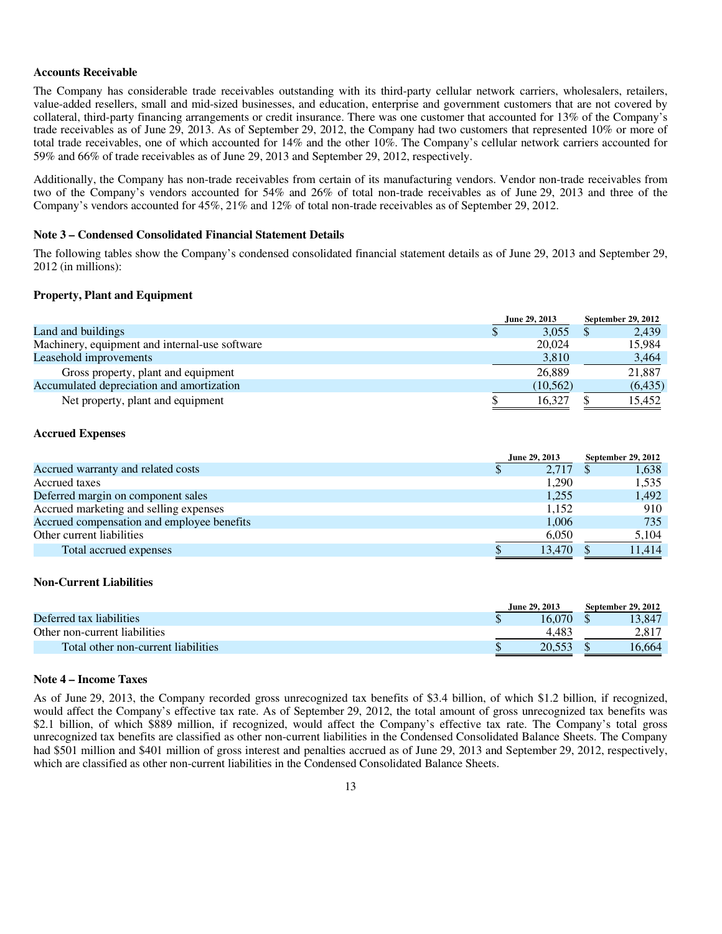#### **Accounts Receivable**

The Company has considerable trade receivables outstanding with its third-party cellular network carriers, wholesalers, retailers, value-added resellers, small and mid-sized businesses, and education, enterprise and government customers that are not covered by collateral, third-party financing arrangements or credit insurance. There was one customer that accounted for 13% of the Company's trade receivables as of June 29, 2013. As of September 29, 2012, the Company had two customers that represented 10% or more of total trade receivables, one of which accounted for 14% and the other 10%. The Company's cellular network carriers accounted for 59% and 66% of trade receivables as of June 29, 2013 and September 29, 2012, respectively.

Additionally, the Company has non-trade receivables from certain of its manufacturing vendors. Vendor non-trade receivables from two of the Company's vendors accounted for 54% and 26% of total non-trade receivables as of June 29, 2013 and three of the Company's vendors accounted for 45%, 21% and 12% of total non-trade receivables as of September 29, 2012.

#### **Note 3 – Condensed Consolidated Financial Statement Details**

The following tables show the Company's condensed consolidated financial statement details as of June 29, 2013 and September 29, 2012 (in millions):

#### **Property, Plant and Equipment**

|                                                |   | June 29, 2013 | September 29, 2012 |
|------------------------------------------------|---|---------------|--------------------|
| Land and buildings                             | D | 3,055         | 2,439              |
| Machinery, equipment and internal-use software |   | 20,024        | 15,984             |
| Leasehold improvements                         |   | 3,810         | 3,464              |
| Gross property, plant and equipment            |   | 26,889        | 21,887             |
| Accumulated depreciation and amortization      |   | (10, 562)     | (6, 435)           |
| Net property, plant and equipment              |   | 16.327        | 15.452             |

#### **Accrued Expenses**

|                                            | June 29, 2013 | September 29, 2012 |
|--------------------------------------------|---------------|--------------------|
| Accrued warranty and related costs         | 2.717         | 1,638              |
| Accrued taxes                              | 1.290         | 1,535              |
| Deferred margin on component sales         | 1,255         | 1,492              |
| Accrued marketing and selling expenses     | 1.152         | 910                |
| Accrued compensation and employee benefits | 1.006         | 735                |
| Other current liabilities                  | 6.050         | 5,104              |
| Total accrued expenses                     | 13.470        | 11.414             |
|                                            |               |                    |

#### **Non-Current Liabilities**

|                                     | June 29, 2013 | September 29, 2012 |        |  |
|-------------------------------------|---------------|--------------------|--------|--|
| Deferred tax liabilities            | 16.070        |                    | 13.847 |  |
| Other non-current liabilities       | 4.483         |                    | 2.817  |  |
| Total other non-current liabilities | 20.553        |                    | 16.664 |  |

#### **Note 4 – Income Taxes**

As of June 29, 2013, the Company recorded gross unrecognized tax benefits of \$3.4 billion, of which \$1.2 billion, if recognized, would affect the Company's effective tax rate. As of September 29, 2012, the total amount of gross unrecognized tax benefits was \$2.1 billion, of which \$889 million, if recognized, would affect the Company's effective tax rate. The Company's total gross unrecognized tax benefits are classified as other non-current liabilities in the Condensed Consolidated Balance Sheets. The Company had \$501 million and \$401 million of gross interest and penalties accrued as of June 29, 2013 and September 29, 2012, respectively, which are classified as other non-current liabilities in the Condensed Consolidated Balance Sheets.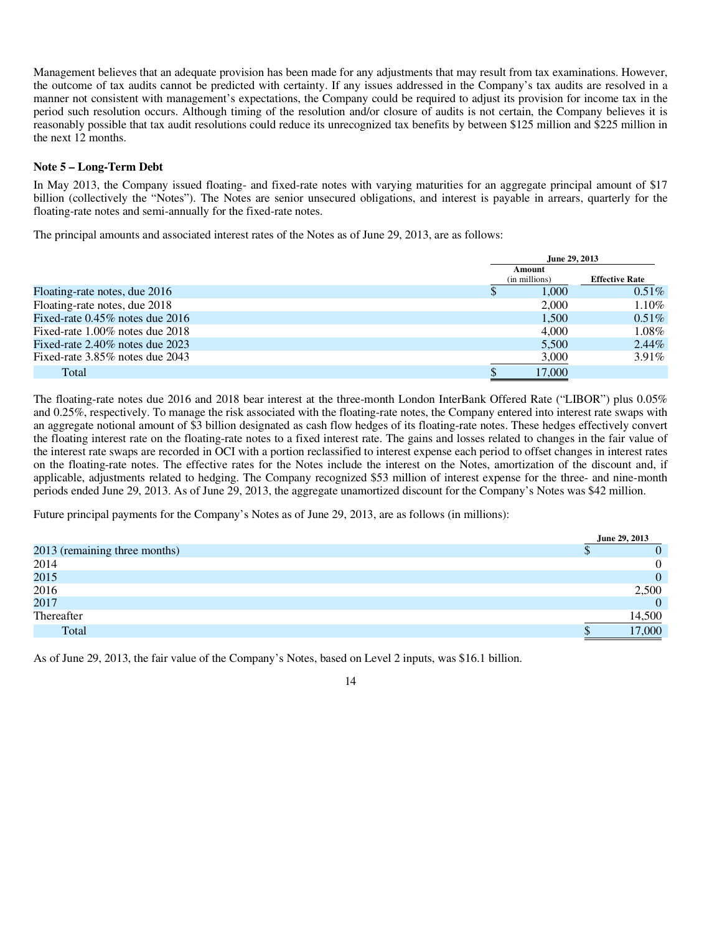Management believes that an adequate provision has been made for any adjustments that may result from tax examinations. However, the outcome of tax audits cannot be predicted with certainty. If any issues addressed in the Company's tax audits are resolved in a manner not consistent with management's expectations, the Company could be required to adjust its provision for income tax in the period such resolution occurs. Although timing of the resolution and/or closure of audits is not certain, the Company believes it is reasonably possible that tax audit resolutions could reduce its unrecognized tax benefits by between \$125 million and \$225 million in the next 12 months.

#### **Note 5 – Long-Term Debt**

In May 2013, the Company issued floating- and fixed-rate notes with varying maturities for an aggregate principal amount of \$17 billion (collectively the "Notes"). The Notes are senior unsecured obligations, and interest is payable in arrears, quarterly for the floating-rate notes and semi-annually for the fixed-rate notes.

The principal amounts and associated interest rates of the Notes as of June 29, 2013, are as follows:

|                                      |   | June 29, 2013           |                       |
|--------------------------------------|---|-------------------------|-----------------------|
|                                      |   | Amount<br>(in millions) | <b>Effective Rate</b> |
| Floating-rate notes, due 2016        | S | 1.000                   | $0.51\%$              |
| Floating-rate notes, due 2018        |   | 2.000                   | $1.10\%$              |
| Fixed-rate $0.45\%$ notes due 2016   |   | 1,500                   | $0.51\%$              |
| Fixed-rate $1.00\%$ notes due $2018$ |   | 4.000                   | $1.08\%$              |
| Fixed-rate $2.40\%$ notes due $2023$ |   | 5.500                   | $2.44\%$              |
| Fixed-rate $3.85\%$ notes due $2043$ |   | 3,000                   | $3.91\%$              |
| Total                                |   | 17,000                  |                       |

The floating-rate notes due 2016 and 2018 bear interest at the three-month London InterBank Offered Rate ("LIBOR") plus 0.05% and 0.25%, respectively. To manage the risk associated with the floating-rate notes, the Company entered into interest rate swaps with an aggregate notional amount of \$3 billion designated as cash flow hedges of its floating-rate notes. These hedges effectively convert the floating interest rate on the floating-rate notes to a fixed interest rate. The gains and losses related to changes in the fair value of the interest rate swaps are recorded in OCI with a portion reclassified to interest expense each period to offset changes in interest rates on the floating-rate notes. The effective rates for the Notes include the interest on the Notes, amortization of the discount and, if applicable, adjustments related to hedging. The Company recognized \$53 million of interest expense for the three- and nine-month periods ended June 29, 2013. As of June 29, 2013, the aggregate unamortized discount for the Company's Notes was \$42 million.

Future principal payments for the Company's Notes as of June 29, 2013, are as follows (in millions):

|                               | June 29, 2013 |
|-------------------------------|---------------|
| 2013 (remaining three months) | U             |
| 2014                          |               |
| 2015                          | $\theta$      |
| 2016                          | 2,500         |
| 2017                          | $\theta$      |
| Thereafter                    | 14,500        |
| Total                         | 17.000        |
|                               |               |

As of June 29, 2013, the fair value of the Company's Notes, based on Level 2 inputs, was \$16.1 billion.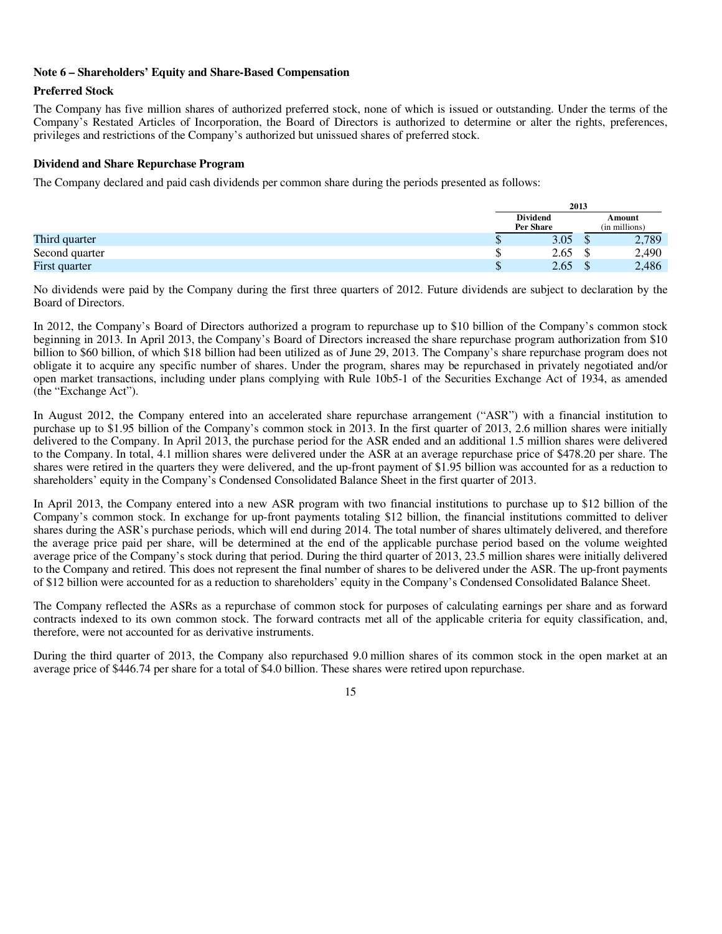#### **Note 6 – Shareholders' Equity and Share-Based Compensation**

#### **Preferred Stock**

The Company has five million shares of authorized preferred stock, none of which is issued or outstanding. Under the terms of the Company's Restated Articles of Incorporation, the Board of Directors is authorized to determine or alter the rights, preferences, privileges and restrictions of the Company's authorized but unissued shares of preferred stock.

#### **Dividend and Share Repurchase Program**

The Company declared and paid cash dividends per common share during the periods presented as follows:

|                |     | 2013            |               |        |  |  |
|----------------|-----|-----------------|---------------|--------|--|--|
|                |     | <b>Dividend</b> |               | Amount |  |  |
|                |     | Per Share       | (in millions) |        |  |  |
| Third quarter  | ъĐ. | 3.05            |               | 2,789  |  |  |
| Second quarter |     | 2.65            |               | 2,490  |  |  |
| First quarter  |     | 2.65            | ω             | 2,486  |  |  |

No dividends were paid by the Company during the first three quarters of 2012. Future dividends are subject to declaration by the Board of Directors.

In 2012, the Company's Board of Directors authorized a program to repurchase up to \$10 billion of the Company's common stock beginning in 2013. In April 2013, the Company's Board of Directors increased the share repurchase program authorization from \$10 billion to \$60 billion, of which \$18 billion had been utilized as of June 29, 2013. The Company's share repurchase program does not obligate it to acquire any specific number of shares. Under the program, shares may be repurchased in privately negotiated and/or open market transactions, including under plans complying with Rule 10b5-1 of the Securities Exchange Act of 1934, as amended (the "Exchange Act").

In August 2012, the Company entered into an accelerated share repurchase arrangement ("ASR") with a financial institution to purchase up to \$1.95 billion of the Company's common stock in 2013. In the first quarter of 2013, 2.6 million shares were initially delivered to the Company. In April 2013, the purchase period for the ASR ended and an additional 1.5 million shares were delivered to the Company. In total, 4.1 million shares were delivered under the ASR at an average repurchase price of \$478.20 per share. The shares were retired in the quarters they were delivered, and the up-front payment of \$1.95 billion was accounted for as a reduction to shareholders' equity in the Company's Condensed Consolidated Balance Sheet in the first quarter of 2013.

In April 2013, the Company entered into a new ASR program with two financial institutions to purchase up to \$12 billion of the Company's common stock. In exchange for up-front payments totaling \$12 billion, the financial institutions committed to deliver shares during the ASR's purchase periods, which will end during 2014. The total number of shares ultimately delivered, and therefore the average price paid per share, will be determined at the end of the applicable purchase period based on the volume weighted average price of the Company's stock during that period. During the third quarter of 2013, 23.5 million shares were initially delivered to the Company and retired. This does not represent the final number of shares to be delivered under the ASR. The up-front payments of \$12 billion were accounted for as a reduction to shareholders' equity in the Company's Condensed Consolidated Balance Sheet.

The Company reflected the ASRs as a repurchase of common stock for purposes of calculating earnings per share and as forward contracts indexed to its own common stock. The forward contracts met all of the applicable criteria for equity classification, and, therefore, were not accounted for as derivative instruments.

During the third quarter of 2013, the Company also repurchased 9.0 million shares of its common stock in the open market at an average price of \$446.74 per share for a total of \$4.0 billion. These shares were retired upon repurchase.

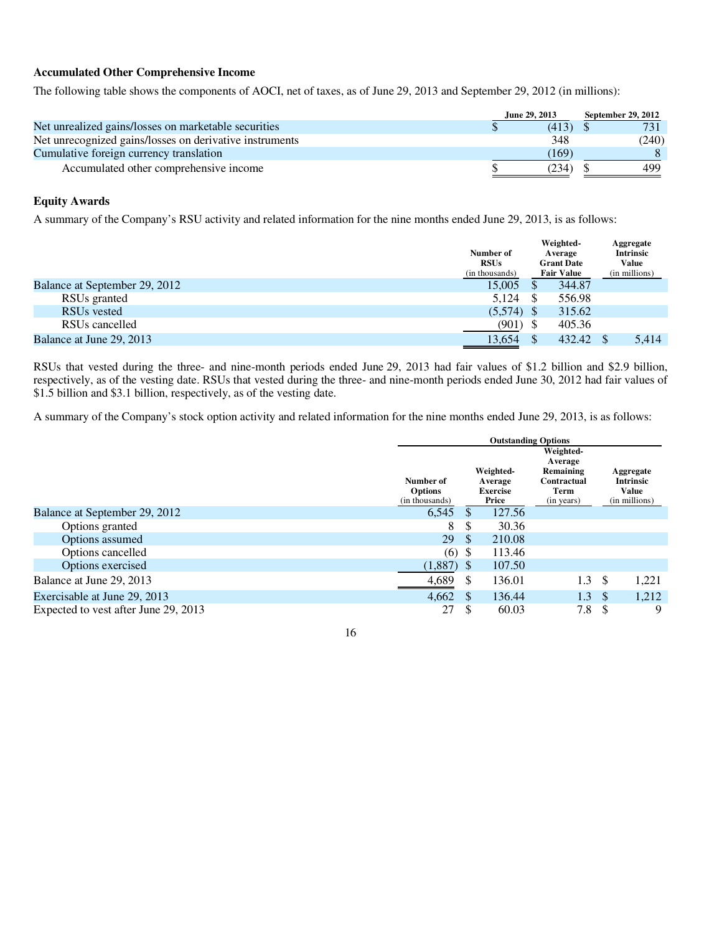#### **Accumulated Other Comprehensive Income**

The following table shows the components of AOCI, net of taxes, as of June 29, 2013 and September 29, 2012 (in millions):

|                                                         | June 29, 2013 | <b>September 29, 2012</b> |       |
|---------------------------------------------------------|---------------|---------------------------|-------|
| Net unrealized gains/losses on marketable securities    | (413)         |                           |       |
| Net unrecognized gains/losses on derivative instruments | 348           |                           | (240) |
| Cumulative foreign currency translation                 | (169)         |                           |       |
| Accumulated other comprehensive income                  | (234          |                           | 499   |

#### **Equity Awards**

A summary of the Company's RSU activity and related information for the nine months ended June 29, 2013, is as follows:

|                               | Number of<br><b>RSUs</b><br>(in thousands) | Weighted-<br>Average<br><b>Grant Date</b><br><b>Fair Value</b> | Aggregate<br><b>Intrinsic</b><br><b>Value</b><br>(in millions) |
|-------------------------------|--------------------------------------------|----------------------------------------------------------------|----------------------------------------------------------------|
| Balance at September 29, 2012 | 15,005                                     | 344.87                                                         |                                                                |
| RSU <sub>s</sub> granted      | 5,124                                      | 556.98                                                         |                                                                |
| RSU <sub>s</sub> vested       | $(5,574)$ \$                               | 315.62                                                         |                                                                |
| RSUs cancelled                | (901)                                      | 405.36                                                         |                                                                |
| Balance at June 29, 2013      | 13,654                                     | 432.42                                                         | 5.414                                                          |

RSUs that vested during the three- and nine-month periods ended June 29, 2013 had fair values of \$1.2 billion and \$2.9 billion, respectively, as of the vesting date. RSUs that vested during the three- and nine-month periods ended June 30, 2012 had fair values of \$1.5 billion and \$3.1 billion, respectively, as of the vesting date.

A summary of the Company's stock option activity and related information for the nine months ended June 29, 2013, is as follows:

|                                      |                                               | <b>Outstanding Options</b> |                                                  |                                                                        |               |                                                                |  |  |  |
|--------------------------------------|-----------------------------------------------|----------------------------|--------------------------------------------------|------------------------------------------------------------------------|---------------|----------------------------------------------------------------|--|--|--|
|                                      | Number of<br><b>Options</b><br>(in thousands) |                            | Weighted-<br>Average<br><b>Exercise</b><br>Price | Weighted-<br>Average<br>Remaining<br>Contractual<br>Term<br>(in years) |               | Aggregate<br><b>Intrinsic</b><br><b>Value</b><br>(in millions) |  |  |  |
| Balance at September 29, 2012        | 6,545                                         | \$                         | 127.56                                           |                                                                        |               |                                                                |  |  |  |
| Options granted                      | 8                                             | S                          | 30.36                                            |                                                                        |               |                                                                |  |  |  |
| Options assumed                      | 29                                            | -S                         | 210.08                                           |                                                                        |               |                                                                |  |  |  |
| Options cancelled                    | (6)                                           | -S                         | 113.46                                           |                                                                        |               |                                                                |  |  |  |
| Options exercised                    | (1,887)                                       | <b>S</b>                   | 107.50                                           |                                                                        |               |                                                                |  |  |  |
| Balance at June 29, 2013             | 4,689                                         | S                          | 136.01                                           | 1.3                                                                    | S             | 1,221                                                          |  |  |  |
| Exercisable at June 29, 2013         | 4,662                                         |                            | 136.44                                           | 1.3                                                                    | <sup>\$</sup> | 1,212                                                          |  |  |  |
| Expected to vest after June 29, 2013 | 27                                            | S                          | 60.03                                            | 7.8                                                                    | S             | 9                                                              |  |  |  |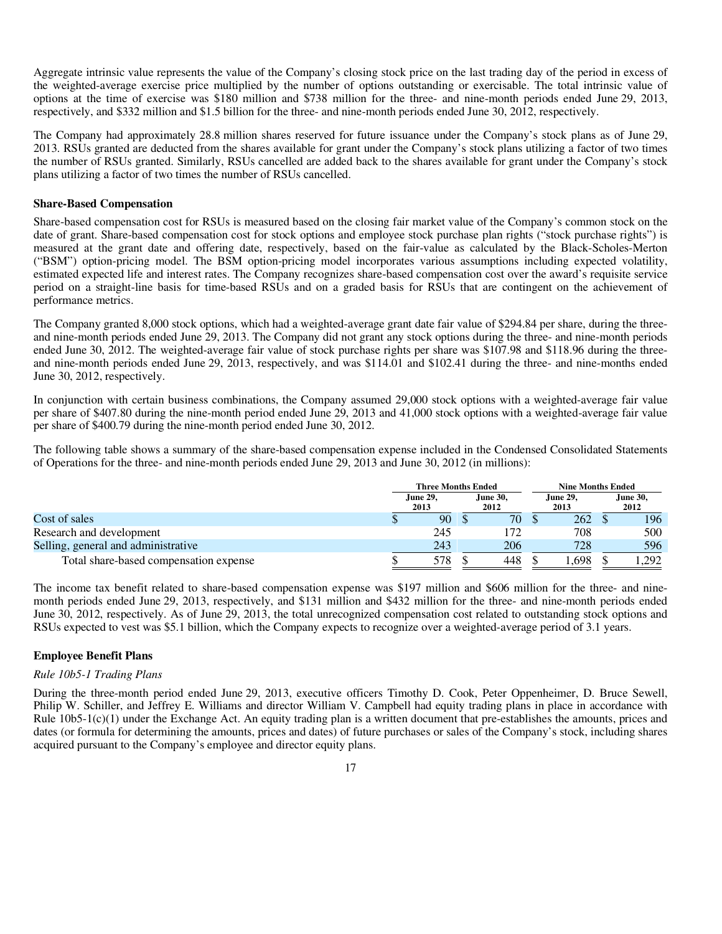Aggregate intrinsic value represents the value of the Company's closing stock price on the last trading day of the period in excess of the weighted-average exercise price multiplied by the number of options outstanding or exercisable. The total intrinsic value of options at the time of exercise was \$180 million and \$738 million for the three- and nine-month periods ended June 29, 2013, respectively, and \$332 million and \$1.5 billion for the three- and nine-month periods ended June 30, 2012, respectively.

The Company had approximately 28.8 million shares reserved for future issuance under the Company's stock plans as of June 29, 2013. RSUs granted are deducted from the shares available for grant under the Company's stock plans utilizing a factor of two times the number of RSUs granted. Similarly, RSUs cancelled are added back to the shares available for grant under the Company's stock plans utilizing a factor of two times the number of RSUs cancelled.

#### **Share-Based Compensation**

Share-based compensation cost for RSUs is measured based on the closing fair market value of the Company's common stock on the date of grant. Share-based compensation cost for stock options and employee stock purchase plan rights ("stock purchase rights") is measured at the grant date and offering date, respectively, based on the fair-value as calculated by the Black-Scholes-Merton ("BSM") option-pricing model. The BSM option-pricing model incorporates various assumptions including expected volatility, estimated expected life and interest rates. The Company recognizes share-based compensation cost over the award's requisite service period on a straight-line basis for time-based RSUs and on a graded basis for RSUs that are contingent on the achievement of performance metrics.

The Company granted 8,000 stock options, which had a weighted-average grant date fair value of \$294.84 per share, during the threeand nine-month periods ended June 29, 2013. The Company did not grant any stock options during the three- and nine-month periods ended June 30, 2012. The weighted-average fair value of stock purchase rights per share was \$107.98 and \$118.96 during the threeand nine-month periods ended June 29, 2013, respectively, and was \$114.01 and \$102.41 during the three- and nine-months ended June 30, 2012, respectively.

In conjunction with certain business combinations, the Company assumed 29,000 stock options with a weighted-average fair value per share of \$407.80 during the nine-month period ended June 29, 2013 and 41,000 stock options with a weighted-average fair value per share of \$400.79 during the nine-month period ended June 30, 2012.

The following table shows a summary of the share-based compensation expense included in the Condensed Consolidated Statements of Operations for the three- and nine-month periods ended June 29, 2013 and June 30, 2012 (in millions):

|                                        | <b>Three Months Ended</b> |  |                  |  | <b>Nine Months Ended</b> |  |                  |  |
|----------------------------------------|---------------------------|--|------------------|--|--------------------------|--|------------------|--|
|                                        | June 29,<br>2013          |  | June 30.<br>2012 |  | June 29,<br>2013         |  | June 30,<br>2012 |  |
| Cost of sales                          | 90                        |  | 70               |  | 262                      |  | 196              |  |
| Research and development               | 245                       |  | 172              |  | 708                      |  | 500              |  |
| Selling, general and administrative    | 243                       |  | 206              |  | 728                      |  | 596              |  |
| Total share-based compensation expense | 578                       |  | 448              |  | .698                     |  | .292             |  |

The income tax benefit related to share-based compensation expense was \$197 million and \$606 million for the three- and ninemonth periods ended June 29, 2013, respectively, and \$131 million and \$432 million for the three- and nine-month periods ended June 30, 2012, respectively. As of June 29, 2013, the total unrecognized compensation cost related to outstanding stock options and RSUs expected to vest was \$5.1 billion, which the Company expects to recognize over a weighted-average period of 3.1 years.

#### **Employee Benefit Plans**

#### *Rule 10b5-1 Trading Plans*

During the three-month period ended June 29, 2013, executive officers Timothy D. Cook, Peter Oppenheimer, D. Bruce Sewell, Philip W. Schiller, and Jeffrey E. Williams and director William V. Campbell had equity trading plans in place in accordance with Rule  $10b5-1(c)(1)$  under the Exchange Act. An equity trading plan is a written document that pre-establishes the amounts, prices and dates (or formula for determining the amounts, prices and dates) of future purchases or sales of the Company's stock, including shares acquired pursuant to the Company's employee and director equity plans.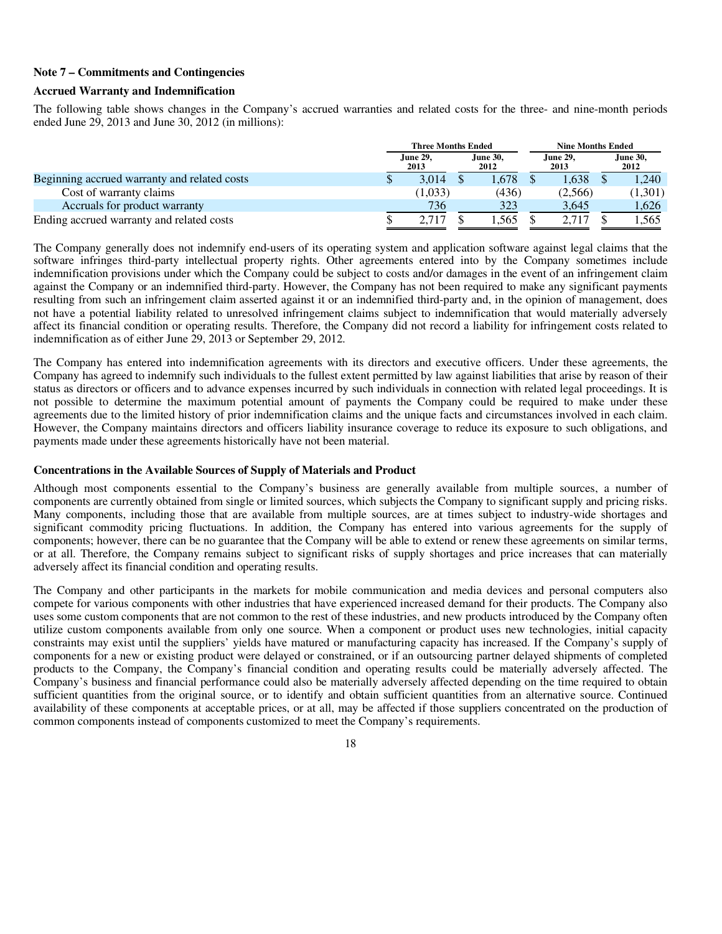#### **Note 7 – Commitments and Contingencies**

#### **Accrued Warranty and Indemnification**

The following table shows changes in the Company's accrued warranties and related costs for the three- and nine-month periods ended June 29, 2013 and June 30, 2012 (in millions):

|                                              | <b>Three Months Ended</b> |                  |  |                         |  | <b>Nine Months Ended</b> |  |                  |  |  |
|----------------------------------------------|---------------------------|------------------|--|-------------------------|--|--------------------------|--|------------------|--|--|
|                                              |                           | June 29,<br>2013 |  | <b>June 30,</b><br>2012 |  | June 29,<br>2013         |  | June 30,<br>2012 |  |  |
| Beginning accrued warranty and related costs |                           | 3.014            |  | 1,678                   |  | 1,638                    |  | 1,240            |  |  |
| Cost of warranty claims                      |                           | (1,033)          |  | (436)                   |  | (2,566)                  |  | (1,301)          |  |  |
| Accruals for product warranty                |                           | 736              |  | 323                     |  | 3.645                    |  | 1,626            |  |  |
| Ending accrued warranty and related costs    |                           | 2.7              |  | 1,565                   |  | 2,717                    |  | 1,565            |  |  |

The Company generally does not indemnify end-users of its operating system and application software against legal claims that the software infringes third-party intellectual property rights. Other agreements entered into by the Company sometimes include indemnification provisions under which the Company could be subject to costs and/or damages in the event of an infringement claim against the Company or an indemnified third-party. However, the Company has not been required to make any significant payments resulting from such an infringement claim asserted against it or an indemnified third-party and, in the opinion of management, does not have a potential liability related to unresolved infringement claims subject to indemnification that would materially adversely affect its financial condition or operating results. Therefore, the Company did not record a liability for infringement costs related to indemnification as of either June 29, 2013 or September 29, 2012.

The Company has entered into indemnification agreements with its directors and executive officers. Under these agreements, the Company has agreed to indemnify such individuals to the fullest extent permitted by law against liabilities that arise by reason of their status as directors or officers and to advance expenses incurred by such individuals in connection with related legal proceedings. It is not possible to determine the maximum potential amount of payments the Company could be required to make under these agreements due to the limited history of prior indemnification claims and the unique facts and circumstances involved in each claim. However, the Company maintains directors and officers liability insurance coverage to reduce its exposure to such obligations, and payments made under these agreements historically have not been material.

#### **Concentrations in the Available Sources of Supply of Materials and Product**

Although most components essential to the Company's business are generally available from multiple sources, a number of components are currently obtained from single or limited sources, which subjects the Company to significant supply and pricing risks. Many components, including those that are available from multiple sources, are at times subject to industry-wide shortages and significant commodity pricing fluctuations. In addition, the Company has entered into various agreements for the supply of components; however, there can be no guarantee that the Company will be able to extend or renew these agreements on similar terms, or at all. Therefore, the Company remains subject to significant risks of supply shortages and price increases that can materially adversely affect its financial condition and operating results.

The Company and other participants in the markets for mobile communication and media devices and personal computers also compete for various components with other industries that have experienced increased demand for their products. The Company also uses some custom components that are not common to the rest of these industries, and new products introduced by the Company often utilize custom components available from only one source. When a component or product uses new technologies, initial capacity constraints may exist until the suppliers' yields have matured or manufacturing capacity has increased. If the Company's supply of components for a new or existing product were delayed or constrained, or if an outsourcing partner delayed shipments of completed products to the Company, the Company's financial condition and operating results could be materially adversely affected. The Company's business and financial performance could also be materially adversely affected depending on the time required to obtain sufficient quantities from the original source, or to identify and obtain sufficient quantities from an alternative source. Continued availability of these components at acceptable prices, or at all, may be affected if those suppliers concentrated on the production of common components instead of components customized to meet the Company's requirements.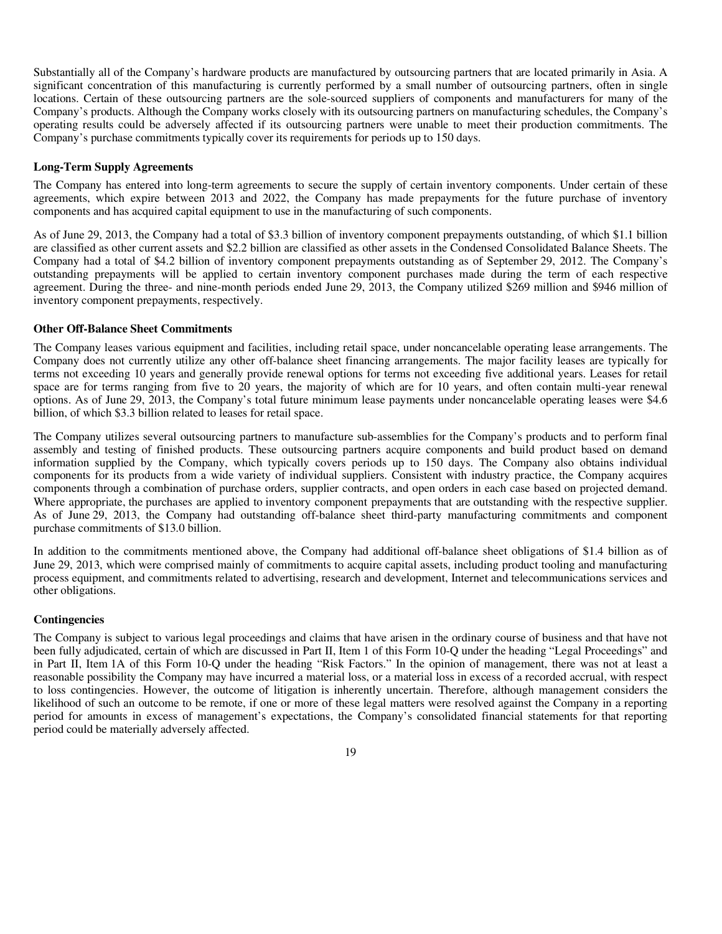Substantially all of the Company's hardware products are manufactured by outsourcing partners that are located primarily in Asia. A significant concentration of this manufacturing is currently performed by a small number of outsourcing partners, often in single locations. Certain of these outsourcing partners are the sole-sourced suppliers of components and manufacturers for many of the Company's products. Although the Company works closely with its outsourcing partners on manufacturing schedules, the Company's operating results could be adversely affected if its outsourcing partners were unable to meet their production commitments. The Company's purchase commitments typically cover its requirements for periods up to 150 days.

#### **Long-Term Supply Agreements**

The Company has entered into long-term agreements to secure the supply of certain inventory components. Under certain of these agreements, which expire between 2013 and 2022, the Company has made prepayments for the future purchase of inventory components and has acquired capital equipment to use in the manufacturing of such components.

As of June 29, 2013, the Company had a total of \$3.3 billion of inventory component prepayments outstanding, of which \$1.1 billion are classified as other current assets and \$2.2 billion are classified as other assets in the Condensed Consolidated Balance Sheets. The Company had a total of \$4.2 billion of inventory component prepayments outstanding as of September 29, 2012. The Company's outstanding prepayments will be applied to certain inventory component purchases made during the term of each respective agreement. During the three- and nine-month periods ended June 29, 2013, the Company utilized \$269 million and \$946 million of inventory component prepayments, respectively.

#### **Other Off-Balance Sheet Commitments**

The Company leases various equipment and facilities, including retail space, under noncancelable operating lease arrangements. The Company does not currently utilize any other off-balance sheet financing arrangements. The major facility leases are typically for terms not exceeding 10 years and generally provide renewal options for terms not exceeding five additional years. Leases for retail space are for terms ranging from five to 20 years, the majority of which are for 10 years, and often contain multi-year renewal options. As of June 29, 2013, the Company's total future minimum lease payments under noncancelable operating leases were \$4.6 billion, of which \$3.3 billion related to leases for retail space.

The Company utilizes several outsourcing partners to manufacture sub-assemblies for the Company's products and to perform final assembly and testing of finished products. These outsourcing partners acquire components and build product based on demand information supplied by the Company, which typically covers periods up to 150 days. The Company also obtains individual components for its products from a wide variety of individual suppliers. Consistent with industry practice, the Company acquires components through a combination of purchase orders, supplier contracts, and open orders in each case based on projected demand. Where appropriate, the purchases are applied to inventory component prepayments that are outstanding with the respective supplier. As of June 29, 2013, the Company had outstanding off-balance sheet third-party manufacturing commitments and component purchase commitments of \$13.0 billion.

In addition to the commitments mentioned above, the Company had additional off-balance sheet obligations of \$1.4 billion as of June 29, 2013, which were comprised mainly of commitments to acquire capital assets, including product tooling and manufacturing process equipment, and commitments related to advertising, research and development, Internet and telecommunications services and other obligations.

#### **Contingencies**

The Company is subject to various legal proceedings and claims that have arisen in the ordinary course of business and that have not been fully adjudicated, certain of which are discussed in Part II, Item 1 of this Form 10-Q under the heading "Legal Proceedings" and in Part II, Item 1A of this Form 10-Q under the heading "Risk Factors." In the opinion of management, there was not at least a reasonable possibility the Company may have incurred a material loss, or a material loss in excess of a recorded accrual, with respect to loss contingencies. However, the outcome of litigation is inherently uncertain. Therefore, although management considers the likelihood of such an outcome to be remote, if one or more of these legal matters were resolved against the Company in a reporting period for amounts in excess of management's expectations, the Company's consolidated financial statements for that reporting period could be materially adversely affected.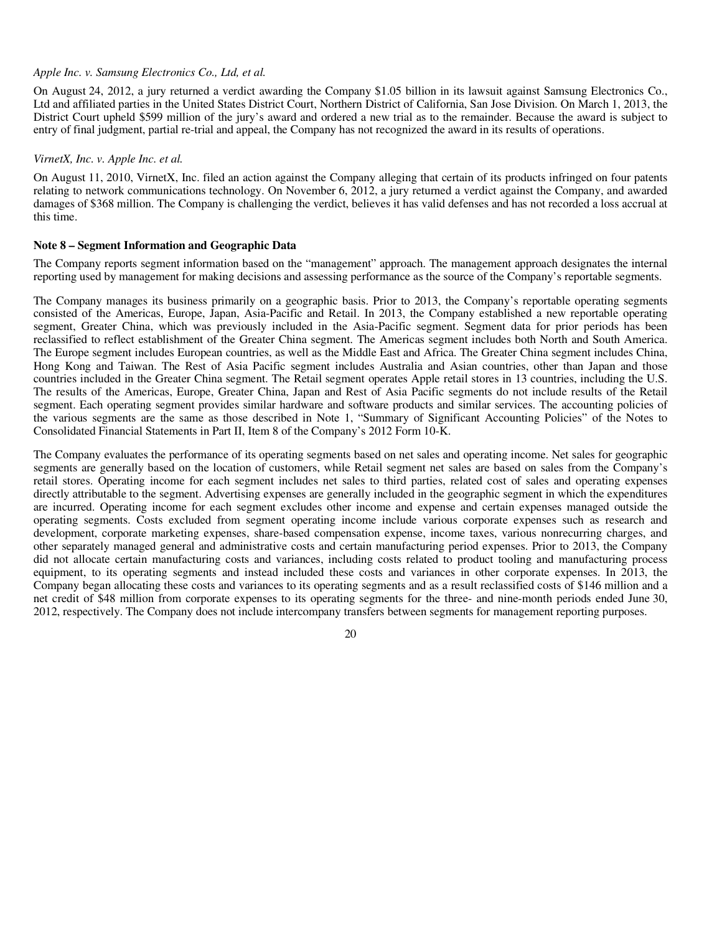#### *Apple Inc. v. Samsung Electronics Co., Ltd, et al.*

On August 24, 2012, a jury returned a verdict awarding the Company \$1.05 billion in its lawsuit against Samsung Electronics Co., Ltd and affiliated parties in the United States District Court, Northern District of California, San Jose Division. On March 1, 2013, the District Court upheld \$599 million of the jury's award and ordered a new trial as to the remainder. Because the award is subject to entry of final judgment, partial re-trial and appeal, the Company has not recognized the award in its results of operations.

#### *VirnetX, Inc. v. Apple Inc. et al.*

On August 11, 2010, VirnetX, Inc. filed an action against the Company alleging that certain of its products infringed on four patents relating to network communications technology. On November 6, 2012, a jury returned a verdict against the Company, and awarded damages of \$368 million. The Company is challenging the verdict, believes it has valid defenses and has not recorded a loss accrual at this time.

#### **Note 8 – Segment Information and Geographic Data**

The Company reports segment information based on the "management" approach. The management approach designates the internal reporting used by management for making decisions and assessing performance as the source of the Company's reportable segments.

The Company manages its business primarily on a geographic basis. Prior to 2013, the Company's reportable operating segments consisted of the Americas, Europe, Japan, Asia-Pacific and Retail. In 2013, the Company established a new reportable operating segment, Greater China, which was previously included in the Asia-Pacific segment. Segment data for prior periods has been reclassified to reflect establishment of the Greater China segment. The Americas segment includes both North and South America. The Europe segment includes European countries, as well as the Middle East and Africa. The Greater China segment includes China, Hong Kong and Taiwan. The Rest of Asia Pacific segment includes Australia and Asian countries, other than Japan and those countries included in the Greater China segment. The Retail segment operates Apple retail stores in 13 countries, including the U.S. The results of the Americas, Europe, Greater China, Japan and Rest of Asia Pacific segments do not include results of the Retail segment. Each operating segment provides similar hardware and software products and similar services. The accounting policies of the various segments are the same as those described in Note 1, "Summary of Significant Accounting Policies" of the Notes to Consolidated Financial Statements in Part II, Item 8 of the Company's 2012 Form 10-K.

The Company evaluates the performance of its operating segments based on net sales and operating income. Net sales for geographic segments are generally based on the location of customers, while Retail segment net sales are based on sales from the Company's retail stores. Operating income for each segment includes net sales to third parties, related cost of sales and operating expenses directly attributable to the segment. Advertising expenses are generally included in the geographic segment in which the expenditures are incurred. Operating income for each segment excludes other income and expense and certain expenses managed outside the operating segments. Costs excluded from segment operating income include various corporate expenses such as research and development, corporate marketing expenses, share-based compensation expense, income taxes, various nonrecurring charges, and other separately managed general and administrative costs and certain manufacturing period expenses. Prior to 2013, the Company did not allocate certain manufacturing costs and variances, including costs related to product tooling and manufacturing process equipment, to its operating segments and instead included these costs and variances in other corporate expenses. In 2013, the Company began allocating these costs and variances to its operating segments and as a result reclassified costs of \$146 million and a net credit of \$48 million from corporate expenses to its operating segments for the three- and nine-month periods ended June 30, 2012, respectively. The Company does not include intercompany transfers between segments for management reporting purposes.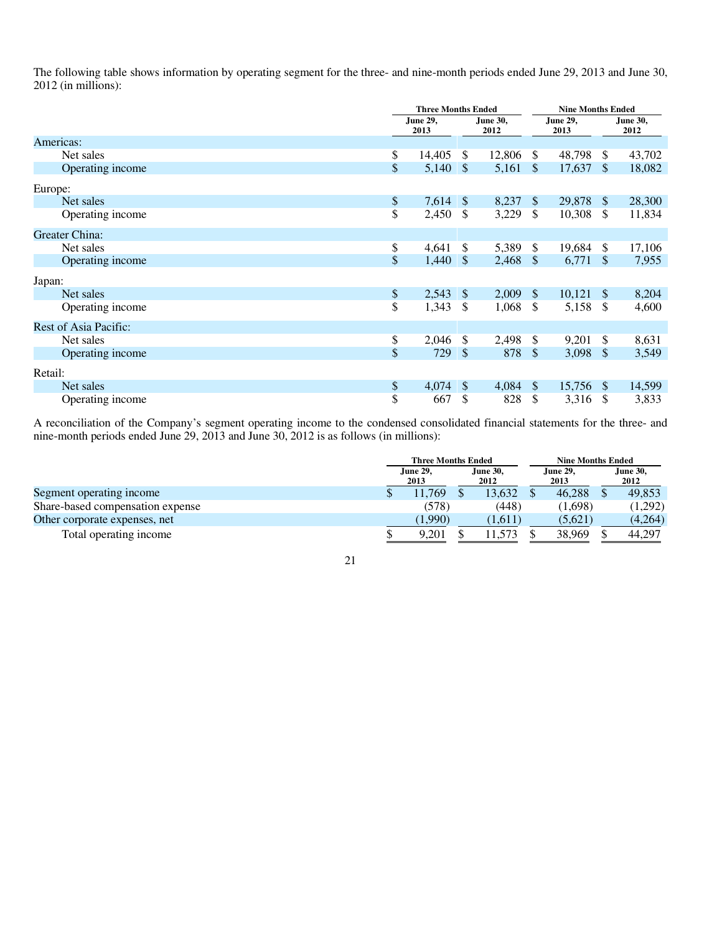The following table shows information by operating segment for the three- and nine-month periods ended June 29, 2013 and June 30, 2012 (in millions):

|                              |               | <b>Three Months Ended</b> |               |                         | <b>Nine Months Ended</b> |                    |               |                  |
|------------------------------|---------------|---------------------------|---------------|-------------------------|--------------------------|--------------------|---------------|------------------|
|                              |               | <b>June 29,</b><br>2013   |               | <b>June 30,</b><br>2012 |                          | June $29,$<br>2013 |               | June 30,<br>2012 |
| Americas:                    |               |                           |               |                         |                          |                    |               |                  |
| Net sales                    | \$            | 14,405                    | \$            | 12,806                  | \$                       | 48,798             | \$            | 43,702           |
| Operating income             | \$            | 5,140                     | $\mathbb{S}$  | 5,161                   | <sup>\$</sup>            | 17,637             | $\mathcal{S}$ | 18,082           |
| Europe:                      |               |                           |               |                         |                          |                    |               |                  |
| Net sales                    | \$            | 7,614                     | $\mathcal{S}$ | 8,237                   | $\mathbb{S}$             | 29,878             | $\mathbb{S}$  | 28,300           |
| Operating income             | $\mathbb{S}$  | 2,450                     | \$            | 3,229                   | \$                       | 10,308             | S             | 11,834           |
| <b>Greater China:</b>        |               |                           |               |                         |                          |                    |               |                  |
| Net sales                    | \$            | 4,641                     | \$            | 5,389                   | \$                       | 19,684             | \$            | 17,106           |
| Operating income             | $\mathbb{S}$  | 1,440                     | \$            | 2,468                   | <sup>\$</sup>            | 6,771              | <sup>\$</sup> | 7,955            |
| Japan:                       |               |                           |               |                         |                          |                    |               |                  |
| Net sales                    | \$            | 2,543                     | $\mathbb{S}$  | 2,009                   | $\mathbb{S}$             | 10,121             | $\mathcal{S}$ | 8,204            |
| Operating income             | \$            | 1,343                     | \$            | 1,068                   | \$                       | 5,158              | \$.           | 4,600            |
| <b>Rest of Asia Pacific:</b> |               |                           |               |                         |                          |                    |               |                  |
| Net sales                    | \$            | 2,046                     | \$            | 2,498                   | <sup>\$</sup>            | 9,201              | -S            | 8,631            |
| Operating income             | $\mathsf{\$}$ | 729                       | \$            | 878                     | <sup>\$</sup>            | 3,098              | <sup>\$</sup> | 3,549            |
| Retail:                      |               |                           |               |                         |                          |                    |               |                  |
| Net sales                    | \$            | 4,074                     | $\mathbb{S}$  | 4,084                   | <sup>\$</sup>            | 15,756             | <sup>\$</sup> | 14,599           |
| Operating income             | \$            | 667                       | \$            | 828                     | \$                       | 3,316              | \$            | 3,833            |

A reconciliation of the Company's segment operating income to the condensed consolidated financial statements for the three- and nine-month periods ended June 29, 2013 and June 30, 2012 is as follows (in millions):

|                                  | <b>Three Months Ended</b> |  |                         |                  |         | <b>Nine Months Ended</b> |                  |  |  |  |
|----------------------------------|---------------------------|--|-------------------------|------------------|---------|--------------------------|------------------|--|--|--|
|                                  | June 29,<br>2013          |  | <b>June 30,</b><br>2012 | June 29,<br>2013 |         |                          | June 30,<br>2012 |  |  |  |
| Segment operating income         | 11.769                    |  | 13.632                  |                  | 46.288  |                          | 49.853           |  |  |  |
| Share-based compensation expense | (578)                     |  | (448)                   |                  | (1,698) |                          | (1,292)          |  |  |  |
| Other corporate expenses, net    | (1.990)                   |  | (1,611)                 |                  | (5,621) |                          | (4,264)          |  |  |  |
| Total operating income           | 9.201                     |  | 1.573                   |                  | 38.969  |                          | 44.297           |  |  |  |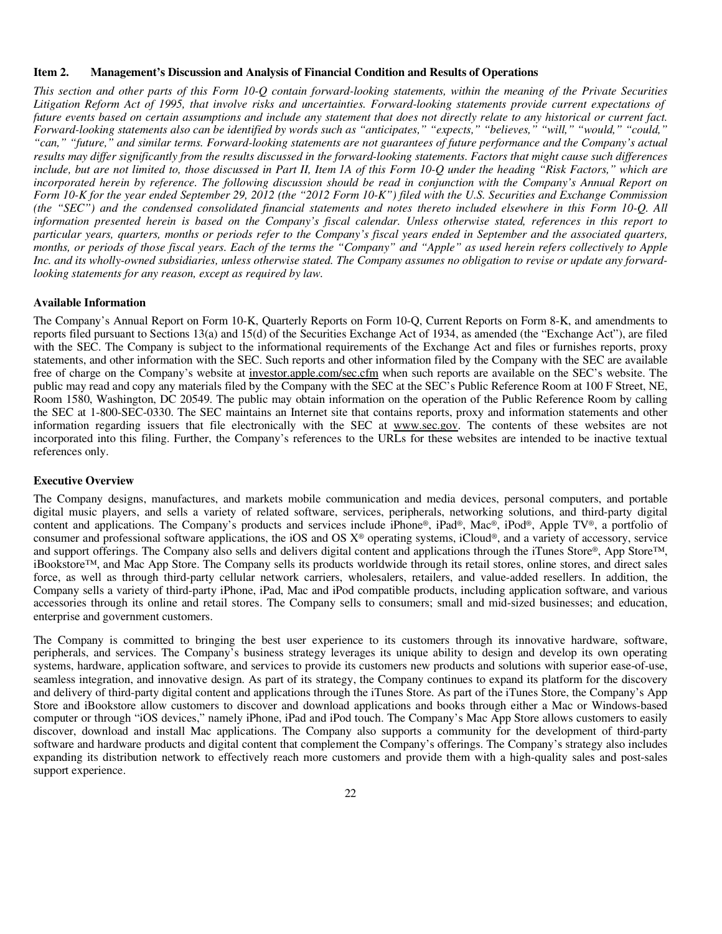#### **Item 2. Management's Discussion and Analysis of Financial Condition and Results of Operations**

*This section and other parts of this Form 10-Q contain forward-looking statements, within the meaning of the Private Securities Litigation Reform Act of 1995, that involve risks and uncertainties. Forward-looking statements provide current expectations of future events based on certain assumptions and include any statement that does not directly relate to any historical or current fact. Forward-looking statements also can be identified by words such as "anticipates," "expects," "believes," "will," "would," "could," "can," "future," and similar terms. Forward-looking statements are not guarantees of future performance and the Company's actual results may differ significantly from the results discussed in the forward-looking statements. Factors that might cause such differences include, but are not limited to, those discussed in Part II, Item 1A of this Form 10-Q under the heading "Risk Factors," which are incorporated herein by reference. The following discussion should be read in conjunction with the Company's Annual Report on Form 10-K for the year ended September 29, 2012 (the "2012 Form 10-K") filed with the U.S. Securities and Exchange Commission (the "SEC") and the condensed consolidated financial statements and notes thereto included elsewhere in this Form 10-Q. All information presented herein is based on the Company's fiscal calendar. Unless otherwise stated, references in this report to particular years, quarters, months or periods refer to the Company's fiscal years ended in September and the associated quarters, months, or periods of those fiscal years. Each of the terms the "Company" and "Apple" as used herein refers collectively to Apple Inc. and its wholly-owned subsidiaries, unless otherwise stated. The Company assumes no obligation to revise or update any forwardlooking statements for any reason, except as required by law.* 

#### **Available Information**

The Company's Annual Report on Form 10-K, Quarterly Reports on Form 10-Q, Current Reports on Form 8-K, and amendments to reports filed pursuant to Sections 13(a) and 15(d) of the Securities Exchange Act of 1934, as amended (the "Exchange Act"), are filed with the SEC. The Company is subject to the informational requirements of the Exchange Act and files or furnishes reports, proxy statements, and other information with the SEC. Such reports and other information filed by the Company with the SEC are available free of charge on the Company's website at investor.apple.com/sec.cfm when such reports are available on the SEC's website. The public may read and copy any materials filed by the Company with the SEC at the SEC's Public Reference Room at 100 F Street, NE, Room 1580, Washington, DC 20549. The public may obtain information on the operation of the Public Reference Room by calling the SEC at 1-800-SEC-0330. The SEC maintains an Internet site that contains reports, proxy and information statements and other information regarding issuers that file electronically with the SEC at www.sec.gov. The contents of these websites are not incorporated into this filing. Further, the Company's references to the URLs for these websites are intended to be inactive textual references only.

#### **Executive Overview**

The Company designs, manufactures, and markets mobile communication and media devices, personal computers, and portable digital music players, and sells a variety of related software, services, peripherals, networking solutions, and third-party digital content and applications. The Company's products and services include iPhone®, iPad®, Mac®, iPod®, Apple TV®, a portfolio of consumer and professional software applications, the iOS and OS  $X^{\otimes}$  operating systems, iCloud®, and a variety of accessory, service and support offerings. The Company also sells and delivers digital content and applications through the iTunes Store®, App Store™, iBookstore™, and Mac App Store. The Company sells its products worldwide through its retail stores, online stores, and direct sales force, as well as through third-party cellular network carriers, wholesalers, retailers, and value-added resellers. In addition, the Company sells a variety of third-party iPhone, iPad, Mac and iPod compatible products, including application software, and various accessories through its online and retail stores. The Company sells to consumers; small and mid-sized businesses; and education, enterprise and government customers.

The Company is committed to bringing the best user experience to its customers through its innovative hardware, software, peripherals, and services. The Company's business strategy leverages its unique ability to design and develop its own operating systems, hardware, application software, and services to provide its customers new products and solutions with superior ease-of-use, seamless integration, and innovative design. As part of its strategy, the Company continues to expand its platform for the discovery and delivery of third-party digital content and applications through the iTunes Store. As part of the iTunes Store, the Company's App Store and iBookstore allow customers to discover and download applications and books through either a Mac or Windows-based computer or through "iOS devices," namely iPhone, iPad and iPod touch. The Company's Mac App Store allows customers to easily discover, download and install Mac applications. The Company also supports a community for the development of third-party software and hardware products and digital content that complement the Company's offerings. The Company's strategy also includes expanding its distribution network to effectively reach more customers and provide them with a high-quality sales and post-sales support experience.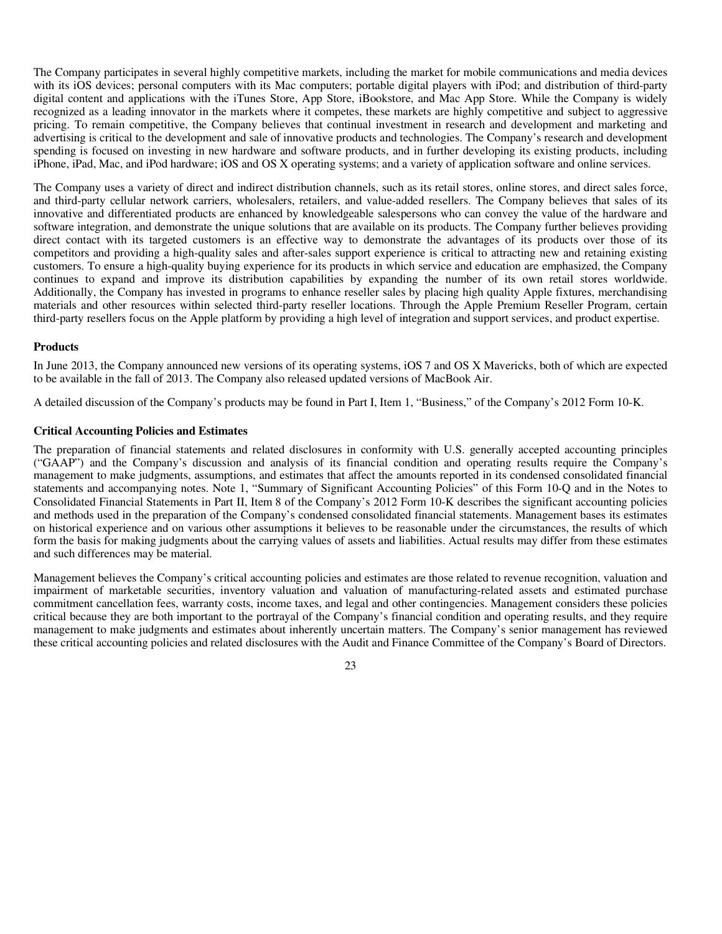The Company participates in several highly competitive markets, including the market for mobile communications and media devices with its iOS devices; personal computers with its Mac computers; portable digital players with iPod; and distribution of third-party digital content and applications with the iTunes Store, App Store, iBookstore, and Mac App Store. While the Company is widely recognized as a leading innovator in the markets where it competes, these markets are highly competitive and subject to aggressive pricing. To remain competitive, the Company believes that continual investment in research and development and marketing and advertising is critical to the development and sale of innovative products and technologies. The Company's research and development spending is focused on investing in new hardware and software products, and in further developing its existing products, including iPhone, iPad, Mac, and iPod hardware; iOS and OS X operating systems; and a variety of application software and online services.

The Company uses a variety of direct and indirect distribution channels, such as its retail stores, online stores, and direct sales force, and third-party cellular network carriers, wholesalers, retailers, and value-added resellers. The Company believes that sales of its innovative and differentiated products are enhanced by knowledgeable salespersons who can convey the value of the hardware and software integration, and demonstrate the unique solutions that are available on its products. The Company further believes providing direct contact with its targeted customers is an effective way to demonstrate the advantages of its products over those of its competitors and providing a high-quality sales and after-sales support experience is critical to attracting new and retaining existing customers. To ensure a high-quality buying experience for its products in which service and education are emphasized, the Company continues to expand and improve its distribution capabilities by expanding the number of its own retail stores worldwide. Additionally, the Company has invested in programs to enhance reseller sales by placing high quality Apple fixtures, merchandising materials and other resources within selected third-party reseller locations. Through the Apple Premium Reseller Program, certain third-party resellers focus on the Apple platform by providing a high level of integration and support services, and product expertise.

#### **Products**

In June 2013, the Company announced new versions of its operating systems, iOS 7 and OS X Mavericks, both of which are expected to be available in the fall of 2013. The Company also released updated versions of MacBook Air.

A detailed discussion of the Company's products may be found in Part I, Item 1, "Business," of the Company's 2012 Form 10-K.

#### **Critical Accounting Policies and Estimates**

The preparation of financial statements and related disclosures in conformity with U.S. generally accepted accounting principles ("GAAP") and the Company's discussion and analysis of its financial condition and operating results require the Company's management to make judgments, assumptions, and estimates that affect the amounts reported in its condensed consolidated financial statements and accompanying notes. Note 1, "Summary of Significant Accounting Policies" of this Form 10-Q and in the Notes to Consolidated Financial Statements in Part II, Item 8 of the Company's 2012 Form 10-K describes the significant accounting policies and methods used in the preparation of the Company's condensed consolidated financial statements. Management bases its estimates on historical experience and on various other assumptions it believes to be reasonable under the circumstances, the results of which form the basis for making judgments about the carrying values of assets and liabilities. Actual results may differ from these estimates and such differences may be material.

Management believes the Company's critical accounting policies and estimates are those related to revenue recognition, valuation and impairment of marketable securities, inventory valuation and valuation of manufacturing-related assets and estimated purchase commitment cancellation fees, warranty costs, income taxes, and legal and other contingencies. Management considers these policies critical because they are both important to the portrayal of the Company's financial condition and operating results, and they require management to make judgments and estimates about inherently uncertain matters. The Company's senior management has reviewed these critical accounting policies and related disclosures with the Audit and Finance Committee of the Company's Board of Directors.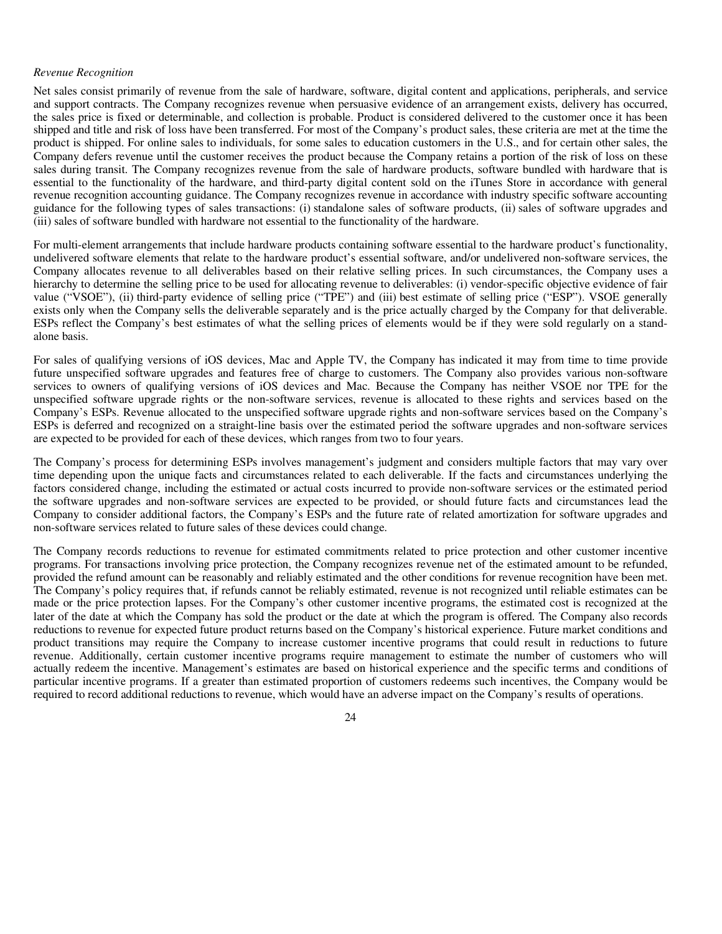#### *Revenue Recognition*

Net sales consist primarily of revenue from the sale of hardware, software, digital content and applications, peripherals, and service and support contracts. The Company recognizes revenue when persuasive evidence of an arrangement exists, delivery has occurred, the sales price is fixed or determinable, and collection is probable. Product is considered delivered to the customer once it has been shipped and title and risk of loss have been transferred. For most of the Company's product sales, these criteria are met at the time the product is shipped. For online sales to individuals, for some sales to education customers in the U.S., and for certain other sales, the Company defers revenue until the customer receives the product because the Company retains a portion of the risk of loss on these sales during transit. The Company recognizes revenue from the sale of hardware products, software bundled with hardware that is essential to the functionality of the hardware, and third-party digital content sold on the iTunes Store in accordance with general revenue recognition accounting guidance. The Company recognizes revenue in accordance with industry specific software accounting guidance for the following types of sales transactions: (i) standalone sales of software products, (ii) sales of software upgrades and (iii) sales of software bundled with hardware not essential to the functionality of the hardware.

For multi-element arrangements that include hardware products containing software essential to the hardware product's functionality, undelivered software elements that relate to the hardware product's essential software, and/or undelivered non-software services, the Company allocates revenue to all deliverables based on their relative selling prices. In such circumstances, the Company uses a hierarchy to determine the selling price to be used for allocating revenue to deliverables: (i) vendor-specific objective evidence of fair value ("VSOE"), (ii) third-party evidence of selling price ("TPE") and (iii) best estimate of selling price ("ESP"). VSOE generally exists only when the Company sells the deliverable separately and is the price actually charged by the Company for that deliverable. ESPs reflect the Company's best estimates of what the selling prices of elements would be if they were sold regularly on a standalone basis.

For sales of qualifying versions of iOS devices, Mac and Apple TV, the Company has indicated it may from time to time provide future unspecified software upgrades and features free of charge to customers. The Company also provides various non-software services to owners of qualifying versions of iOS devices and Mac. Because the Company has neither VSOE nor TPE for the unspecified software upgrade rights or the non-software services, revenue is allocated to these rights and services based on the Company's ESPs. Revenue allocated to the unspecified software upgrade rights and non-software services based on the Company's ESPs is deferred and recognized on a straight-line basis over the estimated period the software upgrades and non-software services are expected to be provided for each of these devices, which ranges from two to four years.

The Company's process for determining ESPs involves management's judgment and considers multiple factors that may vary over time depending upon the unique facts and circumstances related to each deliverable. If the facts and circumstances underlying the factors considered change, including the estimated or actual costs incurred to provide non-software services or the estimated period the software upgrades and non-software services are expected to be provided, or should future facts and circumstances lead the Company to consider additional factors, the Company's ESPs and the future rate of related amortization for software upgrades and non-software services related to future sales of these devices could change.

The Company records reductions to revenue for estimated commitments related to price protection and other customer incentive programs. For transactions involving price protection, the Company recognizes revenue net of the estimated amount to be refunded, provided the refund amount can be reasonably and reliably estimated and the other conditions for revenue recognition have been met. The Company's policy requires that, if refunds cannot be reliably estimated, revenue is not recognized until reliable estimates can be made or the price protection lapses. For the Company's other customer incentive programs, the estimated cost is recognized at the later of the date at which the Company has sold the product or the date at which the program is offered. The Company also records reductions to revenue for expected future product returns based on the Company's historical experience. Future market conditions and product transitions may require the Company to increase customer incentive programs that could result in reductions to future revenue. Additionally, certain customer incentive programs require management to estimate the number of customers who will actually redeem the incentive. Management's estimates are based on historical experience and the specific terms and conditions of particular incentive programs. If a greater than estimated proportion of customers redeems such incentives, the Company would be required to record additional reductions to revenue, which would have an adverse impact on the Company's results of operations.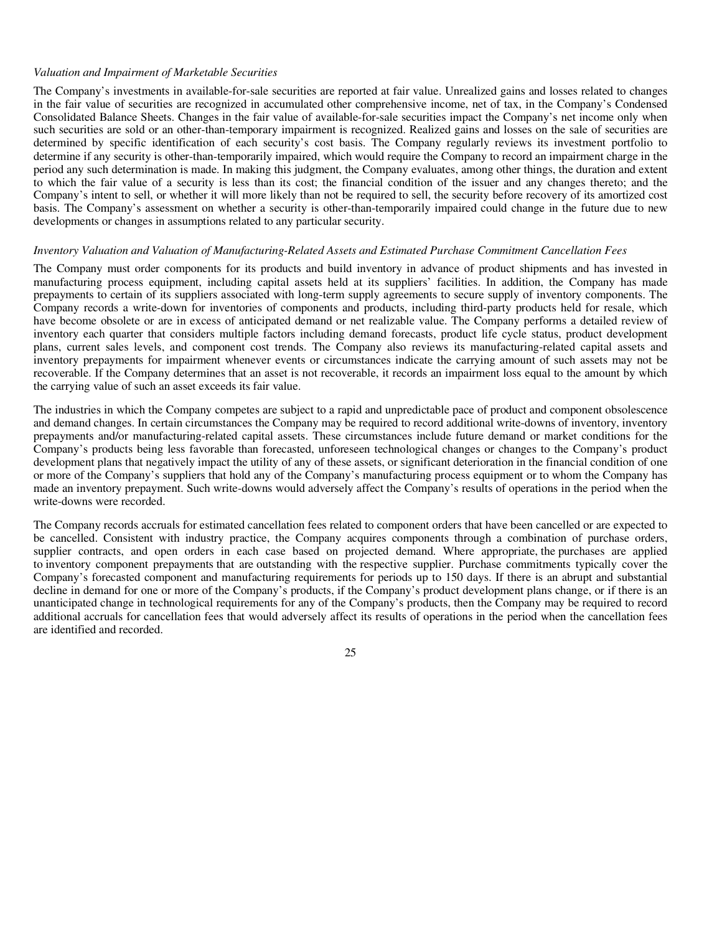#### *Valuation and Impairment of Marketable Securities*

The Company's investments in available-for-sale securities are reported at fair value. Unrealized gains and losses related to changes in the fair value of securities are recognized in accumulated other comprehensive income, net of tax, in the Company's Condensed Consolidated Balance Sheets. Changes in the fair value of available-for-sale securities impact the Company's net income only when such securities are sold or an other-than-temporary impairment is recognized. Realized gains and losses on the sale of securities are determined by specific identification of each security's cost basis. The Company regularly reviews its investment portfolio to determine if any security is other-than-temporarily impaired, which would require the Company to record an impairment charge in the period any such determination is made. In making this judgment, the Company evaluates, among other things, the duration and extent to which the fair value of a security is less than its cost; the financial condition of the issuer and any changes thereto; and the Company's intent to sell, or whether it will more likely than not be required to sell, the security before recovery of its amortized cost basis. The Company's assessment on whether a security is other-than-temporarily impaired could change in the future due to new developments or changes in assumptions related to any particular security.

#### *Inventory Valuation and Valuation of Manufacturing-Related Assets and Estimated Purchase Commitment Cancellation Fees*

The Company must order components for its products and build inventory in advance of product shipments and has invested in manufacturing process equipment, including capital assets held at its suppliers' facilities. In addition, the Company has made prepayments to certain of its suppliers associated with long-term supply agreements to secure supply of inventory components. The Company records a write-down for inventories of components and products, including third-party products held for resale, which have become obsolete or are in excess of anticipated demand or net realizable value. The Company performs a detailed review of inventory each quarter that considers multiple factors including demand forecasts, product life cycle status, product development plans, current sales levels, and component cost trends. The Company also reviews its manufacturing-related capital assets and inventory prepayments for impairment whenever events or circumstances indicate the carrying amount of such assets may not be recoverable. If the Company determines that an asset is not recoverable, it records an impairment loss equal to the amount by which the carrying value of such an asset exceeds its fair value.

The industries in which the Company competes are subject to a rapid and unpredictable pace of product and component obsolescence and demand changes. In certain circumstances the Company may be required to record additional write-downs of inventory, inventory prepayments and/or manufacturing-related capital assets. These circumstances include future demand or market conditions for the Company's products being less favorable than forecasted, unforeseen technological changes or changes to the Company's product development plans that negatively impact the utility of any of these assets, or significant deterioration in the financial condition of one or more of the Company's suppliers that hold any of the Company's manufacturing process equipment or to whom the Company has made an inventory prepayment. Such write-downs would adversely affect the Company's results of operations in the period when the write-downs were recorded.

The Company records accruals for estimated cancellation fees related to component orders that have been cancelled or are expected to be cancelled. Consistent with industry practice, the Company acquires components through a combination of purchase orders, supplier contracts, and open orders in each case based on projected demand. Where appropriate, the purchases are applied to inventory component prepayments that are outstanding with the respective supplier. Purchase commitments typically cover the Company's forecasted component and manufacturing requirements for periods up to 150 days. If there is an abrupt and substantial decline in demand for one or more of the Company's products, if the Company's product development plans change, or if there is an unanticipated change in technological requirements for any of the Company's products, then the Company may be required to record additional accruals for cancellation fees that would adversely affect its results of operations in the period when the cancellation fees are identified and recorded.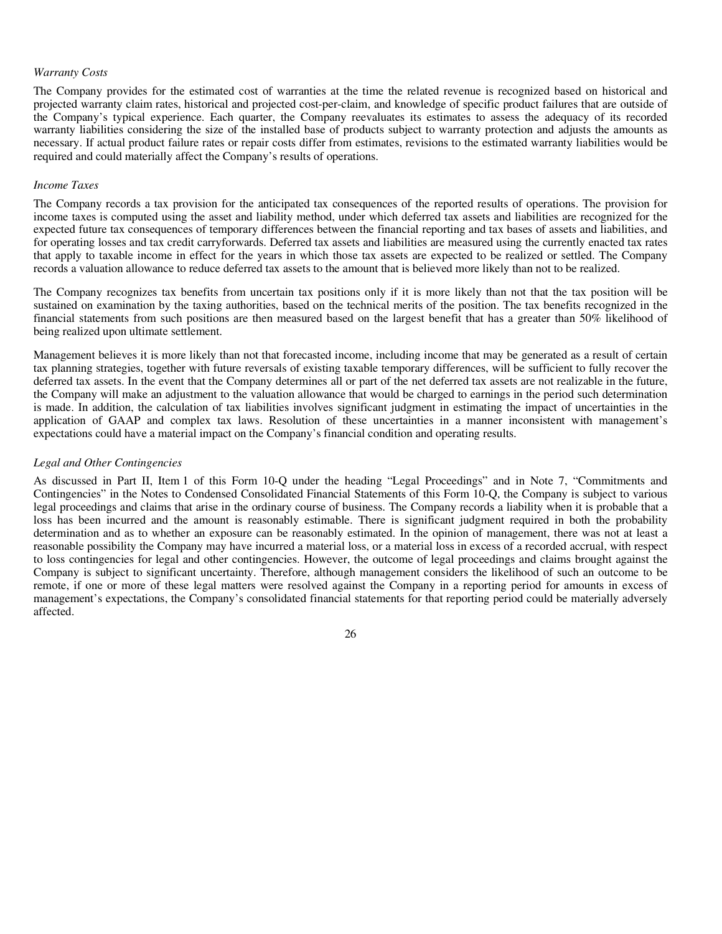#### *Warranty Costs*

The Company provides for the estimated cost of warranties at the time the related revenue is recognized based on historical and projected warranty claim rates, historical and projected cost-per-claim, and knowledge of specific product failures that are outside of the Company's typical experience. Each quarter, the Company reevaluates its estimates to assess the adequacy of its recorded warranty liabilities considering the size of the installed base of products subject to warranty protection and adjusts the amounts as necessary. If actual product failure rates or repair costs differ from estimates, revisions to the estimated warranty liabilities would be required and could materially affect the Company's results of operations.

#### *Income Taxes*

The Company records a tax provision for the anticipated tax consequences of the reported results of operations. The provision for income taxes is computed using the asset and liability method, under which deferred tax assets and liabilities are recognized for the expected future tax consequences of temporary differences between the financial reporting and tax bases of assets and liabilities, and for operating losses and tax credit carryforwards. Deferred tax assets and liabilities are measured using the currently enacted tax rates that apply to taxable income in effect for the years in which those tax assets are expected to be realized or settled. The Company records a valuation allowance to reduce deferred tax assets to the amount that is believed more likely than not to be realized.

The Company recognizes tax benefits from uncertain tax positions only if it is more likely than not that the tax position will be sustained on examination by the taxing authorities, based on the technical merits of the position. The tax benefits recognized in the financial statements from such positions are then measured based on the largest benefit that has a greater than 50% likelihood of being realized upon ultimate settlement.

Management believes it is more likely than not that forecasted income, including income that may be generated as a result of certain tax planning strategies, together with future reversals of existing taxable temporary differences, will be sufficient to fully recover the deferred tax assets. In the event that the Company determines all or part of the net deferred tax assets are not realizable in the future, the Company will make an adjustment to the valuation allowance that would be charged to earnings in the period such determination is made. In addition, the calculation of tax liabilities involves significant judgment in estimating the impact of uncertainties in the application of GAAP and complex tax laws. Resolution of these uncertainties in a manner inconsistent with management's expectations could have a material impact on the Company's financial condition and operating results.

#### *Legal and Other Contingencies*

As discussed in Part II, Item 1 of this Form 10-Q under the heading "Legal Proceedings" and in Note 7, "Commitments and Contingencies" in the Notes to Condensed Consolidated Financial Statements of this Form 10-Q, the Company is subject to various legal proceedings and claims that arise in the ordinary course of business. The Company records a liability when it is probable that a loss has been incurred and the amount is reasonably estimable. There is significant judgment required in both the probability determination and as to whether an exposure can be reasonably estimated. In the opinion of management, there was not at least a reasonable possibility the Company may have incurred a material loss, or a material loss in excess of a recorded accrual, with respect to loss contingencies for legal and other contingencies. However, the outcome of legal proceedings and claims brought against the Company is subject to significant uncertainty. Therefore, although management considers the likelihood of such an outcome to be remote, if one or more of these legal matters were resolved against the Company in a reporting period for amounts in excess of management's expectations, the Company's consolidated financial statements for that reporting period could be materially adversely affected.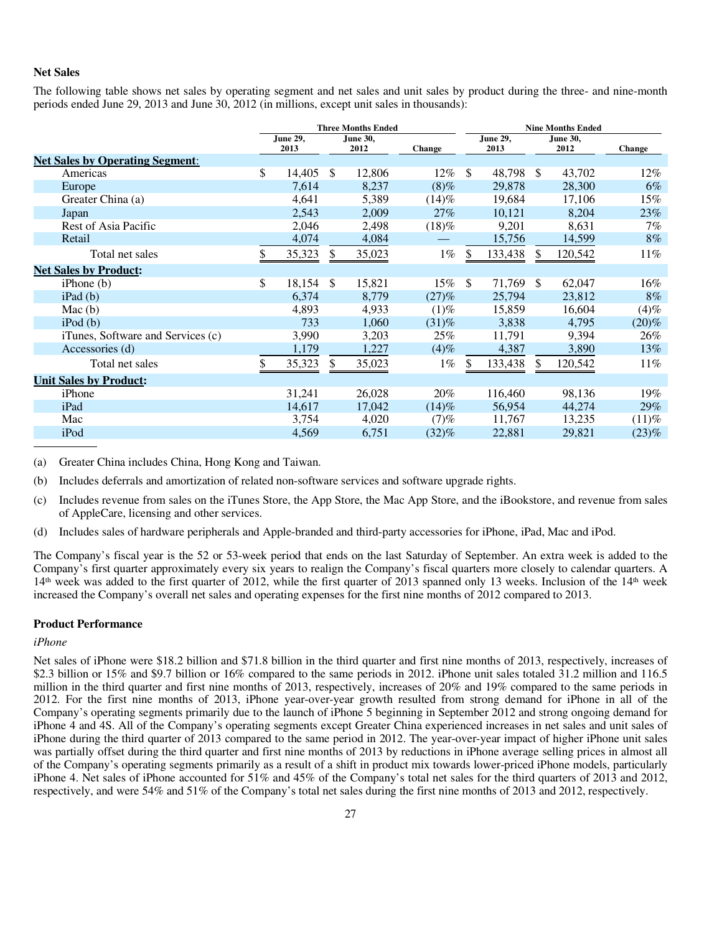#### **Net Sales**

The following table shows net sales by operating segment and net sales and unit sales by product during the three- and nine-month periods ended June 29, 2013 and June 30, 2012 (in millions, except unit sales in thousands):

|                                          | <b>Three Months Ended</b> |                  |     |                  | <b>Nine Months Ended</b> |               |                  |                  |         |        |
|------------------------------------------|---------------------------|------------------|-----|------------------|--------------------------|---------------|------------------|------------------|---------|--------|
|                                          |                           | June 29,<br>2013 |     | June 30,<br>2012 | Change                   |               | June 29,<br>2013 | June 30,<br>2012 |         | Change |
| <b>Net Sales by Operating Segment:</b>   |                           |                  |     |                  |                          |               |                  |                  |         |        |
| Americas                                 | \$                        | 14,405           | \$  | 12,806           | 12%                      | S             | 48,798           | - S              | 43,702  | $12\%$ |
| Europe                                   |                           | 7,614            |     | 8,237            | $(8)\%$                  |               | 29,878           |                  | 28,300  | $6\%$  |
| Greater China (a)                        |                           | 4,641            |     | 5,389            | $(14)\%$                 |               | 19,684           |                  | 17,106  | $15\%$ |
| Japan                                    |                           | 2,543            |     | 2,009            | 27%                      |               | 10,121           |                  | 8,204   | 23%    |
| Rest of Asia Pacific                     |                           | 2,046            |     | 2,498            | (18)%                    |               | 9,201            |                  | 8,631   | 7%     |
| Retail                                   |                           | 4,074            |     | 4,084            |                          |               | 15,756           |                  | 14,599  | 8%     |
| Total net sales                          |                           | 35,323           | \$  | 35,023           | $1\%$                    |               | 133,438          | \$               | 120,542 | $11\%$ |
| <b>Net Sales by Product:</b>             |                           |                  |     |                  |                          |               |                  |                  |         |        |
| iPhone(b)                                | \$                        | 18,154           | \$. | 15,821           | 15%                      | <sup>\$</sup> | 71,769           | -\$              | 62,047  | $16\%$ |
| iPad(b)                                  |                           | 6,374            |     | 8,779            | (27)%                    |               | 25,794           |                  | 23,812  | 8%     |
| Mac(b)                                   |                           | 4,893            |     | 4,933            | $(1)\%$                  |               | 15,859           |                  | 16,604  | (4)%   |
| $i$ Pod $(b)$                            |                           | 733              |     | 1,060            | (31)%                    |               | 3,838            |                  | 4,795   | (20)%  |
| <i>iTunes, Software and Services (c)</i> |                           | 3,990            |     | 3,203            | 25%                      |               | 11,791           |                  | 9,394   | 26%    |
| Accessories (d)                          |                           | 1,179            |     | 1,227            | (4)%                     |               | 4,387            |                  | 3,890   | 13%    |
| Total net sales                          |                           | 35,323           | \$  | 35,023           | $1\%$                    | S.            | 133,438          | S.               | 120,542 | $11\%$ |
| <b>Unit Sales by Product:</b>            |                           |                  |     |                  |                          |               |                  |                  |         |        |
| iPhone                                   |                           | 31,241           |     | 26,028           | $20\%$                   |               | 116.460          |                  | 98.136  | 19%    |
| iPad                                     |                           | 14,617           |     | 17,042           | $(14)\%$                 |               | 56,954           |                  | 44,274  | $29\%$ |
| Mac                                      |                           | 3,754            |     | 4,020            | (7)%                     |               | 11,767           |                  | 13,235  | (11)%  |
| iPod                                     |                           | 4,569            |     | 6,751            | $(32)\%$                 |               | 22,881           |                  | 29,821  | (23)%  |

(a) Greater China includes China, Hong Kong and Taiwan.

(b) Includes deferrals and amortization of related non-software services and software upgrade rights.

- (c) Includes revenue from sales on the iTunes Store, the App Store, the Mac App Store, and the iBookstore, and revenue from sales of AppleCare, licensing and other services.
- (d) Includes sales of hardware peripherals and Apple-branded and third-party accessories for iPhone, iPad, Mac and iPod.

The Company's fiscal year is the 52 or 53-week period that ends on the last Saturday of September. An extra week is added to the Company's first quarter approximately every six years to realign the Company's fiscal quarters more closely to calendar quarters. A  $14<sup>th</sup>$  week was added to the first quarter of 2012, while the first quarter of 2013 spanned only 13 weeks. Inclusion of the  $14<sup>th</sup>$  week increased the Company's overall net sales and operating expenses for the first nine months of 2012 compared to 2013.

#### **Product Performance**

#### *iPhone*

Net sales of iPhone were \$18.2 billion and \$71.8 billion in the third quarter and first nine months of 2013, respectively, increases of \$2.3 billion or 15% and \$9.7 billion or 16% compared to the same periods in 2012. iPhone unit sales totaled 31.2 million and 116.5 million in the third quarter and first nine months of 2013, respectively, increases of 20% and 19% compared to the same periods in 2012. For the first nine months of 2013, iPhone year-over-year growth resulted from strong demand for iPhone in all of the Company's operating segments primarily due to the launch of iPhone 5 beginning in September 2012 and strong ongoing demand for iPhone 4 and 4S. All of the Company's operating segments except Greater China experienced increases in net sales and unit sales of iPhone during the third quarter of 2013 compared to the same period in 2012. The year-over-year impact of higher iPhone unit sales was partially offset during the third quarter and first nine months of 2013 by reductions in iPhone average selling prices in almost all of the Company's operating segments primarily as a result of a shift in product mix towards lower-priced iPhone models, particularly iPhone 4. Net sales of iPhone accounted for  $51\%$  and  $45\%$  of the Company's total net sales for the third quarters of 2013 and 2012, respectively, and were 54% and 51% of the Company's total net sales during the first nine months of 2013 and 2012, respectively.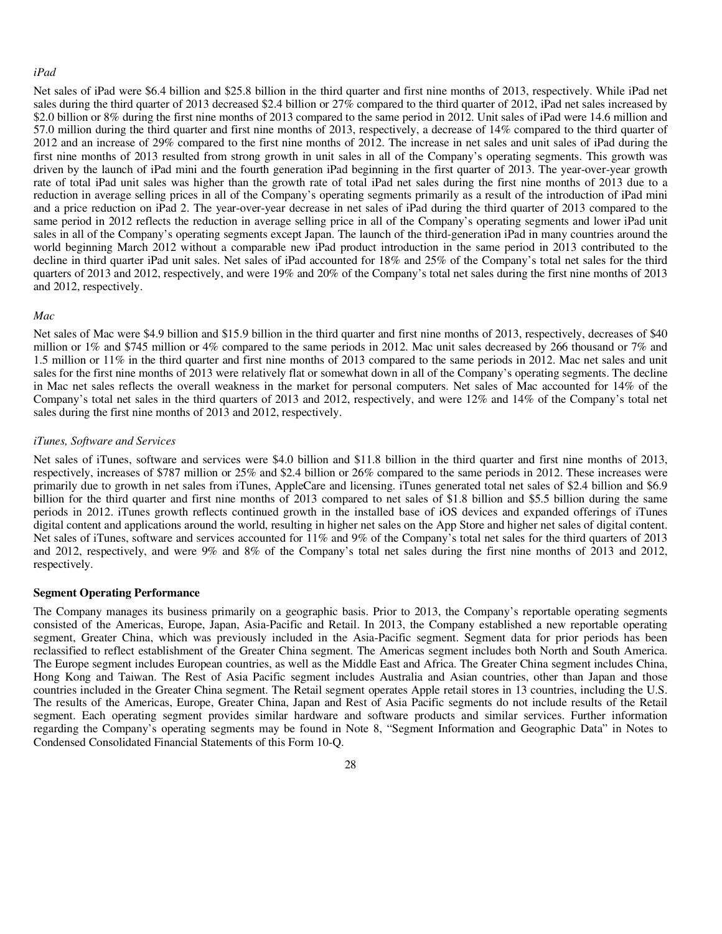#### *iPad*

Net sales of iPad were \$6.4 billion and \$25.8 billion in the third quarter and first nine months of 2013, respectively. While iPad net sales during the third quarter of 2013 decreased \$2.4 billion or  $27\%$  compared to the third quarter of 2012, iPad net sales increased by \$2.0 billion or 8% during the first nine months of 2013 compared to the same period in 2012. Unit sales of iPad were 14.6 million and 57.0 million during the third quarter and first nine months of 2013, respectively, a decrease of 14% compared to the third quarter of 2012 and an increase of 29% compared to the first nine months of 2012. The increase in net sales and unit sales of iPad during the first nine months of 2013 resulted from strong growth in unit sales in all of the Company's operating segments. This growth was driven by the launch of iPad mini and the fourth generation iPad beginning in the first quarter of 2013. The year-over-year growth rate of total iPad unit sales was higher than the growth rate of total iPad net sales during the first nine months of 2013 due to a reduction in average selling prices in all of the Company's operating segments primarily as a result of the introduction of iPad mini and a price reduction on iPad 2. The year-over-year decrease in net sales of iPad during the third quarter of 2013 compared to the same period in 2012 reflects the reduction in average selling price in all of the Company's operating segments and lower iPad unit sales in all of the Company's operating segments except Japan. The launch of the third-generation iPad in many countries around the world beginning March 2012 without a comparable new iPad product introduction in the same period in 2013 contributed to the decline in third quarter iPad unit sales. Net sales of iPad accounted for 18% and 25% of the Company's total net sales for the third quarters of 2013 and 2012, respectively, and were 19% and 20% of the Company's total net sales during the first nine months of 2013 and 2012, respectively.

#### *Mac*

Net sales of Mac were \$4.9 billion and \$15.9 billion in the third quarter and first nine months of 2013, respectively, decreases of \$40 million or 1% and \$745 million or 4% compared to the same periods in 2012. Mac unit sales decreased by 266 thousand or 7% and 1.5 million or 11% in the third quarter and first nine months of 2013 compared to the same periods in 2012. Mac net sales and unit sales for the first nine months of 2013 were relatively flat or somewhat down in all of the Company's operating segments. The decline in Mac net sales reflects the overall weakness in the market for personal computers. Net sales of Mac accounted for 14% of the Company's total net sales in the third quarters of 2013 and 2012, respectively, and were 12% and 14% of the Company's total net sales during the first nine months of 2013 and 2012, respectively.

#### *iTunes, Software and Services*

Net sales of iTunes, software and services were \$4.0 billion and \$11.8 billion in the third quarter and first nine months of 2013, respectively, increases of \$787 million or 25% and \$2.4 billion or 26% compared to the same periods in 2012. These increases were primarily due to growth in net sales from iTunes, AppleCare and licensing. iTunes generated total net sales of \$2.4 billion and \$6.9 billion for the third quarter and first nine months of 2013 compared to net sales of \$1.8 billion and \$5.5 billion during the same periods in 2012. iTunes growth reflects continued growth in the installed base of iOS devices and expanded offerings of iTunes digital content and applications around the world, resulting in higher net sales on the App Store and higher net sales of digital content. Net sales of iTunes, software and services accounted for 11% and 9% of the Company's total net sales for the third quarters of 2013 and 2012, respectively, and were 9% and 8% of the Company's total net sales during the first nine months of 2013 and 2012, respectively.

#### **Segment Operating Performance**

The Company manages its business primarily on a geographic basis. Prior to 2013, the Company's reportable operating segments consisted of the Americas, Europe, Japan, Asia-Pacific and Retail. In 2013, the Company established a new reportable operating segment, Greater China, which was previously included in the Asia-Pacific segment. Segment data for prior periods has been reclassified to reflect establishment of the Greater China segment. The Americas segment includes both North and South America. The Europe segment includes European countries, as well as the Middle East and Africa. The Greater China segment includes China, Hong Kong and Taiwan. The Rest of Asia Pacific segment includes Australia and Asian countries, other than Japan and those countries included in the Greater China segment. The Retail segment operates Apple retail stores in 13 countries, including the U.S. The results of the Americas, Europe, Greater China, Japan and Rest of Asia Pacific segments do not include results of the Retail segment. Each operating segment provides similar hardware and software products and similar services. Further information regarding the Company's operating segments may be found in Note 8, "Segment Information and Geographic Data" in Notes to Condensed Consolidated Financial Statements of this Form 10-Q.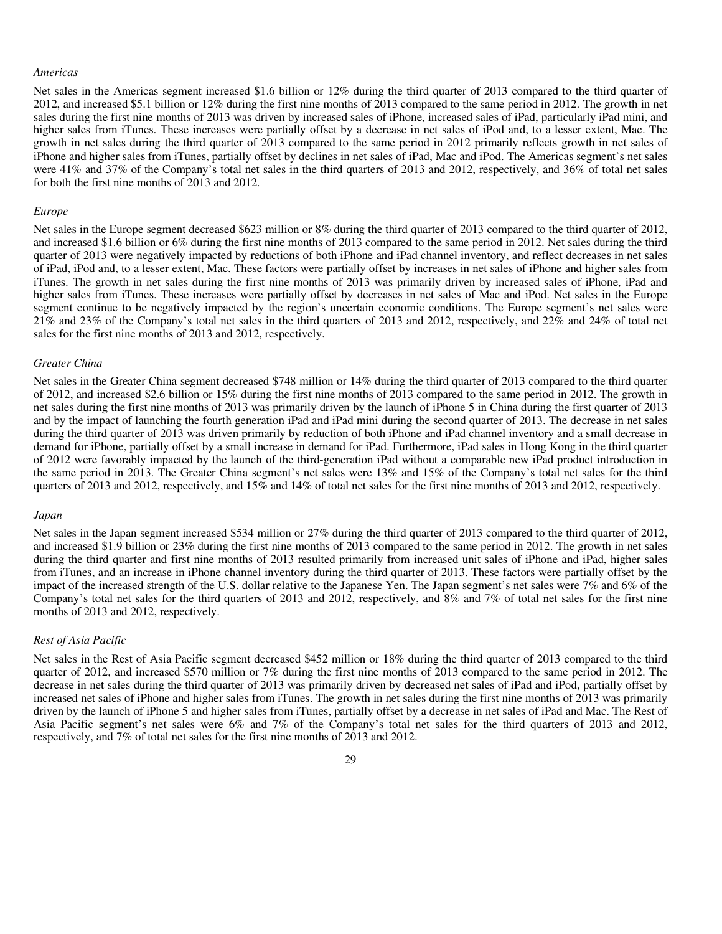#### *Americas*

Net sales in the Americas segment increased \$1.6 billion or 12% during the third quarter of 2013 compared to the third quarter of 2012, and increased \$5.1 billion or 12% during the first nine months of 2013 compared to the same period in 2012. The growth in net sales during the first nine months of 2013 was driven by increased sales of iPhone, increased sales of iPad, particularly iPad mini, and higher sales from iTunes. These increases were partially offset by a decrease in net sales of iPod and, to a lesser extent, Mac. The growth in net sales during the third quarter of 2013 compared to the same period in 2012 primarily reflects growth in net sales of iPhone and higher sales from iTunes, partially offset by declines in net sales of iPad, Mac and iPod. The Americas segment's net sales were 41% and 37% of the Company's total net sales in the third quarters of 2013 and 2012, respectively, and 36% of total net sales for both the first nine months of 2013 and 2012.

#### *Europe*

Net sales in the Europe segment decreased \$623 million or 8% during the third quarter of 2013 compared to the third quarter of 2012, and increased \$1.6 billion or 6% during the first nine months of 2013 compared to the same period in 2012. Net sales during the third quarter of 2013 were negatively impacted by reductions of both iPhone and iPad channel inventory, and reflect decreases in net sales of iPad, iPod and, to a lesser extent, Mac. These factors were partially offset by increases in net sales of iPhone and higher sales from iTunes. The growth in net sales during the first nine months of 2013 was primarily driven by increased sales of iPhone, iPad and higher sales from iTunes. These increases were partially offset by decreases in net sales of Mac and iPod. Net sales in the Europe segment continue to be negatively impacted by the region's uncertain economic conditions. The Europe segment's net sales were 21% and 23% of the Company's total net sales in the third quarters of 2013 and 2012, respectively, and 22% and 24% of total net sales for the first nine months of 2013 and 2012, respectively.

#### *Greater China*

Net sales in the Greater China segment decreased \$748 million or 14% during the third quarter of 2013 compared to the third quarter of 2012, and increased \$2.6 billion or 15% during the first nine months of 2013 compared to the same period in 2012. The growth in net sales during the first nine months of 2013 was primarily driven by the launch of iPhone 5 in China during the first quarter of 2013 and by the impact of launching the fourth generation iPad and iPad mini during the second quarter of 2013. The decrease in net sales during the third quarter of 2013 was driven primarily by reduction of both iPhone and iPad channel inventory and a small decrease in demand for iPhone, partially offset by a small increase in demand for iPad. Furthermore, iPad sales in Hong Kong in the third quarter of 2012 were favorably impacted by the launch of the third-generation iPad without a comparable new iPad product introduction in the same period in 2013. The Greater China segment's net sales were 13% and 15% of the Company's total net sales for the third quarters of 2013 and 2012, respectively, and 15% and 14% of total net sales for the first nine months of 2013 and 2012, respectively.

#### *Japan*

Net sales in the Japan segment increased \$534 million or 27% during the third quarter of 2013 compared to the third quarter of 2012, and increased \$1.9 billion or 23% during the first nine months of 2013 compared to the same period in 2012. The growth in net sales during the third quarter and first nine months of 2013 resulted primarily from increased unit sales of iPhone and iPad, higher sales from iTunes, and an increase in iPhone channel inventory during the third quarter of 2013. These factors were partially offset by the impact of the increased strength of the U.S. dollar relative to the Japanese Yen. The Japan segment's net sales were 7% and 6% of the Company's total net sales for the third quarters of 2013 and 2012, respectively, and 8% and 7% of total net sales for the first nine months of 2013 and 2012, respectively.

#### *Rest of Asia Pacific*

Net sales in the Rest of Asia Pacific segment decreased \$452 million or 18% during the third quarter of 2013 compared to the third quarter of 2012, and increased \$570 million or 7% during the first nine months of 2013 compared to the same period in 2012. The decrease in net sales during the third quarter of 2013 was primarily driven by decreased net sales of iPad and iPod, partially offset by increased net sales of iPhone and higher sales from iTunes. The growth in net sales during the first nine months of 2013 was primarily driven by the launch of iPhone 5 and higher sales from iTunes, partially offset by a decrease in net sales of iPad and Mac. The Rest of Asia Pacific segment's net sales were 6% and 7% of the Company's total net sales for the third quarters of 2013 and 2012, respectively, and 7% of total net sales for the first nine months of 2013 and 2012.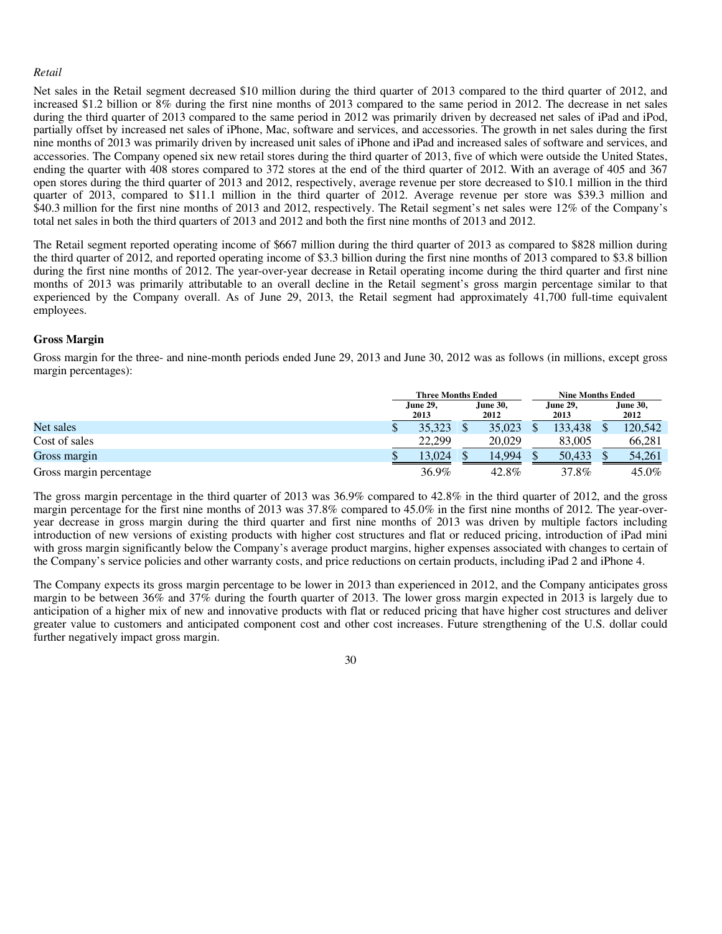#### *Retail*

Net sales in the Retail segment decreased \$10 million during the third quarter of 2013 compared to the third quarter of 2012, and increased \$1.2 billion or 8% during the first nine months of 2013 compared to the same period in 2012. The decrease in net sales during the third quarter of 2013 compared to the same period in 2012 was primarily driven by decreased net sales of iPad and iPod, partially offset by increased net sales of iPhone, Mac, software and services, and accessories. The growth in net sales during the first nine months of 2013 was primarily driven by increased unit sales of iPhone and iPad and increased sales of software and services, and accessories. The Company opened six new retail stores during the third quarter of 2013, five of which were outside the United States, ending the quarter with 408 stores compared to 372 stores at the end of the third quarter of 2012. With an average of 405 and 367 open stores during the third quarter of 2013 and 2012, respectively, average revenue per store decreased to \$10.1 million in the third quarter of 2013, compared to \$11.1 million in the third quarter of 2012. Average revenue per store was \$39.3 million and \$40.3 million for the first nine months of 2013 and 2012, respectively. The Retail segment's net sales were 12% of the Company's total net sales in both the third quarters of 2013 and 2012 and both the first nine months of 2013 and 2012.

The Retail segment reported operating income of \$667 million during the third quarter of 2013 as compared to \$828 million during the third quarter of 2012, and reported operating income of \$3.3 billion during the first nine months of 2013 compared to \$3.8 billion during the first nine months of 2012. The year-over-year decrease in Retail operating income during the third quarter and first nine months of 2013 was primarily attributable to an overall decline in the Retail segment's gross margin percentage similar to that experienced by the Company overall. As of June 29, 2013, the Retail segment had approximately 41,700 full-time equivalent employees.

#### **Gross Margin**

Gross margin for the three- and nine-month periods ended June 29, 2013 and June 30, 2012 was as follows (in millions, except gross margin percentages):

|                         |  | <b>Three Months Ended</b> |  |        |  |                         | <b>Nine Months Ended</b> |         |                  |  |  |                  |
|-------------------------|--|---------------------------|--|--------|--|-------------------------|--------------------------|---------|------------------|--|--|------------------|
|                         |  | June 29,<br>2013          |  |        |  | <b>June 30,</b><br>2012 |                          |         | June 29,<br>2013 |  |  | June 30,<br>2012 |
| Net sales               |  | 35,323                    |  | 35,023 |  | 133.438                 |                          | 120.542 |                  |  |  |                  |
| Cost of sales           |  | 22.299                    |  | 20,029 |  | 83,005                  |                          | 66,281  |                  |  |  |                  |
| Gross margin            |  | 13.024                    |  | 14.994 |  | 50.433                  |                          | 54,261  |                  |  |  |                  |
| Gross margin percentage |  | 36.9%                     |  | 42.8%  |  | 37.8%                   |                          | 45.0%   |                  |  |  |                  |

The gross margin percentage in the third quarter of 2013 was 36.9% compared to 42.8% in the third quarter of 2012, and the gross margin percentage for the first nine months of 2013 was 37.8% compared to 45.0% in the first nine months of 2012. The year-overyear decrease in gross margin during the third quarter and first nine months of 2013 was driven by multiple factors including introduction of new versions of existing products with higher cost structures and flat or reduced pricing, introduction of iPad mini with gross margin significantly below the Company's average product margins, higher expenses associated with changes to certain of the Company's service policies and other warranty costs, and price reductions on certain products, including iPad 2 and iPhone 4.

The Company expects its gross margin percentage to be lower in 2013 than experienced in 2012, and the Company anticipates gross margin to be between 36% and 37% during the fourth quarter of 2013. The lower gross margin expected in 2013 is largely due to anticipation of a higher mix of new and innovative products with flat or reduced pricing that have higher cost structures and deliver greater value to customers and anticipated component cost and other cost increases. Future strengthening of the U.S. dollar could further negatively impact gross margin.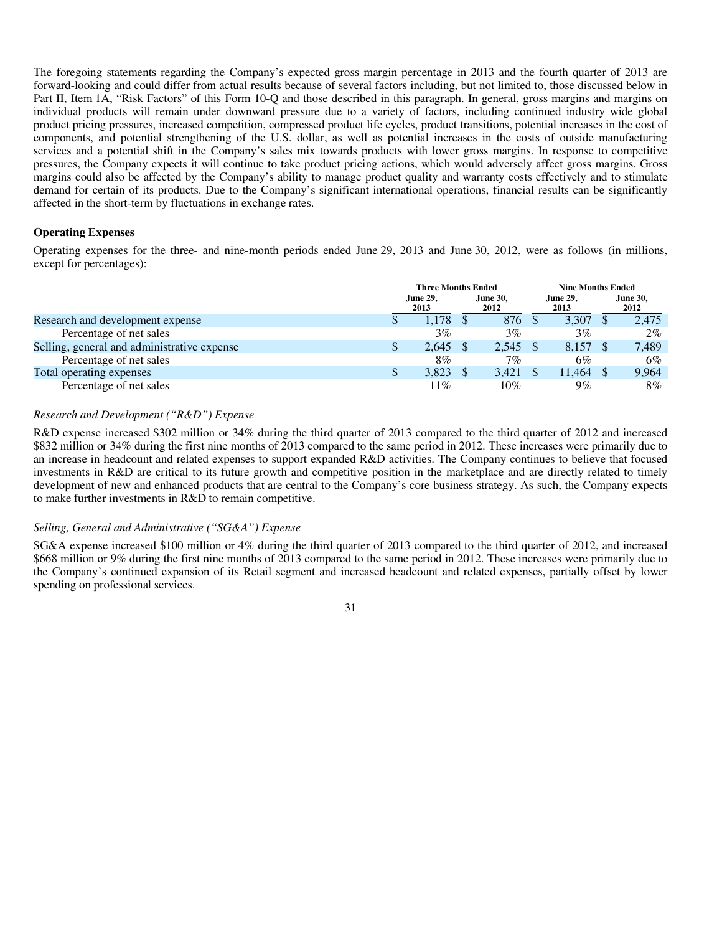The foregoing statements regarding the Company's expected gross margin percentage in 2013 and the fourth quarter of 2013 are forward-looking and could differ from actual results because of several factors including, but not limited to, those discussed below in Part II, Item 1A, "Risk Factors" of this Form 10-Q and those described in this paragraph. In general, gross margins and margins on individual products will remain under downward pressure due to a variety of factors, including continued industry wide global product pricing pressures, increased competition, compressed product life cycles, product transitions, potential increases in the cost of components, and potential strengthening of the U.S. dollar, as well as potential increases in the costs of outside manufacturing services and a potential shift in the Company's sales mix towards products with lower gross margins. In response to competitive pressures, the Company expects it will continue to take product pricing actions, which would adversely affect gross margins. Gross margins could also be affected by the Company's ability to manage product quality and warranty costs effectively and to stimulate demand for certain of its products. Due to the Company's significant international operations, financial results can be significantly affected in the short-term by fluctuations in exchange rates.

#### **Operating Expenses**

Operating expenses for the three- and nine-month periods ended June 29, 2013 and June 30, 2012, were as follows (in millions, except for percentages):

|                                             |                  | <b>Three Months Ended</b> |  |                  |  | <b>Nine Months Ended</b> |  |                  |  |
|---------------------------------------------|------------------|---------------------------|--|------------------|--|--------------------------|--|------------------|--|
|                                             | June 29,<br>2013 |                           |  | June 30,<br>2012 |  | June 29,<br>2013         |  | June 30,<br>2012 |  |
| Research and development expense            |                  | 1.178                     |  | 876              |  | 3.307                    |  | 2.475            |  |
| Percentage of net sales                     |                  | $3\%$                     |  | $3\%$            |  | $3\%$                    |  | $2\%$            |  |
| Selling, general and administrative expense | <sup>\$</sup>    | 2.645                     |  | 2.545            |  | 8.157                    |  | 7,489            |  |
| Percentage of net sales                     |                  | 8%                        |  | 7%               |  | 6%                       |  | 6%               |  |
| Total operating expenses                    | \$               | 3,823                     |  | 3,421            |  | 11,464                   |  | 9,964            |  |
| Percentage of net sales                     |                  | 11%                       |  | $10\%$           |  | $9\%$                    |  | 8%               |  |

#### *Research and Development ("R&D") Expense*

R&D expense increased \$302 million or 34% during the third quarter of 2013 compared to the third quarter of 2012 and increased \$832 million or 34% during the first nine months of 2013 compared to the same period in 2012. These increases were primarily due to an increase in headcount and related expenses to support expanded R&D activities. The Company continues to believe that focused investments in R&D are critical to its future growth and competitive position in the marketplace and are directly related to timely development of new and enhanced products that are central to the Company's core business strategy. As such, the Company expects to make further investments in R&D to remain competitive.

#### *Selling, General and Administrative ("SG&A") Expense*

SG&A expense increased \$100 million or 4% during the third quarter of 2013 compared to the third quarter of 2012, and increased \$668 million or 9% during the first nine months of 2013 compared to the same period in 2012. These increases were primarily due to the Company's continued expansion of its Retail segment and increased headcount and related expenses, partially offset by lower spending on professional services.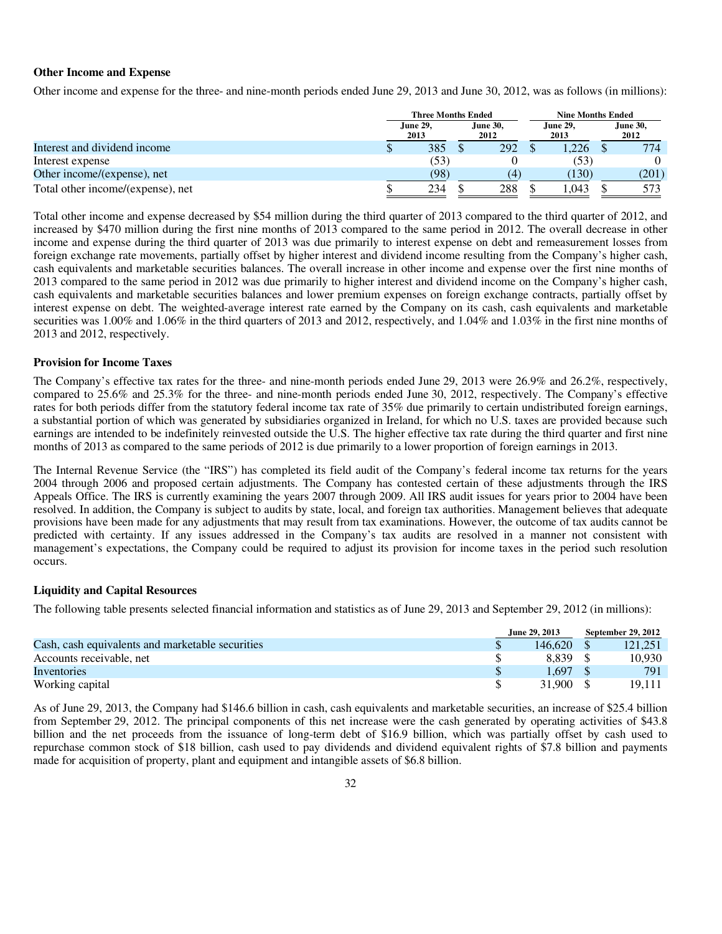#### **Other Income and Expense**

Other income and expense for the three- and nine-month periods ended June 29, 2013 and June 30, 2012, was as follows (in millions):

|                                   | <b>Three Months Ended</b> |                  |                  |     |                  | <b>Nine Months Ended</b> |                  |       |  |  |
|-----------------------------------|---------------------------|------------------|------------------|-----|------------------|--------------------------|------------------|-------|--|--|
|                                   |                           | June 29,<br>2013 | June 30,<br>2012 |     | June 29,<br>2013 |                          | June 30,<br>2012 |       |  |  |
| Interest and dividend income      | ◡                         | 385              |                  | 292 |                  | .226                     |                  | 774   |  |  |
| Interest expense                  |                           | (53)             |                  |     |                  | (53)                     |                  |       |  |  |
| Other income/(expense), net       |                           | (98)             |                  | (4) |                  | (130)                    |                  | (201) |  |  |
| Total other income/(expense), net |                           | 234              |                  | 288 |                  | 1.043                    |                  | 573   |  |  |

Total other income and expense decreased by \$54 million during the third quarter of 2013 compared to the third quarter of 2012, and increased by \$470 million during the first nine months of 2013 compared to the same period in 2012. The overall decrease in other income and expense during the third quarter of 2013 was due primarily to interest expense on debt and remeasurement losses from foreign exchange rate movements, partially offset by higher interest and dividend income resulting from the Company's higher cash, cash equivalents and marketable securities balances. The overall increase in other income and expense over the first nine months of 2013 compared to the same period in 2012 was due primarily to higher interest and dividend income on the Company's higher cash, cash equivalents and marketable securities balances and lower premium expenses on foreign exchange contracts, partially offset by interest expense on debt. The weighted-average interest rate earned by the Company on its cash, cash equivalents and marketable securities was 1.00% and 1.06% in the third quarters of 2013 and 2012, respectively, and 1.04% and 1.03% in the first nine months of 2013 and 2012, respectively.

#### **Provision for Income Taxes**

The Company's effective tax rates for the three- and nine-month periods ended June 29, 2013 were 26.9% and 26.2%, respectively, compared to 25.6% and 25.3% for the three- and nine-month periods ended June 30, 2012, respectively. The Company's effective rates for both periods differ from the statutory federal income tax rate of 35% due primarily to certain undistributed foreign earnings, a substantial portion of which was generated by subsidiaries organized in Ireland, for which no U.S. taxes are provided because such earnings are intended to be indefinitely reinvested outside the U.S. The higher effective tax rate during the third quarter and first nine months of 2013 as compared to the same periods of 2012 is due primarily to a lower proportion of foreign earnings in 2013.

The Internal Revenue Service (the "IRS") has completed its field audit of the Company's federal income tax returns for the years 2004 through 2006 and proposed certain adjustments. The Company has contested certain of these adjustments through the IRS Appeals Office. The IRS is currently examining the years 2007 through 2009. All IRS audit issues for years prior to 2004 have been resolved. In addition, the Company is subject to audits by state, local, and foreign tax authorities. Management believes that adequate provisions have been made for any adjustments that may result from tax examinations. However, the outcome of tax audits cannot be predicted with certainty. If any issues addressed in the Company's tax audits are resolved in a manner not consistent with management's expectations, the Company could be required to adjust its provision for income taxes in the period such resolution occurs.

#### **Liquidity and Capital Resources**

The following table presents selected financial information and statistics as of June 29, 2013 and September 29, 2012 (in millions):

|                                                  | June 29, 2013 | September 29, 2012 |
|--------------------------------------------------|---------------|--------------------|
| Cash, cash equivalents and marketable securities | 146.620       | 121.251            |
| Accounts receivable, net                         | 8.839         | 10.930             |
| Inventories                                      | 1.697         | 791                |
| Working capital                                  | 31.900        | 19.111             |

As of June 29, 2013, the Company had \$146.6 billion in cash, cash equivalents and marketable securities, an increase of \$25.4 billion from September 29, 2012. The principal components of this net increase were the cash generated by operating activities of \$43.8 billion and the net proceeds from the issuance of long-term debt of \$16.9 billion, which was partially offset by cash used to repurchase common stock of \$18 billion, cash used to pay dividends and dividend equivalent rights of \$7.8 billion and payments made for acquisition of property, plant and equipment and intangible assets of \$6.8 billion.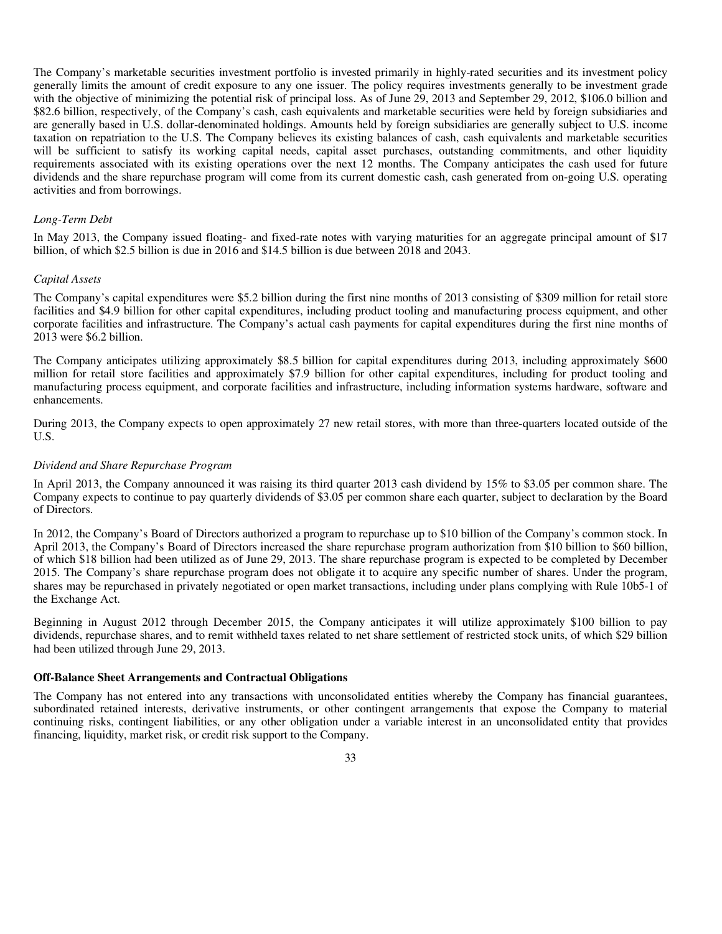The Company's marketable securities investment portfolio is invested primarily in highly-rated securities and its investment policy generally limits the amount of credit exposure to any one issuer. The policy requires investments generally to be investment grade with the objective of minimizing the potential risk of principal loss. As of June 29, 2013 and September 29, 2012, \$106.0 billion and \$82.6 billion, respectively, of the Company's cash, cash equivalents and marketable securities were held by foreign subsidiaries and are generally based in U.S. dollar-denominated holdings. Amounts held by foreign subsidiaries are generally subject to U.S. income taxation on repatriation to the U.S. The Company believes its existing balances of cash, cash equivalents and marketable securities will be sufficient to satisfy its working capital needs, capital asset purchases, outstanding commitments, and other liquidity requirements associated with its existing operations over the next 12 months. The Company anticipates the cash used for future dividends and the share repurchase program will come from its current domestic cash, cash generated from on-going U.S. operating activities and from borrowings.

#### *Long-Term Debt*

In May 2013, the Company issued floating- and fixed-rate notes with varying maturities for an aggregate principal amount of \$17 billion, of which \$2.5 billion is due in 2016 and \$14.5 billion is due between 2018 and 2043.

#### *Capital Assets*

The Company's capital expenditures were \$5.2 billion during the first nine months of 2013 consisting of \$309 million for retail store facilities and \$4.9 billion for other capital expenditures, including product tooling and manufacturing process equipment, and other corporate facilities and infrastructure. The Company's actual cash payments for capital expenditures during the first nine months of 2013 were \$6.2 billion.

The Company anticipates utilizing approximately \$8.5 billion for capital expenditures during 2013, including approximately \$600 million for retail store facilities and approximately \$7.9 billion for other capital expenditures, including for product tooling and manufacturing process equipment, and corporate facilities and infrastructure, including information systems hardware, software and enhancements.

During 2013, the Company expects to open approximately 27 new retail stores, with more than three-quarters located outside of the U.S.

#### *Dividend and Share Repurchase Program*

In April 2013, the Company announced it was raising its third quarter 2013 cash dividend by 15% to \$3.05 per common share. The Company expects to continue to pay quarterly dividends of \$3.05 per common share each quarter, subject to declaration by the Board of Directors.

In 2012, the Company's Board of Directors authorized a program to repurchase up to \$10 billion of the Company's common stock. In April 2013, the Company's Board of Directors increased the share repurchase program authorization from \$10 billion to \$60 billion, of which \$18 billion had been utilized as of June 29, 2013. The share repurchase program is expected to be completed by December 2015. The Company's share repurchase program does not obligate it to acquire any specific number of shares. Under the program, shares may be repurchased in privately negotiated or open market transactions, including under plans complying with Rule 10b5-1 of the Exchange Act.

Beginning in August 2012 through December 2015, the Company anticipates it will utilize approximately \$100 billion to pay dividends, repurchase shares, and to remit withheld taxes related to net share settlement of restricted stock units, of which \$29 billion had been utilized through June 29, 2013.

#### **Off-Balance Sheet Arrangements and Contractual Obligations**

The Company has not entered into any transactions with unconsolidated entities whereby the Company has financial guarantees, subordinated retained interests, derivative instruments, or other contingent arrangements that expose the Company to material continuing risks, contingent liabilities, or any other obligation under a variable interest in an unconsolidated entity that provides financing, liquidity, market risk, or credit risk support to the Company.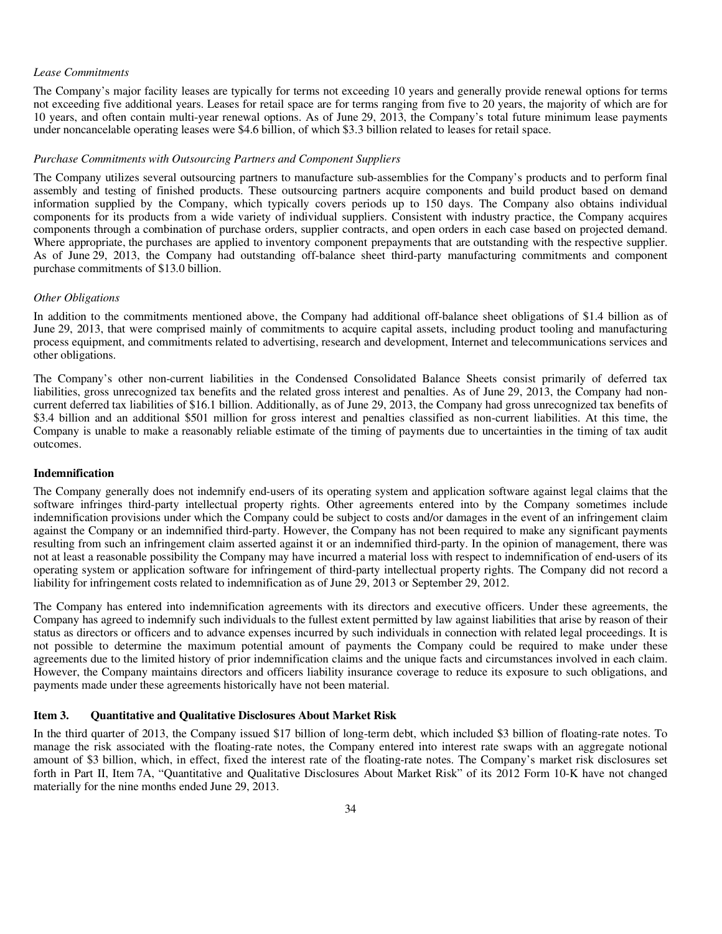#### *Lease Commitments*

The Company's major facility leases are typically for terms not exceeding 10 years and generally provide renewal options for terms not exceeding five additional years. Leases for retail space are for terms ranging from five to 20 years, the majority of which are for 10 years, and often contain multi-year renewal options. As of June 29, 2013, the Company's total future minimum lease payments under noncancelable operating leases were \$4.6 billion, of which \$3.3 billion related to leases for retail space.

#### *Purchase Commitments with Outsourcing Partners and Component Suppliers*

The Company utilizes several outsourcing partners to manufacture sub-assemblies for the Company's products and to perform final assembly and testing of finished products. These outsourcing partners acquire components and build product based on demand information supplied by the Company, which typically covers periods up to 150 days. The Company also obtains individual components for its products from a wide variety of individual suppliers. Consistent with industry practice, the Company acquires components through a combination of purchase orders, supplier contracts, and open orders in each case based on projected demand. Where appropriate, the purchases are applied to inventory component prepayments that are outstanding with the respective supplier. As of June 29, 2013, the Company had outstanding off-balance sheet third-party manufacturing commitments and component purchase commitments of \$13.0 billion.

#### *Other Obligations*

In addition to the commitments mentioned above, the Company had additional off-balance sheet obligations of \$1.4 billion as of June 29, 2013, that were comprised mainly of commitments to acquire capital assets, including product tooling and manufacturing process equipment, and commitments related to advertising, research and development, Internet and telecommunications services and other obligations.

The Company's other non-current liabilities in the Condensed Consolidated Balance Sheets consist primarily of deferred tax liabilities, gross unrecognized tax benefits and the related gross interest and penalties. As of June 29, 2013, the Company had noncurrent deferred tax liabilities of \$16.1 billion. Additionally, as of June 29, 2013, the Company had gross unrecognized tax benefits of \$3.4 billion and an additional \$501 million for gross interest and penalties classified as non-current liabilities. At this time, the Company is unable to make a reasonably reliable estimate of the timing of payments due to uncertainties in the timing of tax audit outcomes.

#### **Indemnification**

The Company generally does not indemnify end-users of its operating system and application software against legal claims that the software infringes third-party intellectual property rights. Other agreements entered into by the Company sometimes include indemnification provisions under which the Company could be subject to costs and/or damages in the event of an infringement claim against the Company or an indemnified third-party. However, the Company has not been required to make any significant payments resulting from such an infringement claim asserted against it or an indemnified third-party. In the opinion of management, there was not at least a reasonable possibility the Company may have incurred a material loss with respect to indemnification of end-users of its operating system or application software for infringement of third-party intellectual property rights. The Company did not record a liability for infringement costs related to indemnification as of June 29, 2013 or September 29, 2012.

The Company has entered into indemnification agreements with its directors and executive officers. Under these agreements, the Company has agreed to indemnify such individuals to the fullest extent permitted by law against liabilities that arise by reason of their status as directors or officers and to advance expenses incurred by such individuals in connection with related legal proceedings. It is not possible to determine the maximum potential amount of payments the Company could be required to make under these agreements due to the limited history of prior indemnification claims and the unique facts and circumstances involved in each claim. However, the Company maintains directors and officers liability insurance coverage to reduce its exposure to such obligations, and payments made under these agreements historically have not been material.

#### **Item 3. Quantitative and Qualitative Disclosures About Market Risk**

In the third quarter of 2013, the Company issued \$17 billion of long-term debt, which included \$3 billion of floating-rate notes. To manage the risk associated with the floating-rate notes, the Company entered into interest rate swaps with an aggregate notional amount of \$3 billion, which, in effect, fixed the interest rate of the floating-rate notes. The Company's market risk disclosures set forth in Part II, Item 7A, "Quantitative and Qualitative Disclosures About Market Risk" of its 2012 Form 10-K have not changed materially for the nine months ended June 29, 2013.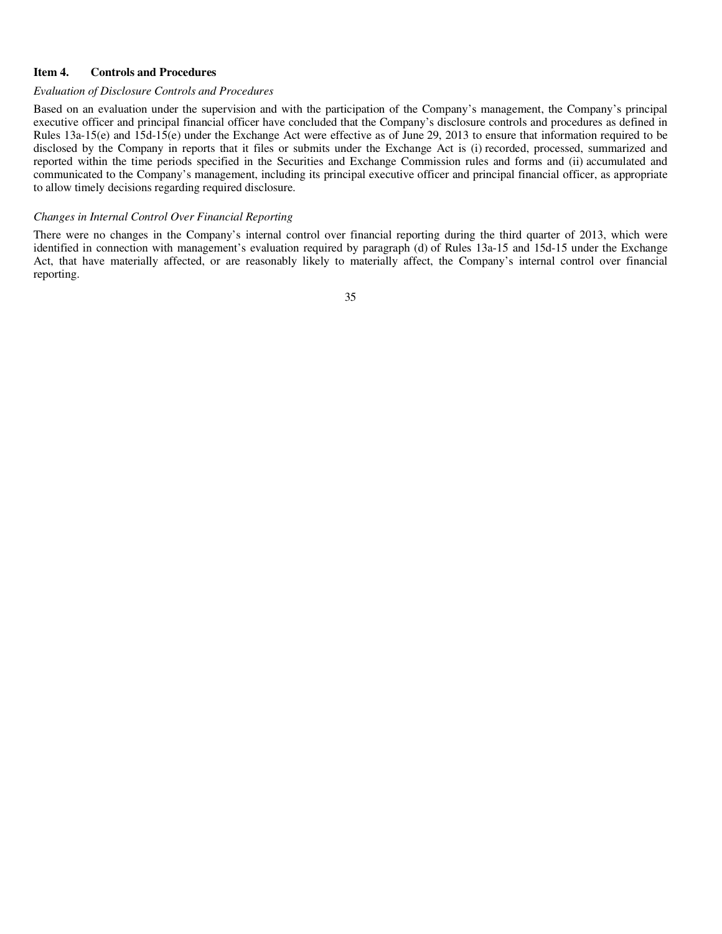#### **Item 4. Controls and Procedures**

#### *Evaluation of Disclosure Controls and Procedures*

Based on an evaluation under the supervision and with the participation of the Company's management, the Company's principal executive officer and principal financial officer have concluded that the Company's disclosure controls and procedures as defined in Rules 13a-15(e) and 15d-15(e) under the Exchange Act were effective as of June 29, 2013 to ensure that information required to be disclosed by the Company in reports that it files or submits under the Exchange Act is (i) recorded, processed, summarized and reported within the time periods specified in the Securities and Exchange Commission rules and forms and (ii) accumulated and communicated to the Company's management, including its principal executive officer and principal financial officer, as appropriate to allow timely decisions regarding required disclosure.

#### *Changes in Internal Control Over Financial Reporting*

There were no changes in the Company's internal control over financial reporting during the third quarter of 2013, which were identified in connection with management's evaluation required by paragraph (d) of Rules 13a-15 and 15d-15 under the Exchange Act, that have materially affected, or are reasonably likely to materially affect, the Company's internal control over financial reporting.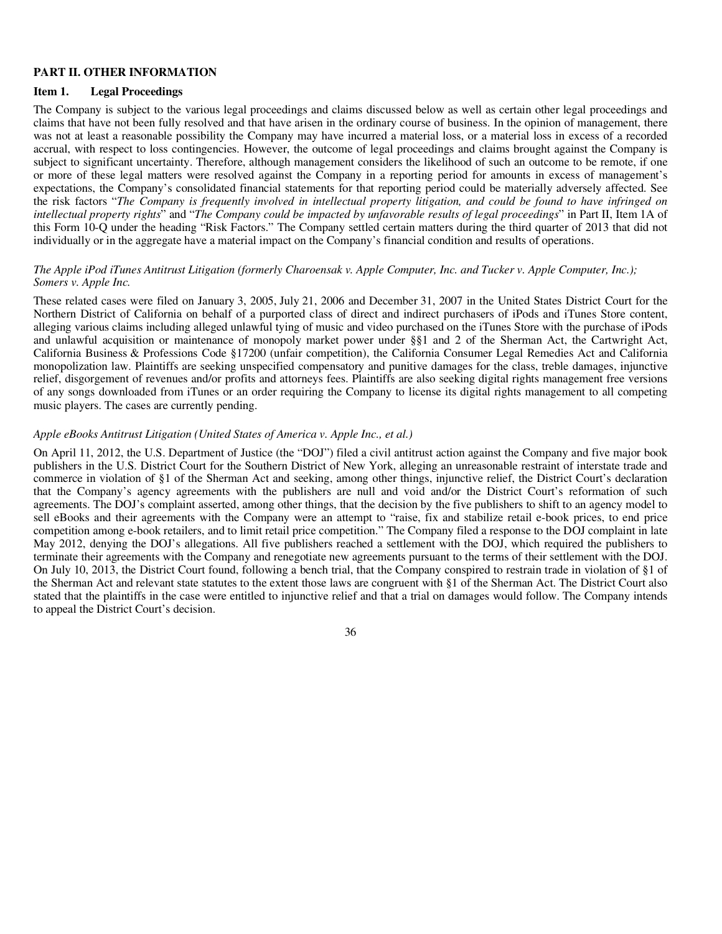#### **PART II. OTHER INFORMATION**

#### **Item 1. Legal Proceedings**

The Company is subject to the various legal proceedings and claims discussed below as well as certain other legal proceedings and claims that have not been fully resolved and that have arisen in the ordinary course of business. In the opinion of management, there was not at least a reasonable possibility the Company may have incurred a material loss, or a material loss in excess of a recorded accrual, with respect to loss contingencies. However, the outcome of legal proceedings and claims brought against the Company is subject to significant uncertainty. Therefore, although management considers the likelihood of such an outcome to be remote, if one or more of these legal matters were resolved against the Company in a reporting period for amounts in excess of management's expectations, the Company's consolidated financial statements for that reporting period could be materially adversely affected. See the risk factors "*The Company is frequently involved in intellectual property litigation, and could be found to have infringed on intellectual property rights*" and "*The Company could be impacted by unfavorable results of legal proceedings*" in Part II, Item 1A of this Form 10-Q under the heading "Risk Factors." The Company settled certain matters during the third quarter of 2013 that did not individually or in the aggregate have a material impact on the Company's financial condition and results of operations.

#### *The Apple iPod iTunes Antitrust Litigation (formerly Charoensak v. Apple Computer, Inc. and Tucker v. Apple Computer, Inc.); Somers v. Apple Inc.*

These related cases were filed on January 3, 2005, July 21, 2006 and December 31, 2007 in the United States District Court for the Northern District of California on behalf of a purported class of direct and indirect purchasers of iPods and iTunes Store content, alleging various claims including alleged unlawful tying of music and video purchased on the iTunes Store with the purchase of iPods and unlawful acquisition or maintenance of monopoly market power under §§1 and 2 of the Sherman Act, the Cartwright Act, California Business & Professions Code §17200 (unfair competition), the California Consumer Legal Remedies Act and California monopolization law. Plaintiffs are seeking unspecified compensatory and punitive damages for the class, treble damages, injunctive relief, disgorgement of revenues and/or profits and attorneys fees. Plaintiffs are also seeking digital rights management free versions of any songs downloaded from iTunes or an order requiring the Company to license its digital rights management to all competing music players. The cases are currently pending.

#### *Apple eBooks Antitrust Litigation (United States of America v. Apple Inc., et al.)*

On April 11, 2012, the U.S. Department of Justice (the "DOJ") filed a civil antitrust action against the Company and five major book publishers in the U.S. District Court for the Southern District of New York, alleging an unreasonable restraint of interstate trade and commerce in violation of §1 of the Sherman Act and seeking, among other things, injunctive relief, the District Court's declaration that the Company's agency agreements with the publishers are null and void and/or the District Court's reformation of such agreements. The DOJ's complaint asserted, among other things, that the decision by the five publishers to shift to an agency model to sell eBooks and their agreements with the Company were an attempt to "raise, fix and stabilize retail e-book prices, to end price competition among e-book retailers, and to limit retail price competition." The Company filed a response to the DOJ complaint in late May 2012, denying the DOJ's allegations. All five publishers reached a settlement with the DOJ, which required the publishers to terminate their agreements with the Company and renegotiate new agreements pursuant to the terms of their settlement with the DOJ. On July 10, 2013, the District Court found, following a bench trial, that the Company conspired to restrain trade in violation of §1 of the Sherman Act and relevant state statutes to the extent those laws are congruent with §1 of the Sherman Act. The District Court also stated that the plaintiffs in the case were entitled to injunctive relief and that a trial on damages would follow. The Company intends to appeal the District Court's decision.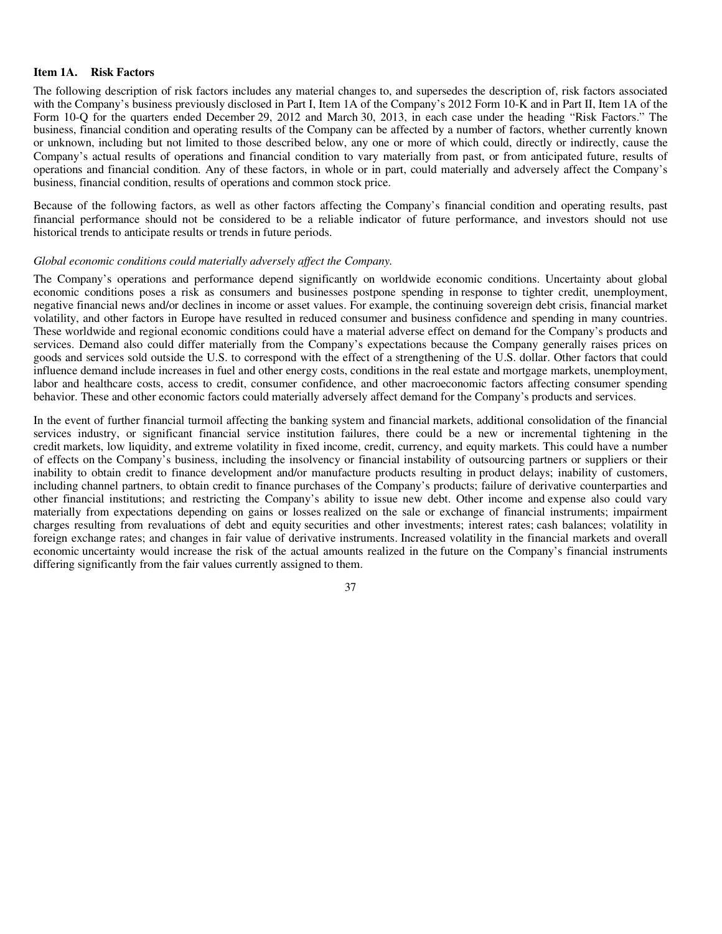#### **Item 1A. Risk Factors**

The following description of risk factors includes any material changes to, and supersedes the description of, risk factors associated with the Company's business previously disclosed in Part I, Item 1A of the Company's 2012 Form 10-K and in Part II, Item 1A of the Form 10-Q for the quarters ended December 29, 2012 and March 30, 2013, in each case under the heading "Risk Factors." The business, financial condition and operating results of the Company can be affected by a number of factors, whether currently known or unknown, including but not limited to those described below, any one or more of which could, directly or indirectly, cause the Company's actual results of operations and financial condition to vary materially from past, or from anticipated future, results of operations and financial condition. Any of these factors, in whole or in part, could materially and adversely affect the Company's business, financial condition, results of operations and common stock price.

Because of the following factors, as well as other factors affecting the Company's financial condition and operating results, past financial performance should not be considered to be a reliable indicator of future performance, and investors should not use historical trends to anticipate results or trends in future periods.

#### *Global economic conditions could materially adversely affect the Company.*

The Company's operations and performance depend significantly on worldwide economic conditions. Uncertainty about global economic conditions poses a risk as consumers and businesses postpone spending in response to tighter credit, unemployment, negative financial news and/or declines in income or asset values. For example, the continuing sovereign debt crisis, financial market volatility, and other factors in Europe have resulted in reduced consumer and business confidence and spending in many countries. These worldwide and regional economic conditions could have a material adverse effect on demand for the Company's products and services. Demand also could differ materially from the Company's expectations because the Company generally raises prices on goods and services sold outside the U.S. to correspond with the effect of a strengthening of the U.S. dollar. Other factors that could influence demand include increases in fuel and other energy costs, conditions in the real estate and mortgage markets, unemployment, labor and healthcare costs, access to credit, consumer confidence, and other macroeconomic factors affecting consumer spending behavior. These and other economic factors could materially adversely affect demand for the Company's products and services.

In the event of further financial turmoil affecting the banking system and financial markets, additional consolidation of the financial services industry, or significant financial service institution failures, there could be a new or incremental tightening in the credit markets, low liquidity, and extreme volatility in fixed income, credit, currency, and equity markets. This could have a number of effects on the Company's business, including the insolvency or financial instability of outsourcing partners or suppliers or their inability to obtain credit to finance development and/or manufacture products resulting in product delays; inability of customers, including channel partners, to obtain credit to finance purchases of the Company's products; failure of derivative counterparties and other financial institutions; and restricting the Company's ability to issue new debt. Other income and expense also could vary materially from expectations depending on gains or losses realized on the sale or exchange of financial instruments; impairment charges resulting from revaluations of debt and equity securities and other investments; interest rates; cash balances; volatility in foreign exchange rates; and changes in fair value of derivative instruments. Increased volatility in the financial markets and overall economic uncertainty would increase the risk of the actual amounts realized in the future on the Company's financial instruments differing significantly from the fair values currently assigned to them.

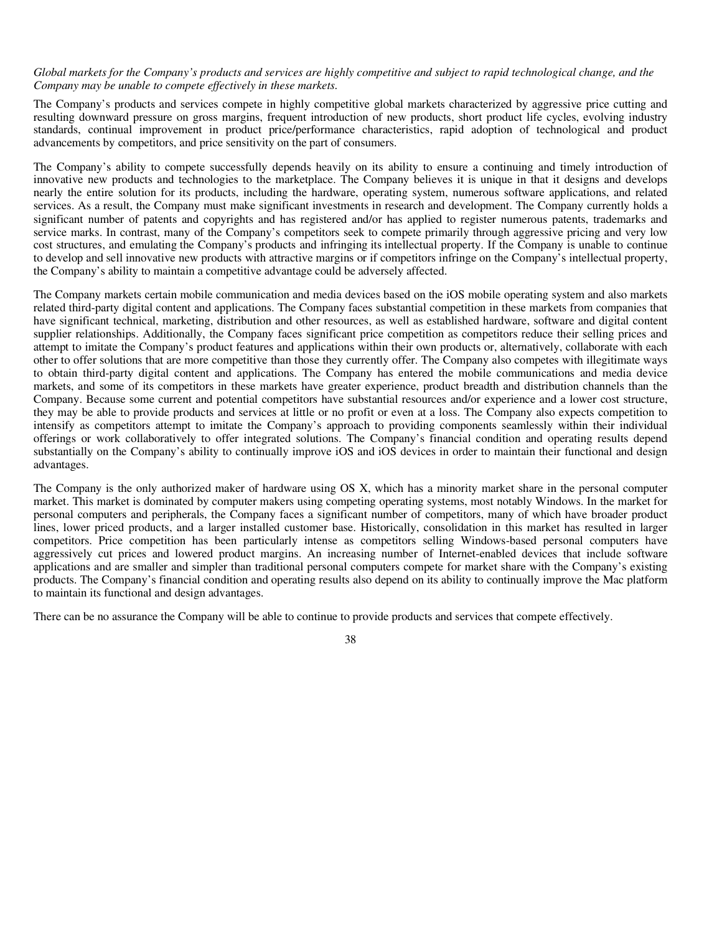#### *Global markets for the Company's products and services are highly competitive and subject to rapid technological change, and the Company may be unable to compete effectively in these markets.*

The Company's products and services compete in highly competitive global markets characterized by aggressive price cutting and resulting downward pressure on gross margins, frequent introduction of new products, short product life cycles, evolving industry standards, continual improvement in product price/performance characteristics, rapid adoption of technological and product advancements by competitors, and price sensitivity on the part of consumers.

The Company's ability to compete successfully depends heavily on its ability to ensure a continuing and timely introduction of innovative new products and technologies to the marketplace. The Company believes it is unique in that it designs and develops nearly the entire solution for its products, including the hardware, operating system, numerous software applications, and related services. As a result, the Company must make significant investments in research and development. The Company currently holds a significant number of patents and copyrights and has registered and/or has applied to register numerous patents, trademarks and service marks. In contrast, many of the Company's competitors seek to compete primarily through aggressive pricing and very low cost structures, and emulating the Company's products and infringing its intellectual property. If the Company is unable to continue to develop and sell innovative new products with attractive margins or if competitors infringe on the Company's intellectual property, the Company's ability to maintain a competitive advantage could be adversely affected.

The Company markets certain mobile communication and media devices based on the iOS mobile operating system and also markets related third-party digital content and applications. The Company faces substantial competition in these markets from companies that have significant technical, marketing, distribution and other resources, as well as established hardware, software and digital content supplier relationships. Additionally, the Company faces significant price competition as competitors reduce their selling prices and attempt to imitate the Company's product features and applications within their own products or, alternatively, collaborate with each other to offer solutions that are more competitive than those they currently offer. The Company also competes with illegitimate ways to obtain third-party digital content and applications. The Company has entered the mobile communications and media device markets, and some of its competitors in these markets have greater experience, product breadth and distribution channels than the Company. Because some current and potential competitors have substantial resources and/or experience and a lower cost structure, they may be able to provide products and services at little or no profit or even at a loss. The Company also expects competition to intensify as competitors attempt to imitate the Company's approach to providing components seamlessly within their individual offerings or work collaboratively to offer integrated solutions. The Company's financial condition and operating results depend substantially on the Company's ability to continually improve iOS and iOS devices in order to maintain their functional and design advantages.

The Company is the only authorized maker of hardware using OS X, which has a minority market share in the personal computer market. This market is dominated by computer makers using competing operating systems, most notably Windows. In the market for personal computers and peripherals, the Company faces a significant number of competitors, many of which have broader product lines, lower priced products, and a larger installed customer base. Historically, consolidation in this market has resulted in larger competitors. Price competition has been particularly intense as competitors selling Windows-based personal computers have aggressively cut prices and lowered product margins. An increasing number of Internet-enabled devices that include software applications and are smaller and simpler than traditional personal computers compete for market share with the Company's existing products. The Company's financial condition and operating results also depend on its ability to continually improve the Mac platform to maintain its functional and design advantages.

There can be no assurance the Company will be able to continue to provide products and services that compete effectively.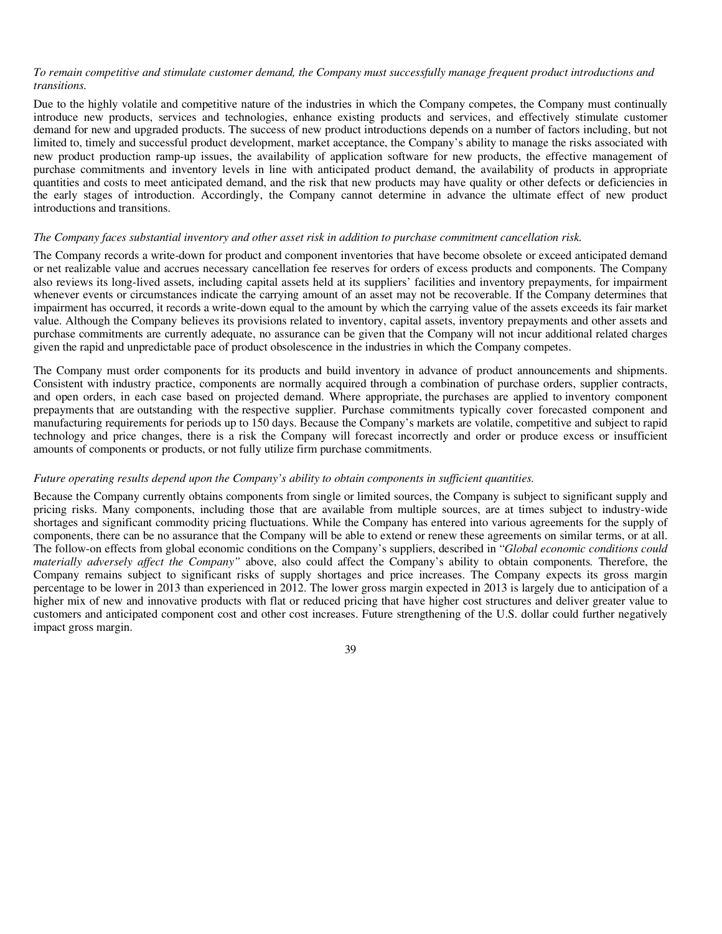#### *To remain competitive and stimulate customer demand, the Company must successfully manage frequent product introductions and transitions.*

Due to the highly volatile and competitive nature of the industries in which the Company competes, the Company must continually introduce new products, services and technologies, enhance existing products and services, and effectively stimulate customer demand for new and upgraded products. The success of new product introductions depends on a number of factors including, but not limited to, timely and successful product development, market acceptance, the Company's ability to manage the risks associated with new product production ramp-up issues, the availability of application software for new products, the effective management of purchase commitments and inventory levels in line with anticipated product demand, the availability of products in appropriate quantities and costs to meet anticipated demand, and the risk that new products may have quality or other defects or deficiencies in the early stages of introduction. Accordingly, the Company cannot determine in advance the ultimate effect of new product introductions and transitions.

#### *The Company faces substantial inventory and other asset risk in addition to purchase commitment cancellation risk.*

The Company records a write-down for product and component inventories that have become obsolete or exceed anticipated demand or net realizable value and accrues necessary cancellation fee reserves for orders of excess products and components. The Company also reviews its long-lived assets, including capital assets held at its suppliers' facilities and inventory prepayments, for impairment whenever events or circumstances indicate the carrying amount of an asset may not be recoverable. If the Company determines that impairment has occurred, it records a write-down equal to the amount by which the carrying value of the assets exceeds its fair market value. Although the Company believes its provisions related to inventory, capital assets, inventory prepayments and other assets and purchase commitments are currently adequate, no assurance can be given that the Company will not incur additional related charges given the rapid and unpredictable pace of product obsolescence in the industries in which the Company competes.

The Company must order components for its products and build inventory in advance of product announcements and shipments. Consistent with industry practice, components are normally acquired through a combination of purchase orders, supplier contracts, and open orders, in each case based on projected demand. Where appropriate, the purchases are applied to inventory component prepayments that are outstanding with the respective supplier. Purchase commitments typically cover forecasted component and manufacturing requirements for periods up to 150 days. Because the Company's markets are volatile, competitive and subject to rapid technology and price changes, there is a risk the Company will forecast incorrectly and order or produce excess or insufficient amounts of components or products, or not fully utilize firm purchase commitments.

#### *Future operating results depend upon the Company's ability to obtain components in sufficient quantities.*

Because the Company currently obtains components from single or limited sources, the Company is subject to significant supply and pricing risks. Many components, including those that are available from multiple sources, are at times subject to industry-wide shortages and significant commodity pricing fluctuations. While the Company has entered into various agreements for the supply of components, there can be no assurance that the Company will be able to extend or renew these agreements on similar terms, or at all. The follow-on effects from global economic conditions on the Company's suppliers, described in "*Global economic conditions could materially adversely affect the Company"* above, also could affect the Company's ability to obtain components*.* Therefore, the Company remains subject to significant risks of supply shortages and price increases. The Company expects its gross margin percentage to be lower in 2013 than experienced in 2012. The lower gross margin expected in 2013 is largely due to anticipation of a higher mix of new and innovative products with flat or reduced pricing that have higher cost structures and deliver greater value to customers and anticipated component cost and other cost increases. Future strengthening of the U.S. dollar could further negatively impact gross margin.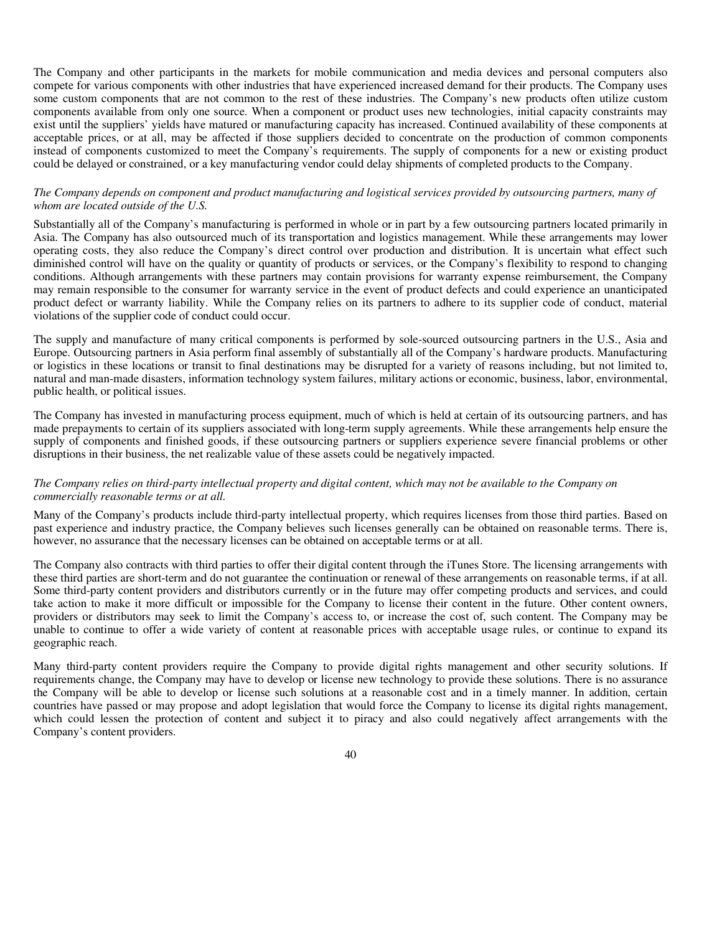The Company and other participants in the markets for mobile communication and media devices and personal computers also compete for various components with other industries that have experienced increased demand for their products. The Company uses some custom components that are not common to the rest of these industries. The Company's new products often utilize custom components available from only one source. When a component or product uses new technologies, initial capacity constraints may exist until the suppliers' yields have matured or manufacturing capacity has increased. Continued availability of these components at acceptable prices, or at all, may be affected if those suppliers decided to concentrate on the production of common components instead of components customized to meet the Company's requirements. The supply of components for a new or existing product could be delayed or constrained, or a key manufacturing vendor could delay shipments of completed products to the Company.

#### *The Company depends on component and product manufacturing and logistical services provided by outsourcing partners, many of whom are located outside of the U.S.*

Substantially all of the Company's manufacturing is performed in whole or in part by a few outsourcing partners located primarily in Asia. The Company has also outsourced much of its transportation and logistics management. While these arrangements may lower operating costs, they also reduce the Company's direct control over production and distribution. It is uncertain what effect such diminished control will have on the quality or quantity of products or services, or the Company's flexibility to respond to changing conditions. Although arrangements with these partners may contain provisions for warranty expense reimbursement, the Company may remain responsible to the consumer for warranty service in the event of product defects and could experience an unanticipated product defect or warranty liability. While the Company relies on its partners to adhere to its supplier code of conduct, material violations of the supplier code of conduct could occur.

The supply and manufacture of many critical components is performed by sole-sourced outsourcing partners in the U.S., Asia and Europe. Outsourcing partners in Asia perform final assembly of substantially all of the Company's hardware products. Manufacturing or logistics in these locations or transit to final destinations may be disrupted for a variety of reasons including, but not limited to, natural and man-made disasters, information technology system failures, military actions or economic, business, labor, environmental, public health, or political issues.

The Company has invested in manufacturing process equipment, much of which is held at certain of its outsourcing partners, and has made prepayments to certain of its suppliers associated with long-term supply agreements. While these arrangements help ensure the supply of components and finished goods, if these outsourcing partners or suppliers experience severe financial problems or other disruptions in their business, the net realizable value of these assets could be negatively impacted.

#### *The Company relies on third-party intellectual property and digital content, which may not be available to the Company on commercially reasonable terms or at all.*

Many of the Company's products include third-party intellectual property, which requires licenses from those third parties. Based on past experience and industry practice, the Company believes such licenses generally can be obtained on reasonable terms. There is, however, no assurance that the necessary licenses can be obtained on acceptable terms or at all.

The Company also contracts with third parties to offer their digital content through the iTunes Store. The licensing arrangements with these third parties are short-term and do not guarantee the continuation or renewal of these arrangements on reasonable terms, if at all. Some third-party content providers and distributors currently or in the future may offer competing products and services, and could take action to make it more difficult or impossible for the Company to license their content in the future. Other content owners, providers or distributors may seek to limit the Company's access to, or increase the cost of, such content. The Company may be unable to continue to offer a wide variety of content at reasonable prices with acceptable usage rules, or continue to expand its geographic reach.

Many third-party content providers require the Company to provide digital rights management and other security solutions. If requirements change, the Company may have to develop or license new technology to provide these solutions. There is no assurance the Company will be able to develop or license such solutions at a reasonable cost and in a timely manner. In addition, certain countries have passed or may propose and adopt legislation that would force the Company to license its digital rights management, which could lessen the protection of content and subject it to piracy and also could negatively affect arrangements with the Company's content providers.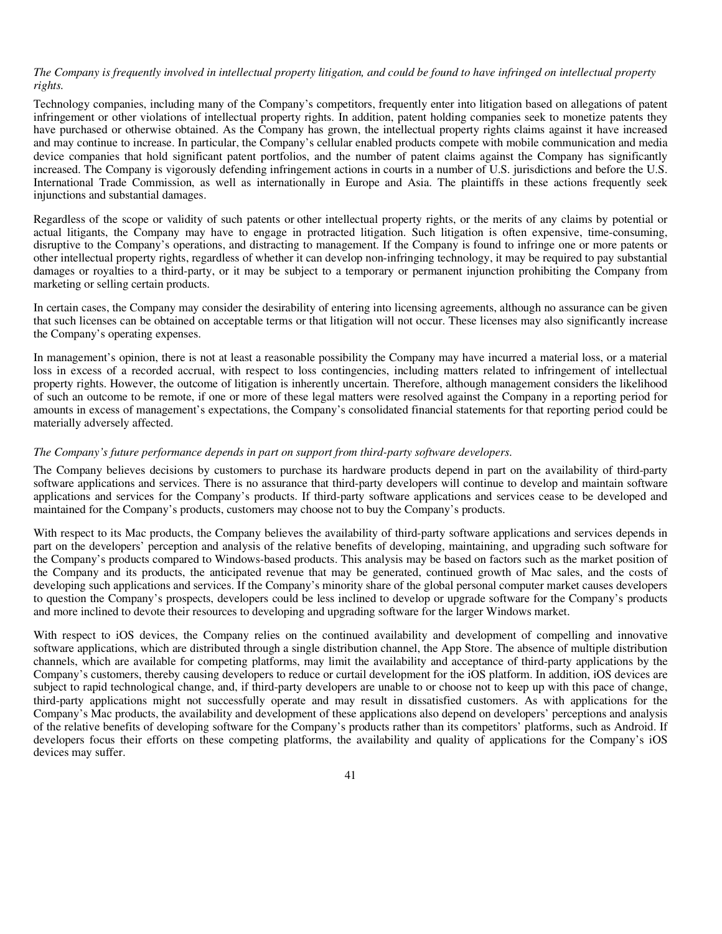#### *The Company is frequently involved in intellectual property litigation, and could be found to have infringed on intellectual property rights.*

Technology companies, including many of the Company's competitors, frequently enter into litigation based on allegations of patent infringement or other violations of intellectual property rights. In addition, patent holding companies seek to monetize patents they have purchased or otherwise obtained. As the Company has grown, the intellectual property rights claims against it have increased and may continue to increase. In particular, the Company's cellular enabled products compete with mobile communication and media device companies that hold significant patent portfolios, and the number of patent claims against the Company has significantly increased. The Company is vigorously defending infringement actions in courts in a number of U.S. jurisdictions and before the U.S. International Trade Commission, as well as internationally in Europe and Asia. The plaintiffs in these actions frequently seek injunctions and substantial damages.

Regardless of the scope or validity of such patents or other intellectual property rights, or the merits of any claims by potential or actual litigants, the Company may have to engage in protracted litigation. Such litigation is often expensive, time-consuming, disruptive to the Company's operations, and distracting to management. If the Company is found to infringe one or more patents or other intellectual property rights, regardless of whether it can develop non-infringing technology, it may be required to pay substantial damages or royalties to a third-party, or it may be subject to a temporary or permanent injunction prohibiting the Company from marketing or selling certain products.

In certain cases, the Company may consider the desirability of entering into licensing agreements, although no assurance can be given that such licenses can be obtained on acceptable terms or that litigation will not occur. These licenses may also significantly increase the Company's operating expenses.

In management's opinion, there is not at least a reasonable possibility the Company may have incurred a material loss, or a material loss in excess of a recorded accrual, with respect to loss contingencies, including matters related to infringement of intellectual property rights. However, the outcome of litigation is inherently uncertain. Therefore, although management considers the likelihood of such an outcome to be remote, if one or more of these legal matters were resolved against the Company in a reporting period for amounts in excess of management's expectations, the Company's consolidated financial statements for that reporting period could be materially adversely affected.

#### *The Company's future performance depends in part on support from third-party software developers.*

The Company believes decisions by customers to purchase its hardware products depend in part on the availability of third-party software applications and services. There is no assurance that third-party developers will continue to develop and maintain software applications and services for the Company's products. If third-party software applications and services cease to be developed and maintained for the Company's products, customers may choose not to buy the Company's products.

With respect to its Mac products, the Company believes the availability of third-party software applications and services depends in part on the developers' perception and analysis of the relative benefits of developing, maintaining, and upgrading such software for the Company's products compared to Windows-based products. This analysis may be based on factors such as the market position of the Company and its products, the anticipated revenue that may be generated, continued growth of Mac sales, and the costs of developing such applications and services. If the Company's minority share of the global personal computer market causes developers to question the Company's prospects, developers could be less inclined to develop or upgrade software for the Company's products and more inclined to devote their resources to developing and upgrading software for the larger Windows market.

With respect to iOS devices, the Company relies on the continued availability and development of compelling and innovative software applications, which are distributed through a single distribution channel, the App Store. The absence of multiple distribution channels, which are available for competing platforms, may limit the availability and acceptance of third-party applications by the Company's customers, thereby causing developers to reduce or curtail development for the iOS platform. In addition, iOS devices are subject to rapid technological change, and, if third-party developers are unable to or choose not to keep up with this pace of change, third-party applications might not successfully operate and may result in dissatisfied customers. As with applications for the Company's Mac products, the availability and development of these applications also depend on developers' perceptions and analysis of the relative benefits of developing software for the Company's products rather than its competitors' platforms, such as Android. If developers focus their efforts on these competing platforms, the availability and quality of applications for the Company's iOS devices may suffer.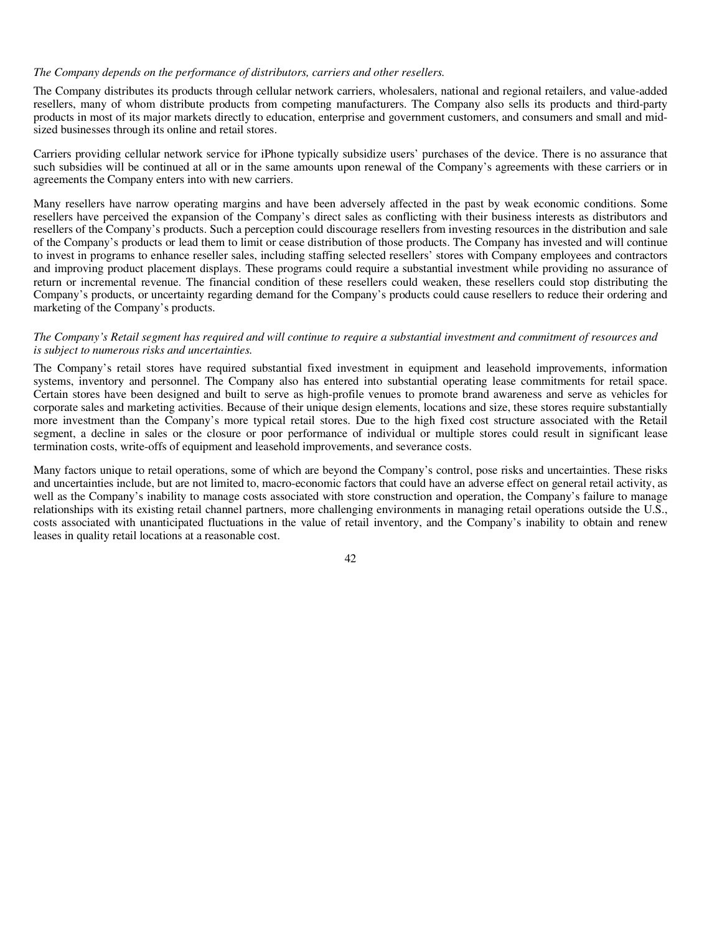#### *The Company depends on the performance of distributors, carriers and other resellers.*

The Company distributes its products through cellular network carriers, wholesalers, national and regional retailers, and value-added resellers, many of whom distribute products from competing manufacturers. The Company also sells its products and third-party products in most of its major markets directly to education, enterprise and government customers, and consumers and small and midsized businesses through its online and retail stores.

Carriers providing cellular network service for iPhone typically subsidize users' purchases of the device. There is no assurance that such subsidies will be continued at all or in the same amounts upon renewal of the Company's agreements with these carriers or in agreements the Company enters into with new carriers.

Many resellers have narrow operating margins and have been adversely affected in the past by weak economic conditions. Some resellers have perceived the expansion of the Company's direct sales as conflicting with their business interests as distributors and resellers of the Company's products. Such a perception could discourage resellers from investing resources in the distribution and sale of the Company's products or lead them to limit or cease distribution of those products. The Company has invested and will continue to invest in programs to enhance reseller sales, including staffing selected resellers' stores with Company employees and contractors and improving product placement displays. These programs could require a substantial investment while providing no assurance of return or incremental revenue. The financial condition of these resellers could weaken, these resellers could stop distributing the Company's products, or uncertainty regarding demand for the Company's products could cause resellers to reduce their ordering and marketing of the Company's products.

#### *The Company's Retail segment has required and will continue to require a substantial investment and commitment of resources and is subject to numerous risks and uncertainties.*

The Company's retail stores have required substantial fixed investment in equipment and leasehold improvements, information systems, inventory and personnel. The Company also has entered into substantial operating lease commitments for retail space. Certain stores have been designed and built to serve as high-profile venues to promote brand awareness and serve as vehicles for corporate sales and marketing activities. Because of their unique design elements, locations and size, these stores require substantially more investment than the Company's more typical retail stores. Due to the high fixed cost structure associated with the Retail segment, a decline in sales or the closure or poor performance of individual or multiple stores could result in significant lease termination costs, write-offs of equipment and leasehold improvements, and severance costs.

Many factors unique to retail operations, some of which are beyond the Company's control, pose risks and uncertainties. These risks and uncertainties include, but are not limited to, macro-economic factors that could have an adverse effect on general retail activity, as well as the Company's inability to manage costs associated with store construction and operation, the Company's failure to manage relationships with its existing retail channel partners, more challenging environments in managing retail operations outside the U.S., costs associated with unanticipated fluctuations in the value of retail inventory, and the Company's inability to obtain and renew leases in quality retail locations at a reasonable cost.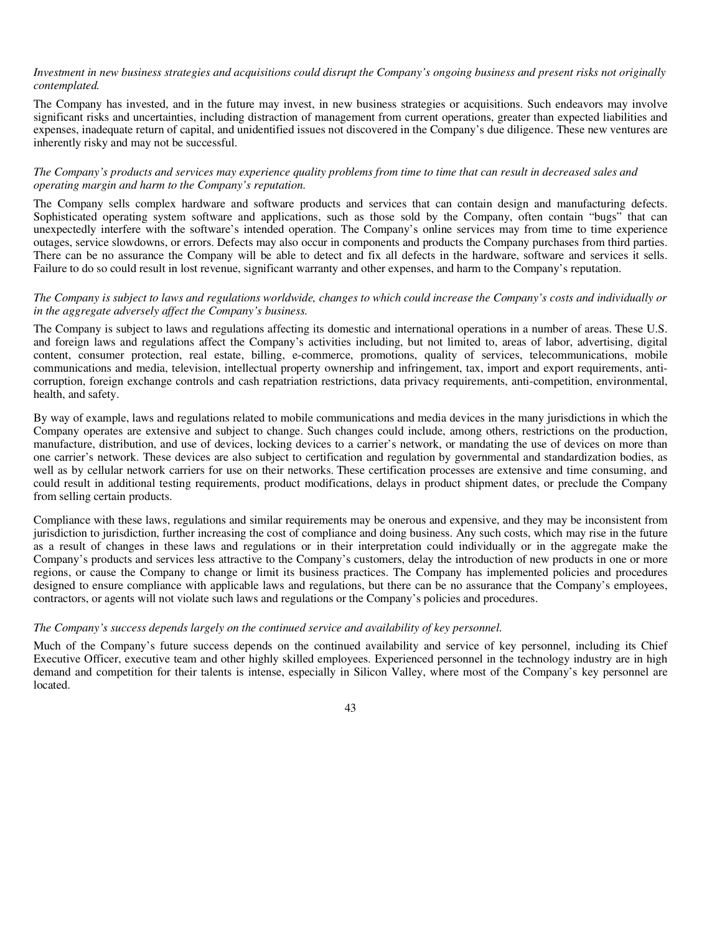#### *Investment in new business strategies and acquisitions could disrupt the Company's ongoing business and present risks not originally contemplated.*

The Company has invested, and in the future may invest, in new business strategies or acquisitions. Such endeavors may involve significant risks and uncertainties, including distraction of management from current operations, greater than expected liabilities and expenses, inadequate return of capital, and unidentified issues not discovered in the Company's due diligence. These new ventures are inherently risky and may not be successful.

#### *The Company's products and services may experience quality problems from time to time that can result in decreased sales and operating margin and harm to the Company's reputation.*

The Company sells complex hardware and software products and services that can contain design and manufacturing defects. Sophisticated operating system software and applications, such as those sold by the Company, often contain "bugs" that can unexpectedly interfere with the software's intended operation. The Company's online services may from time to time experience outages, service slowdowns, or errors. Defects may also occur in components and products the Company purchases from third parties. There can be no assurance the Company will be able to detect and fix all defects in the hardware, software and services it sells. Failure to do so could result in lost revenue, significant warranty and other expenses, and harm to the Company's reputation.

#### *The Company is subject to laws and regulations worldwide, changes to which could increase the Company's costs and individually or in the aggregate adversely affect the Company's business.*

The Company is subject to laws and regulations affecting its domestic and international operations in a number of areas. These U.S. and foreign laws and regulations affect the Company's activities including, but not limited to, areas of labor, advertising, digital content, consumer protection, real estate, billing, e-commerce, promotions, quality of services, telecommunications, mobile communications and media, television, intellectual property ownership and infringement, tax, import and export requirements, anticorruption, foreign exchange controls and cash repatriation restrictions, data privacy requirements, anti-competition, environmental, health, and safety.

By way of example, laws and regulations related to mobile communications and media devices in the many jurisdictions in which the Company operates are extensive and subject to change. Such changes could include, among others, restrictions on the production, manufacture, distribution, and use of devices, locking devices to a carrier's network, or mandating the use of devices on more than one carrier's network. These devices are also subject to certification and regulation by governmental and standardization bodies, as well as by cellular network carriers for use on their networks. These certification processes are extensive and time consuming, and could result in additional testing requirements, product modifications, delays in product shipment dates, or preclude the Company from selling certain products.

Compliance with these laws, regulations and similar requirements may be onerous and expensive, and they may be inconsistent from jurisdiction to jurisdiction, further increasing the cost of compliance and doing business. Any such costs, which may rise in the future as a result of changes in these laws and regulations or in their interpretation could individually or in the aggregate make the Company's products and services less attractive to the Company's customers, delay the introduction of new products in one or more regions, or cause the Company to change or limit its business practices. The Company has implemented policies and procedures designed to ensure compliance with applicable laws and regulations, but there can be no assurance that the Company's employees, contractors, or agents will not violate such laws and regulations or the Company's policies and procedures.

#### *The Company's success depends largely on the continued service and availability of key personnel.*

Much of the Company's future success depends on the continued availability and service of key personnel, including its Chief Executive Officer, executive team and other highly skilled employees. Experienced personnel in the technology industry are in high demand and competition for their talents is intense, especially in Silicon Valley, where most of the Company's key personnel are located.

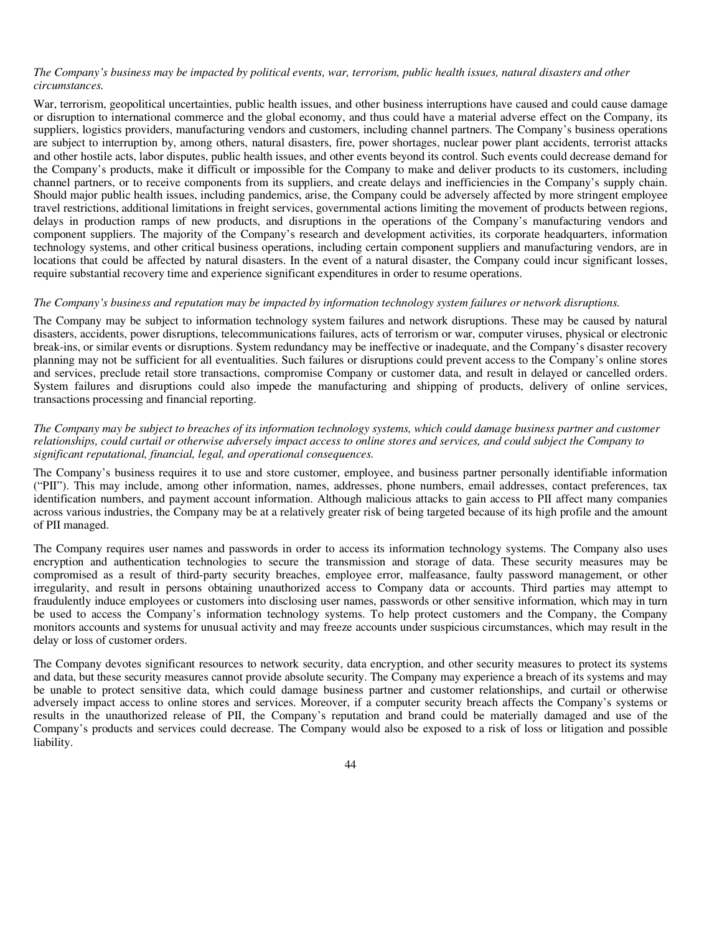#### *The Company's business may be impacted by political events, war, terrorism, public health issues, natural disasters and other circumstances.*

War, terrorism, geopolitical uncertainties, public health issues, and other business interruptions have caused and could cause damage or disruption to international commerce and the global economy, and thus could have a material adverse effect on the Company, its suppliers, logistics providers, manufacturing vendors and customers, including channel partners. The Company's business operations are subject to interruption by, among others, natural disasters, fire, power shortages, nuclear power plant accidents, terrorist attacks and other hostile acts, labor disputes, public health issues, and other events beyond its control. Such events could decrease demand for the Company's products, make it difficult or impossible for the Company to make and deliver products to its customers, including channel partners, or to receive components from its suppliers, and create delays and inefficiencies in the Company's supply chain. Should major public health issues, including pandemics, arise, the Company could be adversely affected by more stringent employee travel restrictions, additional limitations in freight services, governmental actions limiting the movement of products between regions, delays in production ramps of new products, and disruptions in the operations of the Company's manufacturing vendors and component suppliers. The majority of the Company's research and development activities, its corporate headquarters, information technology systems, and other critical business operations, including certain component suppliers and manufacturing vendors, are in locations that could be affected by natural disasters. In the event of a natural disaster, the Company could incur significant losses, require substantial recovery time and experience significant expenditures in order to resume operations.

#### *The Company's business and reputation may be impacted by information technology system failures or network disruptions.*

The Company may be subject to information technology system failures and network disruptions. These may be caused by natural disasters, accidents, power disruptions, telecommunications failures, acts of terrorism or war, computer viruses, physical or electronic break-ins, or similar events or disruptions. System redundancy may be ineffective or inadequate, and the Company's disaster recovery planning may not be sufficient for all eventualities. Such failures or disruptions could prevent access to the Company's online stores and services, preclude retail store transactions, compromise Company or customer data, and result in delayed or cancelled orders. System failures and disruptions could also impede the manufacturing and shipping of products, delivery of online services, transactions processing and financial reporting.

#### *The Company may be subject to breaches of its information technology systems, which could damage business partner and customer relationships, could curtail or otherwise adversely impact access to online stores and services, and could subject the Company to significant reputational, financial, legal, and operational consequences.*

The Company's business requires it to use and store customer, employee, and business partner personally identifiable information ("PII"). This may include, among other information, names, addresses, phone numbers, email addresses, contact preferences, tax identification numbers, and payment account information. Although malicious attacks to gain access to PII affect many companies across various industries, the Company may be at a relatively greater risk of being targeted because of its high profile and the amount of PII managed.

The Company requires user names and passwords in order to access its information technology systems. The Company also uses encryption and authentication technologies to secure the transmission and storage of data. These security measures may be compromised as a result of third-party security breaches, employee error, malfeasance, faulty password management, or other irregularity, and result in persons obtaining unauthorized access to Company data or accounts. Third parties may attempt to fraudulently induce employees or customers into disclosing user names, passwords or other sensitive information, which may in turn be used to access the Company's information technology systems. To help protect customers and the Company, the Company monitors accounts and systems for unusual activity and may freeze accounts under suspicious circumstances, which may result in the delay or loss of customer orders.

The Company devotes significant resources to network security, data encryption, and other security measures to protect its systems and data, but these security measures cannot provide absolute security. The Company may experience a breach of its systems and may be unable to protect sensitive data, which could damage business partner and customer relationships, and curtail or otherwise adversely impact access to online stores and services. Moreover, if a computer security breach affects the Company's systems or results in the unauthorized release of PII, the Company's reputation and brand could be materially damaged and use of the Company's products and services could decrease. The Company would also be exposed to a risk of loss or litigation and possible liability.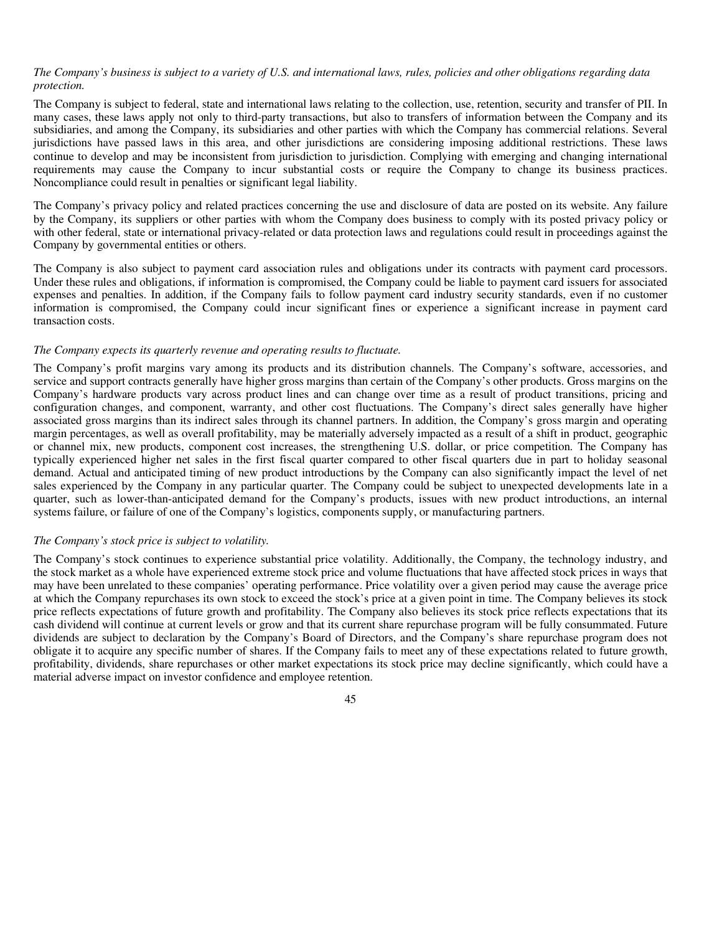#### *The Company's business is subject to a variety of U.S. and international laws, rules, policies and other obligations regarding data protection.*

The Company is subject to federal, state and international laws relating to the collection, use, retention, security and transfer of PII. In many cases, these laws apply not only to third-party transactions, but also to transfers of information between the Company and its subsidiaries, and among the Company, its subsidiaries and other parties with which the Company has commercial relations. Several jurisdictions have passed laws in this area, and other jurisdictions are considering imposing additional restrictions. These laws continue to develop and may be inconsistent from jurisdiction to jurisdiction. Complying with emerging and changing international requirements may cause the Company to incur substantial costs or require the Company to change its business practices. Noncompliance could result in penalties or significant legal liability.

The Company's privacy policy and related practices concerning the use and disclosure of data are posted on its website. Any failure by the Company, its suppliers or other parties with whom the Company does business to comply with its posted privacy policy or with other federal, state or international privacy-related or data protection laws and regulations could result in proceedings against the Company by governmental entities or others.

The Company is also subject to payment card association rules and obligations under its contracts with payment card processors. Under these rules and obligations, if information is compromised, the Company could be liable to payment card issuers for associated expenses and penalties. In addition, if the Company fails to follow payment card industry security standards, even if no customer information is compromised, the Company could incur significant fines or experience a significant increase in payment card transaction costs.

#### *The Company expects its quarterly revenue and operating results to fluctuate.*

The Company's profit margins vary among its products and its distribution channels. The Company's software, accessories, and service and support contracts generally have higher gross margins than certain of the Company's other products. Gross margins on the Company's hardware products vary across product lines and can change over time as a result of product transitions, pricing and configuration changes, and component, warranty, and other cost fluctuations. The Company's direct sales generally have higher associated gross margins than its indirect sales through its channel partners. In addition, the Company's gross margin and operating margin percentages, as well as overall profitability, may be materially adversely impacted as a result of a shift in product, geographic or channel mix, new products, component cost increases, the strengthening U.S. dollar, or price competition. The Company has typically experienced higher net sales in the first fiscal quarter compared to other fiscal quarters due in part to holiday seasonal demand. Actual and anticipated timing of new product introductions by the Company can also significantly impact the level of net sales experienced by the Company in any particular quarter. The Company could be subject to unexpected developments late in a quarter, such as lower-than-anticipated demand for the Company's products, issues with new product introductions, an internal systems failure, or failure of one of the Company's logistics, components supply, or manufacturing partners.

#### *The Company's stock price is subject to volatility.*

The Company's stock continues to experience substantial price volatility. Additionally, the Company, the technology industry, and the stock market as a whole have experienced extreme stock price and volume fluctuations that have affected stock prices in ways that may have been unrelated to these companies' operating performance. Price volatility over a given period may cause the average price at which the Company repurchases its own stock to exceed the stock's price at a given point in time. The Company believes its stock price reflects expectations of future growth and profitability. The Company also believes its stock price reflects expectations that its cash dividend will continue at current levels or grow and that its current share repurchase program will be fully consummated. Future dividends are subject to declaration by the Company's Board of Directors, and the Company's share repurchase program does not obligate it to acquire any specific number of shares. If the Company fails to meet any of these expectations related to future growth, profitability, dividends, share repurchases or other market expectations its stock price may decline significantly, which could have a material adverse impact on investor confidence and employee retention.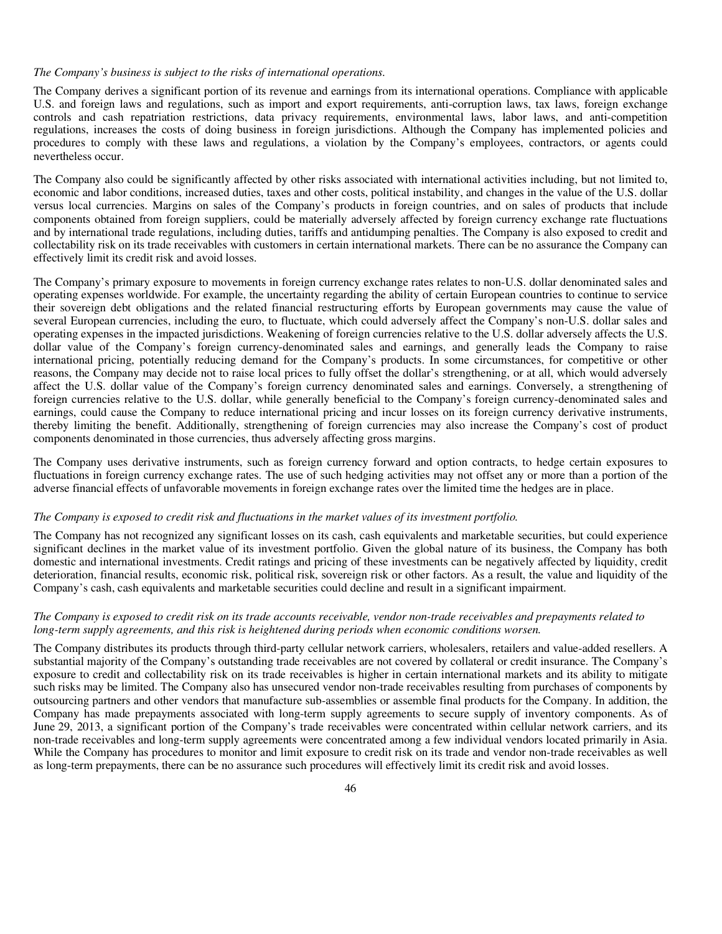#### *The Company's business is subject to the risks of international operations.*

The Company derives a significant portion of its revenue and earnings from its international operations. Compliance with applicable U.S. and foreign laws and regulations, such as import and export requirements, anti-corruption laws, tax laws, foreign exchange controls and cash repatriation restrictions, data privacy requirements, environmental laws, labor laws, and anti-competition regulations, increases the costs of doing business in foreign jurisdictions. Although the Company has implemented policies and procedures to comply with these laws and regulations, a violation by the Company's employees, contractors, or agents could nevertheless occur.

The Company also could be significantly affected by other risks associated with international activities including, but not limited to, economic and labor conditions, increased duties, taxes and other costs, political instability, and changes in the value of the U.S. dollar versus local currencies. Margins on sales of the Company's products in foreign countries, and on sales of products that include components obtained from foreign suppliers, could be materially adversely affected by foreign currency exchange rate fluctuations and by international trade regulations, including duties, tariffs and antidumping penalties. The Company is also exposed to credit and collectability risk on its trade receivables with customers in certain international markets. There can be no assurance the Company can effectively limit its credit risk and avoid losses.

The Company's primary exposure to movements in foreign currency exchange rates relates to non-U.S. dollar denominated sales and operating expenses worldwide. For example, the uncertainty regarding the ability of certain European countries to continue to service their sovereign debt obligations and the related financial restructuring efforts by European governments may cause the value of several European currencies, including the euro, to fluctuate, which could adversely affect the Company's non-U.S. dollar sales and operating expenses in the impacted jurisdictions. Weakening of foreign currencies relative to the U.S. dollar adversely affects the U.S. dollar value of the Company's foreign currency-denominated sales and earnings, and generally leads the Company to raise international pricing, potentially reducing demand for the Company's products. In some circumstances, for competitive or other reasons, the Company may decide not to raise local prices to fully offset the dollar's strengthening, or at all, which would adversely affect the U.S. dollar value of the Company's foreign currency denominated sales and earnings. Conversely, a strengthening of foreign currencies relative to the U.S. dollar, while generally beneficial to the Company's foreign currency-denominated sales and earnings, could cause the Company to reduce international pricing and incur losses on its foreign currency derivative instruments, thereby limiting the benefit. Additionally, strengthening of foreign currencies may also increase the Company's cost of product components denominated in those currencies, thus adversely affecting gross margins.

The Company uses derivative instruments, such as foreign currency forward and option contracts, to hedge certain exposures to fluctuations in foreign currency exchange rates. The use of such hedging activities may not offset any or more than a portion of the adverse financial effects of unfavorable movements in foreign exchange rates over the limited time the hedges are in place.

#### *The Company is exposed to credit risk and fluctuations in the market values of its investment portfolio.*

The Company has not recognized any significant losses on its cash, cash equivalents and marketable securities, but could experience significant declines in the market value of its investment portfolio. Given the global nature of its business, the Company has both domestic and international investments. Credit ratings and pricing of these investments can be negatively affected by liquidity, credit deterioration, financial results, economic risk, political risk, sovereign risk or other factors. As a result, the value and liquidity of the Company's cash, cash equivalents and marketable securities could decline and result in a significant impairment.

#### *The Company is exposed to credit risk on its trade accounts receivable, vendor non-trade receivables and prepayments related to long-term supply agreements, and this risk is heightened during periods when economic conditions worsen.*

The Company distributes its products through third-party cellular network carriers, wholesalers, retailers and value-added resellers. A substantial majority of the Company's outstanding trade receivables are not covered by collateral or credit insurance. The Company's exposure to credit and collectability risk on its trade receivables is higher in certain international markets and its ability to mitigate such risks may be limited. The Company also has unsecured vendor non-trade receivables resulting from purchases of components by outsourcing partners and other vendors that manufacture sub-assemblies or assemble final products for the Company. In addition, the Company has made prepayments associated with long-term supply agreements to secure supply of inventory components. As of June 29, 2013, a significant portion of the Company's trade receivables were concentrated within cellular network carriers, and its non-trade receivables and long-term supply agreements were concentrated among a few individual vendors located primarily in Asia. While the Company has procedures to monitor and limit exposure to credit risk on its trade and vendor non-trade receivables as well as long-term prepayments, there can be no assurance such procedures will effectively limit its credit risk and avoid losses.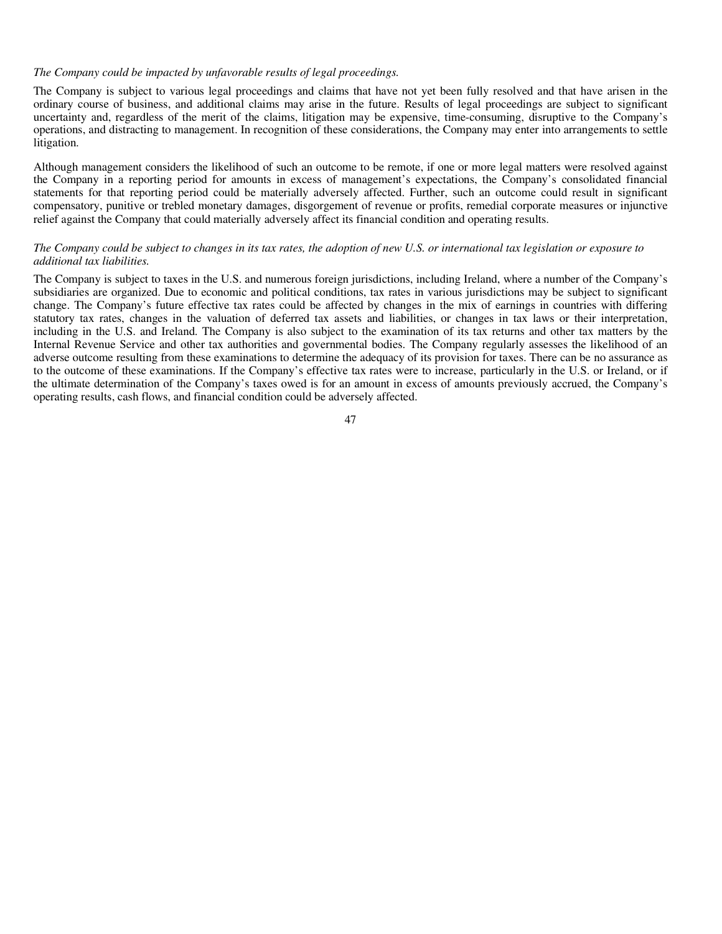#### *The Company could be impacted by unfavorable results of legal proceedings.*

The Company is subject to various legal proceedings and claims that have not yet been fully resolved and that have arisen in the ordinary course of business, and additional claims may arise in the future. Results of legal proceedings are subject to significant uncertainty and, regardless of the merit of the claims, litigation may be expensive, time-consuming, disruptive to the Company's operations, and distracting to management. In recognition of these considerations, the Company may enter into arrangements to settle litigation.

Although management considers the likelihood of such an outcome to be remote, if one or more legal matters were resolved against the Company in a reporting period for amounts in excess of management's expectations, the Company's consolidated financial statements for that reporting period could be materially adversely affected. Further, such an outcome could result in significant compensatory, punitive or trebled monetary damages, disgorgement of revenue or profits, remedial corporate measures or injunctive relief against the Company that could materially adversely affect its financial condition and operating results.

#### *The Company could be subject to changes in its tax rates, the adoption of new U.S. or international tax legislation or exposure to additional tax liabilities.*

The Company is subject to taxes in the U.S. and numerous foreign jurisdictions, including Ireland, where a number of the Company's subsidiaries are organized. Due to economic and political conditions, tax rates in various jurisdictions may be subject to significant change. The Company's future effective tax rates could be affected by changes in the mix of earnings in countries with differing statutory tax rates, changes in the valuation of deferred tax assets and liabilities, or changes in tax laws or their interpretation, including in the U.S. and Ireland. The Company is also subject to the examination of its tax returns and other tax matters by the Internal Revenue Service and other tax authorities and governmental bodies. The Company regularly assesses the likelihood of an adverse outcome resulting from these examinations to determine the adequacy of its provision for taxes. There can be no assurance as to the outcome of these examinations. If the Company's effective tax rates were to increase, particularly in the U.S. or Ireland, or if the ultimate determination of the Company's taxes owed is for an amount in excess of amounts previously accrued, the Company's operating results, cash flows, and financial condition could be adversely affected.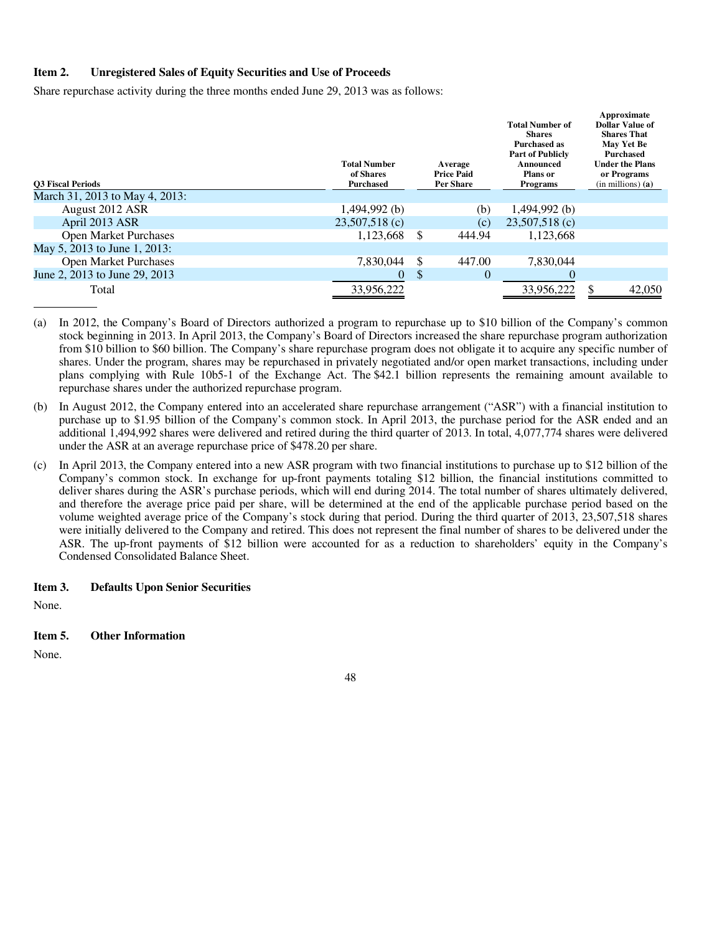#### **Item 2. Unregistered Sales of Equity Securities and Use of Proceeds**

Share repurchase activity during the three months ended June 29, 2013 was as follows:

| <b>O3 Fiscal Periods</b><br>March 31, 2013 to May 4, 2013: | <b>Total Number</b><br>of Shares<br><b>Purchased</b> |               | Average<br><b>Price Paid</b><br><b>Per Share</b> | <b>Total Number of</b><br><b>Shares</b><br><b>Purchased as</b><br><b>Part of Publicly</b><br><b>Announced</b><br><b>Plans or</b><br><b>Programs</b> | Approximate<br><b>Dollar Value of</b><br><b>Shares That</b><br>May Yet Be<br><b>Purchased</b><br><b>Under the Plans</b><br>or Programs<br>$(in$ millions) $(a)$ |
|------------------------------------------------------------|------------------------------------------------------|---------------|--------------------------------------------------|-----------------------------------------------------------------------------------------------------------------------------------------------------|-----------------------------------------------------------------------------------------------------------------------------------------------------------------|
|                                                            |                                                      |               |                                                  |                                                                                                                                                     |                                                                                                                                                                 |
| August 2012 ASR                                            | $1,494,992$ (b)                                      |               | (b)                                              | $1,494,992$ (b)                                                                                                                                     |                                                                                                                                                                 |
| April 2013 ASR                                             | 23,507,518 (c)                                       |               | (c)                                              | 23,507,518 (c)                                                                                                                                      |                                                                                                                                                                 |
| <b>Open Market Purchases</b>                               | 1,123,668                                            | \$            | 444.94                                           | 1.123.668                                                                                                                                           |                                                                                                                                                                 |
| May 5, 2013 to June 1, 2013:                               |                                                      |               |                                                  |                                                                                                                                                     |                                                                                                                                                                 |
| <b>Open Market Purchases</b>                               | 7.830.044                                            | \$            | 447.00                                           | 7.830.044                                                                                                                                           |                                                                                                                                                                 |
| June 2, 2013 to June 29, 2013                              | 0                                                    | <sup>\$</sup> | $\theta$                                         | $\theta$                                                                                                                                            |                                                                                                                                                                 |
| Total                                                      | 33,956,222                                           |               |                                                  | 33,956,222                                                                                                                                          | 42,050                                                                                                                                                          |

(a) In 2012, the Company's Board of Directors authorized a program to repurchase up to \$10 billion of the Company's common stock beginning in 2013. In April 2013, the Company's Board of Directors increased the share repurchase program authorization from \$10 billion to \$60 billion. The Company's share repurchase program does not obligate it to acquire any specific number of shares. Under the program, shares may be repurchased in privately negotiated and/or open market transactions, including under plans complying with Rule 10b5-1 of the Exchange Act. The \$42.1 billion represents the remaining amount available to repurchase shares under the authorized repurchase program.

- (b) In August 2012, the Company entered into an accelerated share repurchase arrangement ("ASR") with a financial institution to purchase up to \$1.95 billion of the Company's common stock. In April 2013, the purchase period for the ASR ended and an additional 1,494,992 shares were delivered and retired during the third quarter of 2013. In total, 4,077,774 shares were delivered under the ASR at an average repurchase price of \$478.20 per share.
- (c) In April 2013, the Company entered into a new ASR program with two financial institutions to purchase up to \$12 billion of the Company's common stock. In exchange for up-front payments totaling \$12 billion, the financial institutions committed to deliver shares during the ASR's purchase periods, which will end during 2014. The total number of shares ultimately delivered, and therefore the average price paid per share, will be determined at the end of the applicable purchase period based on the volume weighted average price of the Company's stock during that period. During the third quarter of 2013, 23,507,518 shares were initially delivered to the Company and retired. This does not represent the final number of shares to be delivered under the ASR. The up-front payments of \$12 billion were accounted for as a reduction to shareholders' equity in the Company's Condensed Consolidated Balance Sheet.

#### **Item 3. Defaults Upon Senior Securities**

None.

**Item 5. Other Information** 

None.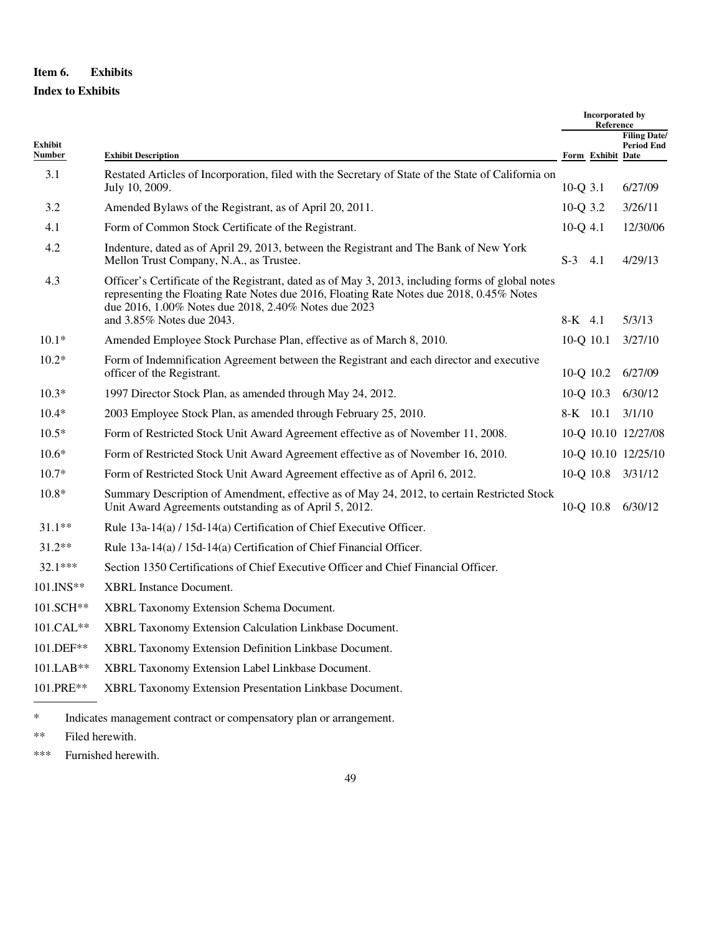## **Item 6. Exhibits**

## **Index to Exhibits**

|                   |                                                                                                                                                                                                                                                                                    | <b>Incorporated by</b><br>Reference |                   |                                          |  |  |
|-------------------|------------------------------------------------------------------------------------------------------------------------------------------------------------------------------------------------------------------------------------------------------------------------------------|-------------------------------------|-------------------|------------------------------------------|--|--|
| Exhibit<br>Number | <b>Exhibit Description</b>                                                                                                                                                                                                                                                         |                                     | Form Exhibit Date | <b>Filing Date/</b><br><b>Period End</b> |  |  |
| 3.1               | Restated Articles of Incorporation, filed with the Secretary of State of the State of California on<br>July 10, 2009.                                                                                                                                                              | $10-Q$ 3.1                          |                   | 6/27/09                                  |  |  |
| 3.2               | Amended Bylaws of the Registrant, as of April 20, 2011.                                                                                                                                                                                                                            | $10-Q$ 3.2                          |                   | 3/26/11                                  |  |  |
| 4.1               | Form of Common Stock Certificate of the Registrant.                                                                                                                                                                                                                                | $10-Q$ 4.1                          |                   | 12/30/06                                 |  |  |
| 4.2               | Indenture, dated as of April 29, 2013, between the Registrant and The Bank of New York<br>Mellon Trust Company, N.A., as Trustee.                                                                                                                                                  | $S-3$                               | 4.1               | 4/29/13                                  |  |  |
| 4.3               | Officer's Certificate of the Registrant, dated as of May 3, 2013, including forms of global notes<br>representing the Floating Rate Notes due 2016, Floating Rate Notes due 2018, 0.45% Notes<br>due 2016, 1.00% Notes due 2018, 2.40% Notes due 2023<br>and 3.85% Notes due 2043. | $8-K$ 4.1                           |                   | 5/3/13                                   |  |  |
| $10.1*$           | Amended Employee Stock Purchase Plan, effective as of March 8, 2010.                                                                                                                                                                                                               | 10-Q 10.1                           |                   | 3/27/10                                  |  |  |
| $10.2*$           | Form of Indemnification Agreement between the Registrant and each director and executive<br>officer of the Registrant.                                                                                                                                                             | 10-Q 10.2                           |                   | 6/27/09                                  |  |  |
| $10.3*$           | 1997 Director Stock Plan, as amended through May 24, 2012.                                                                                                                                                                                                                         | 10-Q 10.3                           |                   | 6/30/12                                  |  |  |
| $10.4*$           | 2003 Employee Stock Plan, as amended through February 25, 2010.                                                                                                                                                                                                                    | 8-K 10.1                            |                   | 3/1/10                                   |  |  |
| $10.5*$           | Form of Restricted Stock Unit Award Agreement effective as of November 11, 2008.                                                                                                                                                                                                   |                                     |                   | 10-Q 10.10 12/27/08                      |  |  |
| $10.6*$           | Form of Restricted Stock Unit Award Agreement effective as of November 16, 2010.                                                                                                                                                                                                   |                                     |                   | 10-Q 10.10 12/25/10                      |  |  |
| $10.7*$           | Form of Restricted Stock Unit Award Agreement effective as of April 6, 2012.                                                                                                                                                                                                       | 10-Q 10.8                           |                   | 3/31/12                                  |  |  |
| $10.8*$           | Summary Description of Amendment, effective as of May 24, 2012, to certain Restricted Stock<br>Unit Award Agreements outstanding as of April 5, 2012.                                                                                                                              | 10-Q 10.8                           |                   | 6/30/12                                  |  |  |
| $31.1**$          | Rule 13a-14(a) / 15d-14(a) Certification of Chief Executive Officer.                                                                                                                                                                                                               |                                     |                   |                                          |  |  |
| 31.2**            | Rule 13a-14(a) / 15d-14(a) Certification of Chief Financial Officer.                                                                                                                                                                                                               |                                     |                   |                                          |  |  |
| 32.1 ***          | Section 1350 Certifications of Chief Executive Officer and Chief Financial Officer.                                                                                                                                                                                                |                                     |                   |                                          |  |  |
| 101.INS**         | <b>XBRL</b> Instance Document.                                                                                                                                                                                                                                                     |                                     |                   |                                          |  |  |
| 101.SCH**         | XBRL Taxonomy Extension Schema Document.                                                                                                                                                                                                                                           |                                     |                   |                                          |  |  |
| 101.CAL**         | XBRL Taxonomy Extension Calculation Linkbase Document.                                                                                                                                                                                                                             |                                     |                   |                                          |  |  |
| 101.DEF**         | XBRL Taxonomy Extension Definition Linkbase Document.                                                                                                                                                                                                                              |                                     |                   |                                          |  |  |
| $101.LAB**$       | XBRL Taxonomy Extension Label Linkbase Document.                                                                                                                                                                                                                                   |                                     |                   |                                          |  |  |
| 101.PRE**         | XBRL Taxonomy Extension Presentation Linkbase Document.                                                                                                                                                                                                                            |                                     |                   |                                          |  |  |

 $\ast$ Indicates management contract or compensatory plan or arrangement.

 $**$ Filed herewith.

\*\*\* Furnished herewith.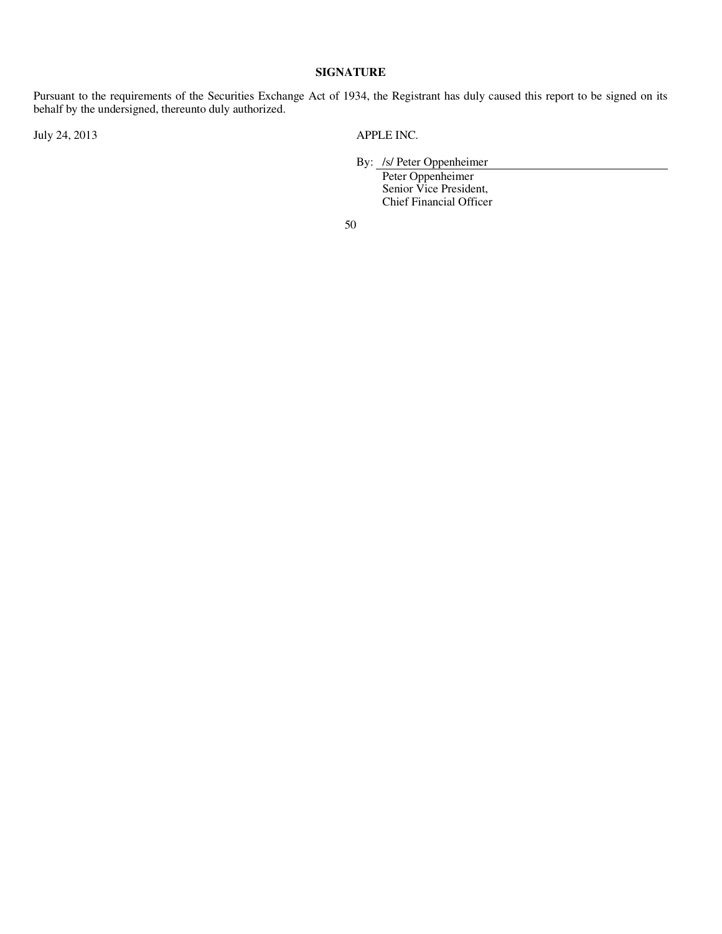#### **SIGNATURE**

Pursuant to the requirements of the Securities Exchange Act of 1934, the Registrant has duly caused this report to be signed on its behalf by the undersigned, thereunto duly authorized.

July 24, 2013 APPLE INC.

By: /s/ Peter Oppenheimer

Peter Oppenheimer Senior Vice President, Chief Financial Officer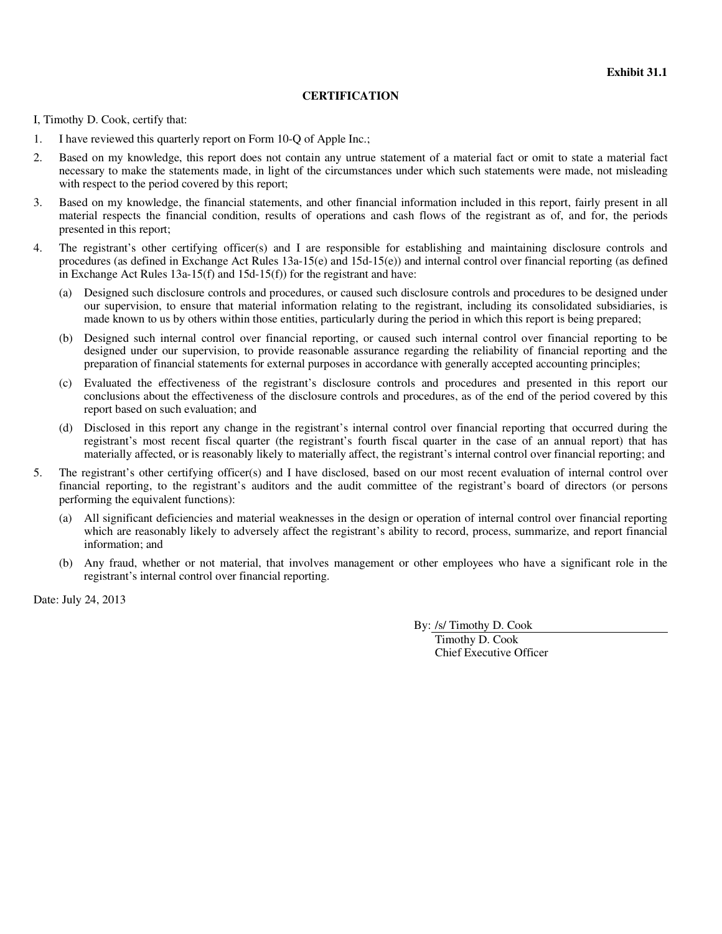#### **CERTIFICATION**

I, Timothy D. Cook, certify that:

- 1. I have reviewed this quarterly report on Form 10-Q of Apple Inc.;
- 2. Based on my knowledge, this report does not contain any untrue statement of a material fact or omit to state a material fact necessary to make the statements made, in light of the circumstances under which such statements were made, not misleading with respect to the period covered by this report;
- 3. Based on my knowledge, the financial statements, and other financial information included in this report, fairly present in all material respects the financial condition, results of operations and cash flows of the registrant as of, and for, the periods presented in this report;
- 4. The registrant's other certifying officer(s) and I are responsible for establishing and maintaining disclosure controls and procedures (as defined in Exchange Act Rules 13a-15(e) and 15d-15(e)) and internal control over financial reporting (as defined in Exchange Act Rules  $13a-15(f)$  and  $15d-15(f)$  for the registrant and have:
	- (a) Designed such disclosure controls and procedures, or caused such disclosure controls and procedures to be designed under our supervision, to ensure that material information relating to the registrant, including its consolidated subsidiaries, is made known to us by others within those entities, particularly during the period in which this report is being prepared;
	- (b) Designed such internal control over financial reporting, or caused such internal control over financial reporting to be designed under our supervision, to provide reasonable assurance regarding the reliability of financial reporting and the preparation of financial statements for external purposes in accordance with generally accepted accounting principles;
	- (c) Evaluated the effectiveness of the registrant's disclosure controls and procedures and presented in this report our conclusions about the effectiveness of the disclosure controls and procedures, as of the end of the period covered by this report based on such evaluation; and
	- (d) Disclosed in this report any change in the registrant's internal control over financial reporting that occurred during the registrant's most recent fiscal quarter (the registrant's fourth fiscal quarter in the case of an annual report) that has materially affected, or is reasonably likely to materially affect, the registrant's internal control over financial reporting; and
- 5. The registrant's other certifying officer(s) and I have disclosed, based on our most recent evaluation of internal control over financial reporting, to the registrant's auditors and the audit committee of the registrant's board of directors (or persons performing the equivalent functions):
	- (a) All significant deficiencies and material weaknesses in the design or operation of internal control over financial reporting which are reasonably likely to adversely affect the registrant's ability to record, process, summarize, and report financial information; and
	- (b) Any fraud, whether or not material, that involves management or other employees who have a significant role in the registrant's internal control over financial reporting.

Date: July 24, 2013

By: /s/ Timothy D. Cook Timothy D. Cook

Chief Executive Officer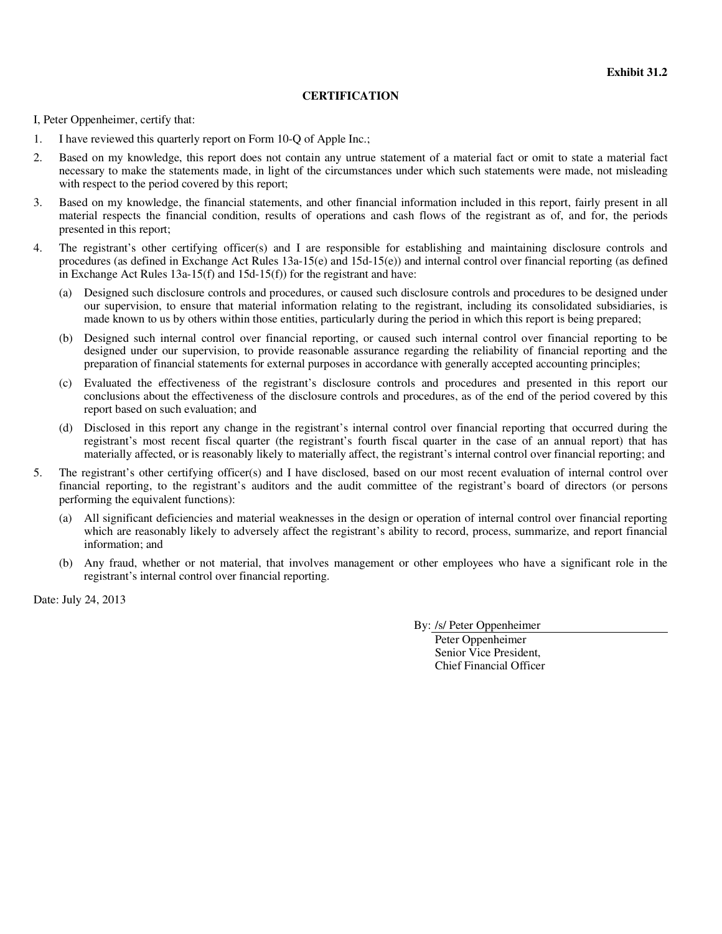#### **CERTIFICATION**

I, Peter Oppenheimer, certify that:

- 1. I have reviewed this quarterly report on Form 10-Q of Apple Inc.;
- 2. Based on my knowledge, this report does not contain any untrue statement of a material fact or omit to state a material fact necessary to make the statements made, in light of the circumstances under which such statements were made, not misleading with respect to the period covered by this report;
- 3. Based on my knowledge, the financial statements, and other financial information included in this report, fairly present in all material respects the financial condition, results of operations and cash flows of the registrant as of, and for, the periods presented in this report;
- 4. The registrant's other certifying officer(s) and I are responsible for establishing and maintaining disclosure controls and procedures (as defined in Exchange Act Rules 13a-15(e) and 15d-15(e)) and internal control over financial reporting (as defined in Exchange Act Rules  $13a-15(f)$  and  $15d-15(f)$  for the registrant and have:
	- (a) Designed such disclosure controls and procedures, or caused such disclosure controls and procedures to be designed under our supervision, to ensure that material information relating to the registrant, including its consolidated subsidiaries, is made known to us by others within those entities, particularly during the period in which this report is being prepared;
	- (b) Designed such internal control over financial reporting, or caused such internal control over financial reporting to be designed under our supervision, to provide reasonable assurance regarding the reliability of financial reporting and the preparation of financial statements for external purposes in accordance with generally accepted accounting principles;
	- (c) Evaluated the effectiveness of the registrant's disclosure controls and procedures and presented in this report our conclusions about the effectiveness of the disclosure controls and procedures, as of the end of the period covered by this report based on such evaluation; and
	- (d) Disclosed in this report any change in the registrant's internal control over financial reporting that occurred during the registrant's most recent fiscal quarter (the registrant's fourth fiscal quarter in the case of an annual report) that has materially affected, or is reasonably likely to materially affect, the registrant's internal control over financial reporting; and
- 5. The registrant's other certifying officer(s) and I have disclosed, based on our most recent evaluation of internal control over financial reporting, to the registrant's auditors and the audit committee of the registrant's board of directors (or persons performing the equivalent functions):
	- (a) All significant deficiencies and material weaknesses in the design or operation of internal control over financial reporting which are reasonably likely to adversely affect the registrant's ability to record, process, summarize, and report financial information; and
	- (b) Any fraud, whether or not material, that involves management or other employees who have a significant role in the registrant's internal control over financial reporting.

Date: July 24, 2013

By: /s/ Peter Oppenheimer

Peter Oppenheimer Senior Vice President, Chief Financial Officer